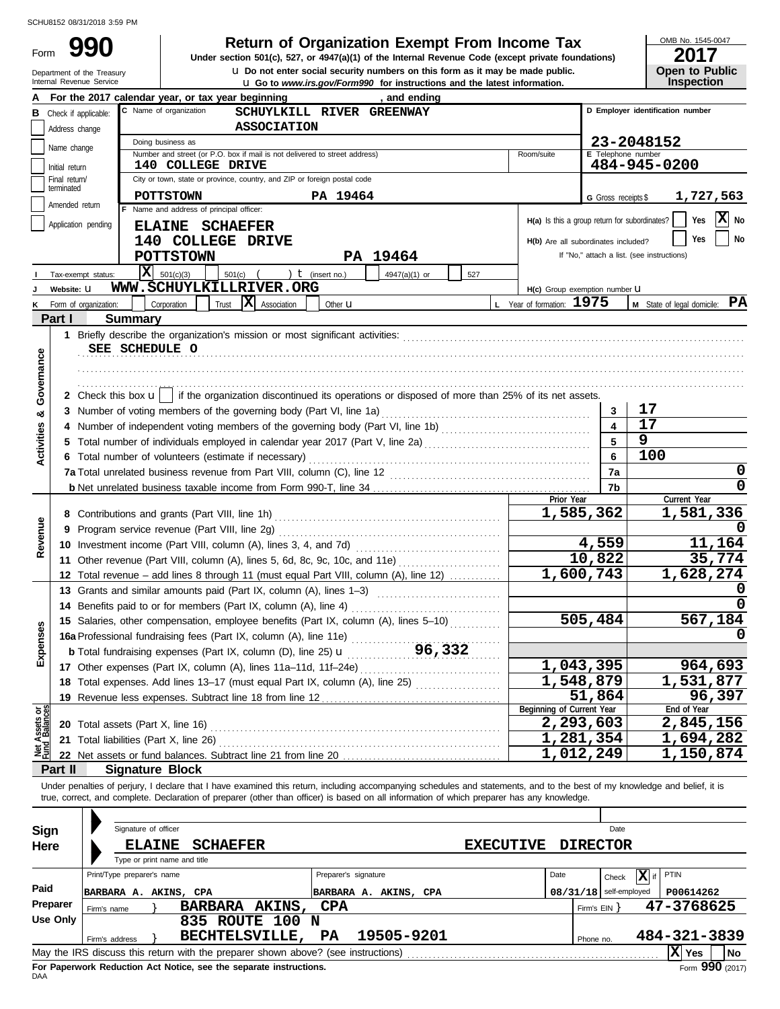Form

Department of the Treasury<br>Internal Revenue Service

# **990 1990 2017 2018 Depend of Organization Exempt From Income Tax 1947(a)(1)** of the Internal Revenue Code (except private foundations)

**u** Go to *www.irs.gov/Form990* for instructions and the latest information. **u** Do not enter social security numbers on this form as it may be made public. OMB No. 1545-0047

| ZU I I                |  |
|-----------------------|--|
| <b>Open to Public</b> |  |
| <b>Inspection</b>     |  |

|                                |                                                                                                                 | For the 2017 calendar year, or tax year beginning<br>, and ending                                                                                                          |                                               |                          |                                            |  |  |  |  |  |
|--------------------------------|-----------------------------------------------------------------------------------------------------------------|----------------------------------------------------------------------------------------------------------------------------------------------------------------------------|-----------------------------------------------|--------------------------|--------------------------------------------|--|--|--|--|--|
| в                              | C Name of organization<br>D Employer identification number<br>SCHUYLKILL RIVER GREENWAY<br>Check if applicable: |                                                                                                                                                                            |                                               |                          |                                            |  |  |  |  |  |
|                                | <b>ASSOCIATION</b><br>Address change                                                                            |                                                                                                                                                                            |                                               |                          |                                            |  |  |  |  |  |
|                                |                                                                                                                 | 23-2048152                                                                                                                                                                 |                                               |                          |                                            |  |  |  |  |  |
|                                | Name change                                                                                                     | Number and street (or P.O. box if mail is not delivered to street address)                                                                                                 | Room/suite                                    | E Telephone number       |                                            |  |  |  |  |  |
|                                | Initial return                                                                                                  | 140 COLLEGE DRIVE                                                                                                                                                          |                                               |                          | 484-945-0200                               |  |  |  |  |  |
|                                | Final return/<br>terminated                                                                                     | City or town, state or province, country, and ZIP or foreign postal code                                                                                                   |                                               |                          |                                            |  |  |  |  |  |
|                                |                                                                                                                 | <b>POTTSTOWN</b><br>PA 19464                                                                                                                                               |                                               | G Gross receipts \$      | 1,727,563                                  |  |  |  |  |  |
|                                | Amended return                                                                                                  | F Name and address of principal officer:                                                                                                                                   |                                               |                          | X                                          |  |  |  |  |  |
|                                | Application pending                                                                                             | ELAINE SCHAEFER                                                                                                                                                            | H(a) Is this a group return for subordinates? |                          | Yes<br>No                                  |  |  |  |  |  |
|                                |                                                                                                                 | 140 COLLEGE DRIVE                                                                                                                                                          | H(b) Are all subordinates included?           |                          | No<br>Yes                                  |  |  |  |  |  |
|                                |                                                                                                                 | PA 19464<br><b>POTTSTOWN</b>                                                                                                                                               |                                               |                          | If "No," attach a list. (see instructions) |  |  |  |  |  |
|                                | Tax-exempt status:                                                                                              | X)<br>501(c)(3)<br>501(c)<br>) $t$ (insert no.)<br>4947(a)(1) or<br>527                                                                                                    |                                               |                          |                                            |  |  |  |  |  |
|                                | Website: U                                                                                                      | WWW.SCHUYLKILLRIVER.ORG                                                                                                                                                    | H(c) Group exemption number LI                |                          |                                            |  |  |  |  |  |
|                                | Form of organization:                                                                                           | Ιx<br>Corporation<br>Trust<br>Association<br>Other <b>u</b>                                                                                                                | L Year of formation: 1975                     |                          | M State of legal domicile: PA              |  |  |  |  |  |
|                                | Part I                                                                                                          | <b>Summary</b>                                                                                                                                                             |                                               |                          |                                            |  |  |  |  |  |
|                                |                                                                                                                 |                                                                                                                                                                            |                                               |                          |                                            |  |  |  |  |  |
|                                |                                                                                                                 | SEE SCHEDULE O                                                                                                                                                             |                                               |                          |                                            |  |  |  |  |  |
|                                |                                                                                                                 |                                                                                                                                                                            |                                               |                          |                                            |  |  |  |  |  |
|                                |                                                                                                                 |                                                                                                                                                                            |                                               |                          |                                            |  |  |  |  |  |
| Governance                     |                                                                                                                 |                                                                                                                                                                            |                                               |                          |                                            |  |  |  |  |  |
|                                |                                                                                                                 | 2 Check this box $\mathbf{u}$   if the organization discontinued its operations or disposed of more than 25% of its net assets.                                            |                                               |                          |                                            |  |  |  |  |  |
| ಯ                              |                                                                                                                 |                                                                                                                                                                            |                                               | 3                        | 17                                         |  |  |  |  |  |
|                                |                                                                                                                 |                                                                                                                                                                            |                                               | $\blacktriangle$         | 17                                         |  |  |  |  |  |
| Activities                     |                                                                                                                 |                                                                                                                                                                            |                                               | 5                        | $\overline{9}$                             |  |  |  |  |  |
|                                |                                                                                                                 | 6 Total number of volunteers (estimate if necessary)                                                                                                                       |                                               | 6                        | 100                                        |  |  |  |  |  |
|                                |                                                                                                                 |                                                                                                                                                                            |                                               | 7a                       | 0                                          |  |  |  |  |  |
|                                |                                                                                                                 |                                                                                                                                                                            |                                               | 7b                       | 0                                          |  |  |  |  |  |
|                                |                                                                                                                 |                                                                                                                                                                            | Prior Year                                    |                          | Current Year                               |  |  |  |  |  |
|                                |                                                                                                                 |                                                                                                                                                                            |                                               | 1,585,362                | 1,581,336                                  |  |  |  |  |  |
|                                |                                                                                                                 | 9 Program service revenue (Part VIII, line 2g)                                                                                                                             |                                               |                          |                                            |  |  |  |  |  |
| Revenue                        |                                                                                                                 |                                                                                                                                                                            |                                               | 4,559                    | 11,164                                     |  |  |  |  |  |
|                                |                                                                                                                 | 11 Other revenue (Part VIII, column (A), lines 5, 6d, 8c, 9c, 10c, and 11e)                                                                                                |                                               | 10,822                   | 35,774                                     |  |  |  |  |  |
|                                |                                                                                                                 | 12 Total revenue - add lines 8 through 11 (must equal Part VIII, column (A), line 12)                                                                                      |                                               | 1,600,743                | 1,628,274                                  |  |  |  |  |  |
|                                |                                                                                                                 | 13 Grants and similar amounts paid (Part IX, column (A), lines 1-3)                                                                                                        |                                               |                          | υ                                          |  |  |  |  |  |
|                                |                                                                                                                 | 14 Benefits paid to or for members (Part IX, column (A), line 4)                                                                                                           |                                               |                          |                                            |  |  |  |  |  |
|                                |                                                                                                                 | 15 Salaries, other compensation, employee benefits (Part IX, column (A), lines 5-10)                                                                                       |                                               | 505,484                  | 567,184                                    |  |  |  |  |  |
| xpenses                        |                                                                                                                 | 15 Salaries, other components, 1997.<br>16a Professional fundraising fees (Part IX, column (A), line 11e)<br>16 Julie 25 M                                                 |                                               |                          |                                            |  |  |  |  |  |
|                                |                                                                                                                 |                                                                                                                                                                            |                                               |                          |                                            |  |  |  |  |  |
| ய்                             |                                                                                                                 | 17 Other expenses (Part IX, column (A), lines 11a-11d, 11f-24e)                                                                                                            |                                               | 1,043,395                | 964,693                                    |  |  |  |  |  |
|                                |                                                                                                                 | 18 Total expenses. Add lines 13-17 (must equal Part IX, column (A), line 25) [                                                                                             |                                               | 1,548,879                | 1,531,877                                  |  |  |  |  |  |
|                                |                                                                                                                 | 19 Revenue less expenses. Subtract line 18 from line 12                                                                                                                    |                                               | 51,864                   | 96,397                                     |  |  |  |  |  |
| Net Assets or<br>Fund Balances |                                                                                                                 |                                                                                                                                                                            | Beginning of Current Year                     |                          | End of Year                                |  |  |  |  |  |
|                                |                                                                                                                 | 20 Total assets (Part X, line 16)                                                                                                                                          |                                               | 2,293,603                | 2,845,156                                  |  |  |  |  |  |
|                                |                                                                                                                 | 21 Total liabilities (Part X, line 26)                                                                                                                                     |                                               | 1,281,354                | 1,694,282                                  |  |  |  |  |  |
|                                |                                                                                                                 | 22 Net assets or fund balances. Subtract line 21 from line 20                                                                                                              |                                               | 1,012,249                | 1,150,874                                  |  |  |  |  |  |
|                                | Part II                                                                                                         | <b>Signature Block</b>                                                                                                                                                     |                                               |                          |                                            |  |  |  |  |  |
|                                |                                                                                                                 | Under penalties of perjury, I declare that I have examined this return, including accompanying schedules and statements, and to the best of my knowledge and belief, it is |                                               |                          |                                            |  |  |  |  |  |
|                                |                                                                                                                 | true, correct, and complete. Declaration of preparer (other than officer) is based on all information of which preparer has any knowledge.                                 |                                               |                          |                                            |  |  |  |  |  |
|                                |                                                                                                                 |                                                                                                                                                                            |                                               |                          |                                            |  |  |  |  |  |
| Sign                           |                                                                                                                 | Signature of officer                                                                                                                                                       |                                               | Date                     |                                            |  |  |  |  |  |
| Here                           |                                                                                                                 | <b>ELAINE</b><br><b>SCHAEFER</b>                                                                                                                                           | <b>EXECUTIVE</b>                              | <b>DIRECTOR</b>          |                                            |  |  |  |  |  |
|                                |                                                                                                                 | Type or print name and title                                                                                                                                               |                                               |                          |                                            |  |  |  |  |  |
|                                |                                                                                                                 | Print/Type preparer's name<br>Preparer's signature                                                                                                                         | Date                                          | Check                    | $\boxed{\mathbf{X}}$ if<br>PTIN            |  |  |  |  |  |
| Paid                           |                                                                                                                 | BARBARA A. AKINS, CPA<br><b>BARBARA A. AKINS, CPA</b>                                                                                                                      |                                               | $08/31/18$ self-employed | P00614262                                  |  |  |  |  |  |
|                                | Preparer                                                                                                        | BARBARA AKINS,<br><b>CPA</b><br>Firm's name                                                                                                                                |                                               | Firm's $EIN$ }           | 47-3768625                                 |  |  |  |  |  |
|                                | <b>Use Only</b>                                                                                                 | 835 ROUTE 100 N                                                                                                                                                            |                                               |                          |                                            |  |  |  |  |  |
|                                |                                                                                                                 | <b>BECHTELSVILLE,</b><br>19505-9201<br>PA<br>Firm's address                                                                                                                |                                               | Phone no.                | 484-321-3839                               |  |  |  |  |  |
|                                |                                                                                                                 | May the IRS discuss this return with the preparer shown above? (see instructions)                                                                                          |                                               |                          | $ X $ Yes<br><b>No</b>                     |  |  |  |  |  |

| Sign<br>Here | Signature of officer<br><b>ELAINE</b><br><b>SCHAEFER</b><br>Type or print name and title         | <b>EXECUTIVE</b><br><b>DIRECTOR</b> | Date                                                   |  |  |  |  |  |  |
|--------------|--------------------------------------------------------------------------------------------------|-------------------------------------|--------------------------------------------------------|--|--|--|--|--|--|
|              | Print/Type preparer's name<br>Preparer's signature                                               | Date                                | PTIN<br>$\left\vert \mathbf{X}\right\vert$ if<br>Check |  |  |  |  |  |  |
| Paid         | BARBARA A. AKINS, CPA<br>BARBARA A. AKINS, CPA                                                   |                                     | $08/31/18$ self-employed<br>P00614262                  |  |  |  |  |  |  |
| Preparer     | <b>BARBARA AKINS,</b><br><b>CPA</b><br>Firm's name                                               |                                     | 47-3768625<br>Firm's $EIN$                             |  |  |  |  |  |  |
| Use Only     | ROUTE 100 N<br>835                                                                               |                                     |                                                        |  |  |  |  |  |  |
|              | <b>BECHTELSVILLE,</b><br>PA<br>Firm's address                                                    | 19505-9201<br>Phone no.             | 484-321-3839                                           |  |  |  |  |  |  |
|              | May the IRS discuss this return with the preparer shown above? (see instructions)<br>  No<br>Yes |                                     |                                                        |  |  |  |  |  |  |
|              | For Paperwork Reduction Act Notice, see the separate instructions.                               |                                     | $F_{\text{Orm}}$ 990 (2017)                            |  |  |  |  |  |  |

DAA raperwork Reduction Act Notice, see the separate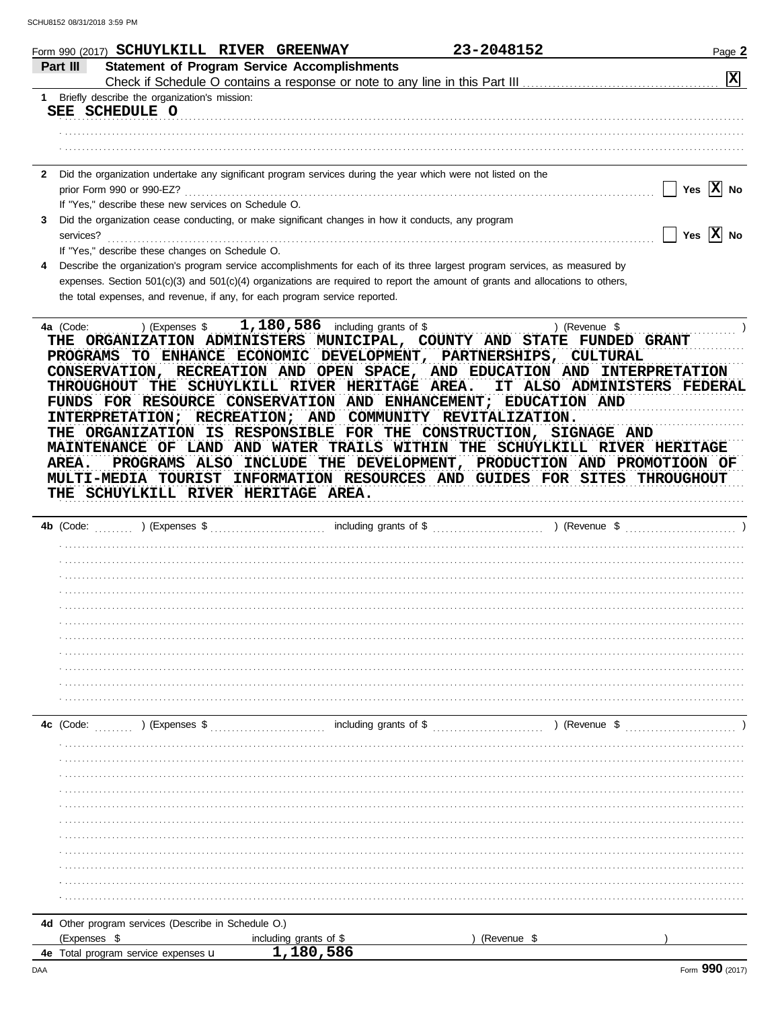|                        |                                                      | Form 990 (2017) SCHUYLKILL RIVER GREENWAY                                                                    | 23-2048152                                                                                                                                                                                                                                                                                                                                                                                            | Page 2                     |
|------------------------|------------------------------------------------------|--------------------------------------------------------------------------------------------------------------|-------------------------------------------------------------------------------------------------------------------------------------------------------------------------------------------------------------------------------------------------------------------------------------------------------------------------------------------------------------------------------------------------------|----------------------------|
| Part III               |                                                      | <b>Statement of Program Service Accomplishments</b>                                                          |                                                                                                                                                                                                                                                                                                                                                                                                       | $\overline{\mathbf{x}}$    |
|                        | 1 Briefly describe the organization's mission:       |                                                                                                              |                                                                                                                                                                                                                                                                                                                                                                                                       |                            |
|                        | SEE SCHEDULE O                                       |                                                                                                              |                                                                                                                                                                                                                                                                                                                                                                                                       |                            |
|                        |                                                      |                                                                                                              |                                                                                                                                                                                                                                                                                                                                                                                                       |                            |
|                        |                                                      |                                                                                                              |                                                                                                                                                                                                                                                                                                                                                                                                       |                            |
| $\mathbf{2}$           |                                                      | Did the organization undertake any significant program services during the year which were not listed on the |                                                                                                                                                                                                                                                                                                                                                                                                       |                            |
|                        | prior Form 990 or 990-EZ?                            |                                                                                                              |                                                                                                                                                                                                                                                                                                                                                                                                       | Yes $ \overline{X} $<br>No |
|                        | If "Yes," describe these new services on Schedule O. |                                                                                                              |                                                                                                                                                                                                                                                                                                                                                                                                       |                            |
| 3                      |                                                      | Did the organization cease conducting, or make significant changes in how it conducts, any program           |                                                                                                                                                                                                                                                                                                                                                                                                       |                            |
| services?              |                                                      |                                                                                                              |                                                                                                                                                                                                                                                                                                                                                                                                       | ΙX<br>Yes<br>No            |
| 4                      | If "Yes," describe these changes on Schedule O.      |                                                                                                              | Describe the organization's program service accomplishments for each of its three largest program services, as measured by                                                                                                                                                                                                                                                                            |                            |
|                        |                                                      |                                                                                                              | expenses. Section $501(c)(3)$ and $501(c)(4)$ organizations are required to report the amount of grants and allocations to others,                                                                                                                                                                                                                                                                    |                            |
|                        |                                                      | the total expenses, and revenue, if any, for each program service reported.                                  |                                                                                                                                                                                                                                                                                                                                                                                                       |                            |
|                        |                                                      |                                                                                                              |                                                                                                                                                                                                                                                                                                                                                                                                       |                            |
| <b>THROUGHOUT</b>      | ) (Expenses \$                                       | $1,180,586$ including grants of \$<br>THE SCHUYLKILL RIVER HERITAGE AREA.                                    | ) (Revenue \$<br>THE ORGANIZATION ADMINISTERS MUNICIPAL, COUNTY AND STATE FUNDED GRANT<br>PROGRAMS TO ENHANCE ECONOMIC DEVELOPMENT, PARTNERSHIPS, CULTURAL<br>CONSERVATION, RECREATION AND OPEN SPACE, AND EDUCATION AND INTERPRETATION<br>IT ALSO ADMINISTERS FEDERAL<br>FUNDS FOR RESOURCE CONSERVATION AND ENHANCEMENT; EDUCATION AND<br>INTERPRETATION; RECREATION; AND COMMUNITY REVITALIZATION. |                            |
| THE<br><b>AREA.</b>    |                                                      |                                                                                                              | ORGANIZATION IS RESPONSIBLE FOR THE CONSTRUCTION, SIGNAGE AND<br>MAINTENANCE OF LAND AND WATER TRAILS WITHIN THE SCHUYLKILL RIVER HERITAGE<br>PROGRAMS ALSO INCLUDE THE DEVELOPMENT, PRODUCTION AND PROMOTIOON OF<br>MULTI-MEDIA TOURIST INFORMATION RESOURCES AND GUIDES FOR SITES THROUGHOUT                                                                                                        |                            |
| 4a (Code:              |                                                      | SCHUYLKILL RIVER HERITAGE AREA.                                                                              |                                                                                                                                                                                                                                                                                                                                                                                                       |                            |
|                        | ) (Expenses \$                                       | including grants of \$                                                                                       | ) (Revenue \$                                                                                                                                                                                                                                                                                                                                                                                         |                            |
|                        |                                                      |                                                                                                              |                                                                                                                                                                                                                                                                                                                                                                                                       |                            |
|                        |                                                      |                                                                                                              |                                                                                                                                                                                                                                                                                                                                                                                                       |                            |
|                        |                                                      |                                                                                                              |                                                                                                                                                                                                                                                                                                                                                                                                       |                            |
|                        |                                                      |                                                                                                              |                                                                                                                                                                                                                                                                                                                                                                                                       |                            |
|                        |                                                      |                                                                                                              |                                                                                                                                                                                                                                                                                                                                                                                                       |                            |
|                        |                                                      |                                                                                                              |                                                                                                                                                                                                                                                                                                                                                                                                       |                            |
|                        |                                                      |                                                                                                              |                                                                                                                                                                                                                                                                                                                                                                                                       |                            |
|                        |                                                      |                                                                                                              |                                                                                                                                                                                                                                                                                                                                                                                                       |                            |
|                        |                                                      |                                                                                                              |                                                                                                                                                                                                                                                                                                                                                                                                       |                            |
|                        |                                                      |                                                                                                              |                                                                                                                                                                                                                                                                                                                                                                                                       |                            |
|                        |                                                      |                                                                                                              |                                                                                                                                                                                                                                                                                                                                                                                                       |                            |
| 4b (Code:<br>4c (Code: |                                                      |                                                                                                              |                                                                                                                                                                                                                                                                                                                                                                                                       |                            |

(Expenses \$

4d Other program services (Describe in Schedule O.)

4e Total program service expenses u

including grants of \$<br>1,180,586

) (Revenue \$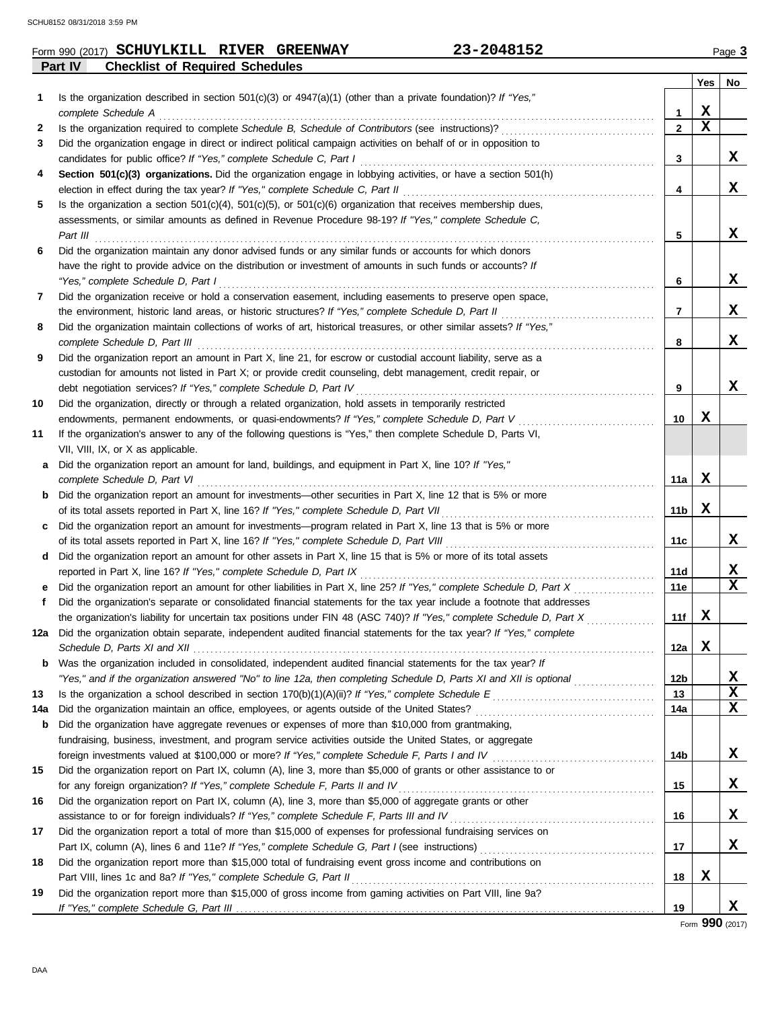|                | Form 990 (2017) SCHUYLKILL RIVER       | <b>GREENWAY</b> | 2048152 | $P$ aqe $\ddot{\phantom{2}}$ |
|----------------|----------------------------------------|-----------------|---------|------------------------------|
| <b>Part IV</b> | <b>Checklist of Required Schedules</b> |                 |         |                              |

|     |                                                                                                                                                                                                                                |                 | Yes         | No          |
|-----|--------------------------------------------------------------------------------------------------------------------------------------------------------------------------------------------------------------------------------|-----------------|-------------|-------------|
| 1   | Is the organization described in section $501(c)(3)$ or $4947(a)(1)$ (other than a private foundation)? If "Yes,"                                                                                                              |                 |             |             |
|     | complete Schedule A example of the state of the state of the state of the state of the state of the state of the state of the state of the state of the state of the state of the state of the state of the state of the state | 1               | X           |             |
| 2   |                                                                                                                                                                                                                                | $\mathbf{2}$    | $\mathbf x$ |             |
| 3   | Did the organization engage in direct or indirect political campaign activities on behalf of or in opposition to                                                                                                               |                 |             |             |
|     |                                                                                                                                                                                                                                | 3               |             | X           |
| 4   | Section 501(c)(3) organizations. Did the organization engage in lobbying activities, or have a section 501(h)                                                                                                                  |                 |             |             |
|     |                                                                                                                                                                                                                                | 4               |             | X           |
| 5   | Is the organization a section $501(c)(4)$ , $501(c)(5)$ , or $501(c)(6)$ organization that receives membership dues,                                                                                                           |                 |             |             |
|     | assessments, or similar amounts as defined in Revenue Procedure 98-19? If "Yes," complete Schedule C,                                                                                                                          |                 |             |             |
|     | Part III                                                                                                                                                                                                                       | 5               |             | x           |
| 6   | Did the organization maintain any donor advised funds or any similar funds or accounts for which donors                                                                                                                        |                 |             |             |
|     | have the right to provide advice on the distribution or investment of amounts in such funds or accounts? If                                                                                                                    |                 |             |             |
|     |                                                                                                                                                                                                                                | 6               |             | X           |
| 7   | Did the organization receive or hold a conservation easement, including easements to preserve open space,                                                                                                                      |                 |             |             |
|     | the environment, historic land areas, or historic structures? If "Yes," complete Schedule D, Part II                                                                                                                           | 7               |             | X           |
| 8   | Did the organization maintain collections of works of art, historical treasures, or other similar assets? If "Yes,"                                                                                                            |                 |             |             |
|     |                                                                                                                                                                                                                                | 8               |             | X           |
| 9   | Did the organization report an amount in Part X, line 21, for escrow or custodial account liability, serve as a                                                                                                                |                 |             |             |
|     | custodian for amounts not listed in Part X; or provide credit counseling, debt management, credit repair, or                                                                                                                   |                 |             |             |
|     | debt negotiation services? If "Yes," complete Schedule D, Part IV                                                                                                                                                              | 9               |             | x           |
| 10  | Did the organization, directly or through a related organization, hold assets in temporarily restricted                                                                                                                        |                 |             |             |
|     | endowments, permanent endowments, or quasi-endowments? If "Yes," complete Schedule D, Part V                                                                                                                                   | 10              | X           |             |
| 11  | If the organization's answer to any of the following questions is "Yes," then complete Schedule D, Parts VI,                                                                                                                   |                 |             |             |
|     | VII, VIII, IX, or X as applicable.                                                                                                                                                                                             |                 |             |             |
| a   | Did the organization report an amount for land, buildings, and equipment in Part X, line 10? If "Yes,"                                                                                                                         |                 |             |             |
|     | complete Schedule D, Part VI                                                                                                                                                                                                   | 11a             | X           |             |
|     | <b>b</b> Did the organization report an amount for investments—other securities in Part X, line 12 that is 5% or more                                                                                                          |                 |             |             |
|     | of its total assets reported in Part X, line 16? If "Yes," complete Schedule D, Part VII                                                                                                                                       | 11b             | X           |             |
|     | c Did the organization report an amount for investments—program related in Part X, line 13 that is 5% or more                                                                                                                  |                 |             | X           |
|     | of its total assets reported in Part X, line 16? If "Yes," complete Schedule D, Part VIII [[[[[[[[[[[[[[[[[[[[                                                                                                                 | 11c             |             |             |
|     | d Did the organization report an amount for other assets in Part X, line 15 that is 5% or more of its total assets                                                                                                             |                 |             | х           |
|     | reported in Part X, line 16? If "Yes," complete Schedule D, Part IX<br>e Did the organization report an amount for other liabilities in Part X, line 25? If "Yes," complete Schedule D, Part X                                 | 11d<br>11e      |             | $\mathbf x$ |
| f   | Did the organization's separate or consolidated financial statements for the tax year include a footnote that addresses                                                                                                        |                 |             |             |
|     | the organization's liability for uncertain tax positions under FIN 48 (ASC 740)? If "Yes," complete Schedule D, Part X                                                                                                         | 11f             | X           |             |
|     | 12a Did the organization obtain separate, independent audited financial statements for the tax year? If "Yes," complete                                                                                                        |                 |             |             |
|     |                                                                                                                                                                                                                                | 12a             | X.          |             |
|     | <b>b</b> Was the organization included in consolidated, independent audited financial statements for the tax year? If                                                                                                          |                 |             |             |
|     | "Yes," and if the organization answered "No" to line 12a, then completing Schedule D, Parts XI and XII is optional                                                                                                             | 12 <sub>b</sub> |             | х           |
| 13  |                                                                                                                                                                                                                                | 13              |             | $\mathbf x$ |
| 14a |                                                                                                                                                                                                                                | 14a             |             | X           |
| b   | Did the organization have aggregate revenues or expenses of more than \$10,000 from grantmaking,                                                                                                                               |                 |             |             |
|     | fundraising, business, investment, and program service activities outside the United States, or aggregate                                                                                                                      |                 |             |             |
|     |                                                                                                                                                                                                                                | 14b             |             | х           |
| 15  | Did the organization report on Part IX, column (A), line 3, more than \$5,000 of grants or other assistance to or                                                                                                              |                 |             |             |
|     | for any foreign organization? If "Yes," complete Schedule F, Parts II and IV                                                                                                                                                   | 15              |             | х           |
| 16  | Did the organization report on Part IX, column (A), line 3, more than \$5,000 of aggregate grants or other                                                                                                                     |                 |             |             |
|     |                                                                                                                                                                                                                                | 16              |             | х           |
| 17  | Did the organization report a total of more than \$15,000 of expenses for professional fundraising services on                                                                                                                 |                 |             |             |
|     |                                                                                                                                                                                                                                | 17              |             | x           |
| 18  | Did the organization report more than \$15,000 total of fundraising event gross income and contributions on                                                                                                                    |                 |             |             |
|     |                                                                                                                                                                                                                                | 18              | X           |             |
| 19  | Did the organization report more than \$15,000 of gross income from gaming activities on Part VIII, line 9a?                                                                                                                   |                 |             |             |
|     |                                                                                                                                                                                                                                | 19              |             | X           |

Form **990** (2017)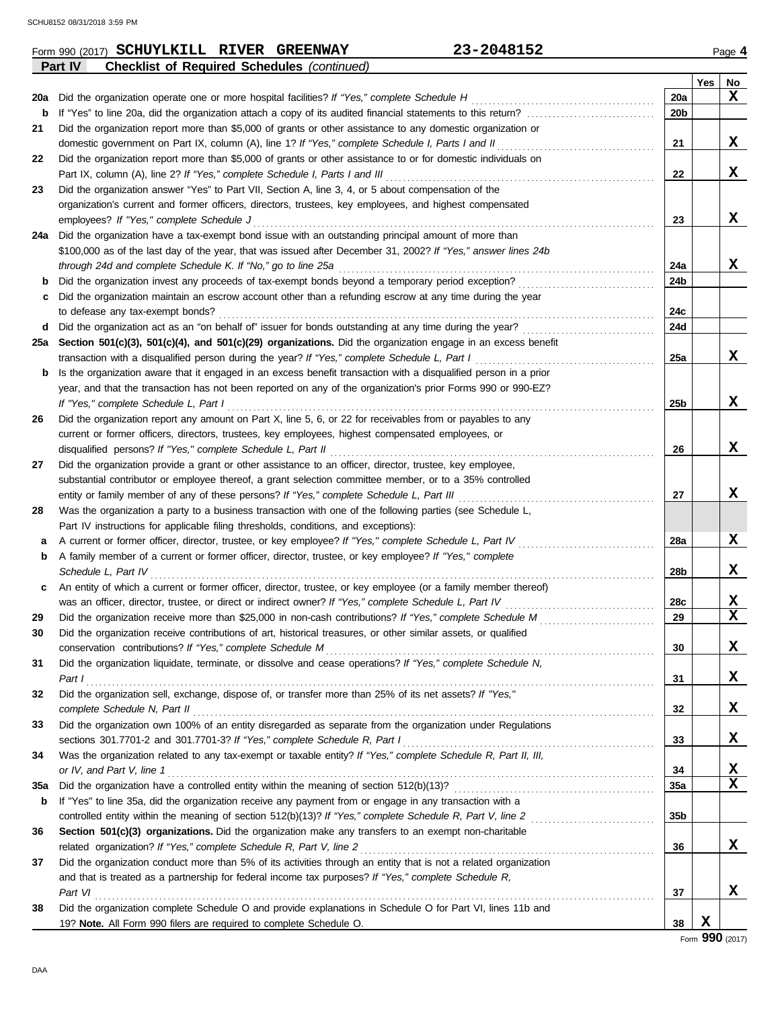|     | 23-2048152<br>Form 990 (2017) SCHUYLKILL RIVER GREENWAY                                                                                                                                                         |                 |     | Page 4                  |
|-----|-----------------------------------------------------------------------------------------------------------------------------------------------------------------------------------------------------------------|-----------------|-----|-------------------------|
|     | <b>Checklist of Required Schedules (continued)</b><br>Part IV                                                                                                                                                   |                 |     |                         |
|     |                                                                                                                                                                                                                 |                 | Yes | No                      |
| 20a | Did the organization operate one or more hospital facilities? If "Yes," complete Schedule H                                                                                                                     | 20a             |     | X                       |
| b   |                                                                                                                                                                                                                 | 20b             |     |                         |
| 21  | Did the organization report more than \$5,000 of grants or other assistance to any domestic organization or                                                                                                     |                 |     |                         |
|     | domestic government on Part IX, column (A), line 1? If "Yes," complete Schedule I, Parts I and II                                                                                                               | 21              |     | X                       |
| 22  | Did the organization report more than \$5,000 of grants or other assistance to or for domestic individuals on                                                                                                   |                 |     |                         |
|     | Part IX, column (A), line 2? If "Yes," complete Schedule I, Parts I and III                                                                                                                                     | 22              |     | X                       |
| 23  | Did the organization answer "Yes" to Part VII, Section A, line 3, 4, or 5 about compensation of the                                                                                                             |                 |     |                         |
|     | organization's current and former officers, directors, trustees, key employees, and highest compensated                                                                                                         |                 |     |                         |
|     | employees? If "Yes," complete Schedule J                                                                                                                                                                        | 23              |     | X                       |
|     | 24a Did the organization have a tax-exempt bond issue with an outstanding principal amount of more than                                                                                                         |                 |     |                         |
|     | \$100,000 as of the last day of the year, that was issued after December 31, 2002? If "Yes," answer lines 24b                                                                                                   |                 |     |                         |
|     | through 24d and complete Schedule K. If "No," go to line 25a                                                                                                                                                    | 24a             |     | X                       |
| b   | Did the organization invest any proceeds of tax-exempt bonds beyond a temporary period exception?                                                                                                               | 24b             |     |                         |
| С   | Did the organization maintain an escrow account other than a refunding escrow at any time during the year                                                                                                       |                 |     |                         |
|     | to defease any tax-exempt bonds?                                                                                                                                                                                | 24c             |     |                         |
|     | d Did the organization act as an "on behalf of" issuer for bonds outstanding at any time during the year?                                                                                                       | 24d             |     |                         |
|     | 25a Section 501(c)(3), 501(c)(4), and 501(c)(29) organizations. Did the organization engage in an excess benefit                                                                                                |                 |     |                         |
|     | transaction with a disqualified person during the year? If "Yes," complete Schedule L, Part I                                                                                                                   | 25a             |     | X                       |
| b   | Is the organization aware that it engaged in an excess benefit transaction with a disqualified person in a prior                                                                                                |                 |     |                         |
|     | year, and that the transaction has not been reported on any of the organization's prior Forms 990 or 990-EZ?                                                                                                    |                 |     | X                       |
|     | If "Yes," complete Schedule L, Part I                                                                                                                                                                           | 25b             |     |                         |
| 26  | Did the organization report any amount on Part X, line 5, 6, or 22 for receivables from or payables to any<br>current or former officers, directors, trustees, key employees, highest compensated employees, or |                 |     |                         |
|     | disqualified persons? If "Yes," complete Schedule L, Part II                                                                                                                                                    | 26              |     | X                       |
| 27  | Did the organization provide a grant or other assistance to an officer, director, trustee, key employee,                                                                                                        |                 |     |                         |
|     | substantial contributor or employee thereof, a grant selection committee member, or to a 35% controlled                                                                                                         |                 |     |                         |
|     | entity or family member of any of these persons? If "Yes," complete Schedule L, Part III                                                                                                                        | 27              |     | X                       |
| 28  | Was the organization a party to a business transaction with one of the following parties (see Schedule L,                                                                                                       |                 |     |                         |
|     | Part IV instructions for applicable filing thresholds, conditions, and exceptions):                                                                                                                             |                 |     |                         |
| а   | A current or former officer, director, trustee, or key employee? If "Yes," complete Schedule L, Part IV                                                                                                         | 28a             |     | X                       |
| b   | A family member of a current or former officer, director, trustee, or key employee? If "Yes," complete                                                                                                          |                 |     |                         |
|     | Schedule L, Part IV                                                                                                                                                                                             | 28b             |     | x                       |
| c   | An entity of which a current or former officer, director, trustee, or key employee (or a family member thereof)                                                                                                 |                 |     |                         |
|     | was an officer, director, trustee, or direct or indirect owner? If "Yes," complete Schedule L, Part IV                                                                                                          | 28c             |     | X                       |
| 29  |                                                                                                                                                                                                                 | 29              |     | $\overline{\textbf{x}}$ |
| 30  | Did the organization receive contributions of art, historical treasures, or other similar assets, or qualified                                                                                                  |                 |     |                         |
|     | conservation contributions? If "Yes," complete Schedule M                                                                                                                                                       | 30              |     | X                       |
| 31  | Did the organization liquidate, terminate, or dissolve and cease operations? If "Yes," complete Schedule N,                                                                                                     |                 |     |                         |
|     | Part I                                                                                                                                                                                                          | 31              |     | X                       |
| 32  | Did the organization sell, exchange, dispose of, or transfer more than 25% of its net assets? If "Yes,"                                                                                                         |                 |     |                         |
|     | complete Schedule N, Part II                                                                                                                                                                                    | 32              |     | X                       |
| 33  | Did the organization own 100% of an entity disregarded as separate from the organization under Regulations                                                                                                      |                 |     |                         |
|     | sections 301.7701-2 and 301.7701-3? If "Yes," complete Schedule R, Part I                                                                                                                                       | 33              |     | X                       |
| 34  | Was the organization related to any tax-exempt or taxable entity? If "Yes," complete Schedule R, Part II, III,                                                                                                  |                 |     |                         |
|     | or IV, and Part V, line 1                                                                                                                                                                                       | 34              |     | X                       |
| 35a | Did the organization have a controlled entity within the meaning of section 512(b)(13)?                                                                                                                         | 35a             |     | X                       |
| b   | If "Yes" to line 35a, did the organization receive any payment from or engage in any transaction with a                                                                                                         |                 |     |                         |
|     |                                                                                                                                                                                                                 | 35 <sub>b</sub> |     |                         |
| 36  | Section 501(c)(3) organizations. Did the organization make any transfers to an exempt non-charitable                                                                                                            |                 |     |                         |
|     | related organization? If "Yes," complete Schedule R, Part V, line 2                                                                                                                                             | 36              |     | X                       |
| 37  | Did the organization conduct more than 5% of its activities through an entity that is not a related organization                                                                                                |                 |     |                         |
|     | and that is treated as a partnership for federal income tax purposes? If "Yes," complete Schedule R,                                                                                                            |                 |     |                         |
|     | Part VI                                                                                                                                                                                                         | 37              |     | X                       |
| 38  | Did the organization complete Schedule O and provide explanations in Schedule O for Part VI, lines 11b and                                                                                                      |                 |     |                         |
|     | 19? Note. All Form 990 filers are required to complete Schedule O.                                                                                                                                              | 38              | X   |                         |

| GHU8152 08/31/2018 3:59 PM |  |
|----------------------------|--|
|                            |  |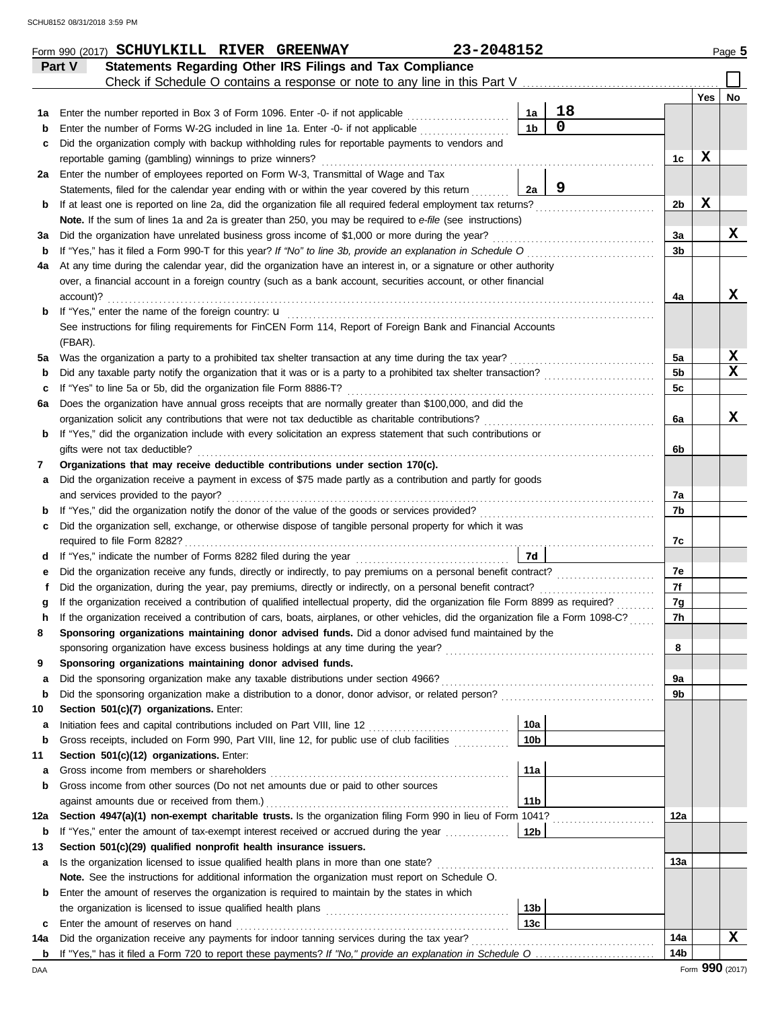|             | <b>Statements Regarding Other IRS Filings and Tax Compliance</b><br>Part V                                                                                                                                                       |                 |             |                 |                 |             |
|-------------|----------------------------------------------------------------------------------------------------------------------------------------------------------------------------------------------------------------------------------|-----------------|-------------|-----------------|-----------------|-------------|
|             | Check if Schedule O contains a response or note to any line in this Part V                                                                                                                                                       |                 |             |                 | <b>Yes</b>      | No          |
| 1а          | Enter the number reported in Box 3 of Form 1096. Enter -0- if not applicable                                                                                                                                                     | 1a              | 18          |                 |                 |             |
| b           | Enter the number of Forms W-2G included in line 1a. Enter -0- if not applicable <i>minimum</i>                                                                                                                                   | 1 <sub>b</sub>  | $\mathbf 0$ |                 |                 |             |
| c           | Did the organization comply with backup withholding rules for reportable payments to vendors and                                                                                                                                 |                 |             |                 |                 |             |
|             | reportable gaming (gambling) winnings to prize winners?<br>.                                                                                                                                                                     |                 |             | 1c              | X               |             |
| 2a          | Enter the number of employees reported on Form W-3, Transmittal of Wage and Tax                                                                                                                                                  |                 |             |                 |                 |             |
|             | Statements, filed for the calendar year ending with or within the year covered by this return                                                                                                                                    | 2a              | 9           |                 |                 |             |
| b           | If at least one is reported on line 2a, did the organization file all required federal employment tax returns?                                                                                                                   |                 |             | 2b              | X               |             |
|             | Note. If the sum of lines 1a and 2a is greater than 250, you may be required to e-file (see instructions)                                                                                                                        |                 |             |                 |                 |             |
| За          | Did the organization have unrelated business gross income of \$1,000 or more during the year?                                                                                                                                    |                 |             | 3a              |                 | X           |
| b           | If "Yes," has it filed a Form 990-T for this year? If "No" to line 3b, provide an explanation in Schedule O<br>At any time during the calendar year, did the organization have an interest in, or a signature or other authority |                 |             | 3b              |                 |             |
| 4a          | over, a financial account in a foreign country (such as a bank account, securities account, or other financial                                                                                                                   |                 |             |                 |                 |             |
|             | account)?                                                                                                                                                                                                                        |                 |             | 4a              |                 | x           |
| b           | If "Yes," enter the name of the foreign country: <b>u</b>                                                                                                                                                                        |                 |             |                 |                 |             |
|             | See instructions for filing requirements for FinCEN Form 114, Report of Foreign Bank and Financial Accounts                                                                                                                      |                 |             |                 |                 |             |
|             | (FBAR).                                                                                                                                                                                                                          |                 |             |                 |                 |             |
| 5a          | Was the organization a party to a prohibited tax shelter transaction at any time during the tax year?                                                                                                                            |                 |             | 5a              |                 | X           |
| b           | Did any taxable party notify the organization that it was or is a party to a prohibited tax shelter transaction?                                                                                                                 |                 |             | 5 <sub>b</sub>  |                 | $\mathbf x$ |
| C           | If "Yes" to line 5a or 5b, did the organization file Form 8886-T?                                                                                                                                                                |                 |             | 5c              |                 |             |
| 6а          | Does the organization have annual gross receipts that are normally greater than \$100,000, and did the                                                                                                                           |                 |             |                 |                 |             |
|             | organization solicit any contributions that were not tax deductible as charitable contributions?                                                                                                                                 |                 |             | 6a              |                 | x           |
| b           | If "Yes," did the organization include with every solicitation an express statement that such contributions or                                                                                                                   |                 |             |                 |                 |             |
|             | gifts were not tax deductible?                                                                                                                                                                                                   |                 |             | 6b              |                 |             |
| 7           | Organizations that may receive deductible contributions under section 170(c).                                                                                                                                                    |                 |             |                 |                 |             |
| а           | Did the organization receive a payment in excess of \$75 made partly as a contribution and partly for goods<br>and services provided to the payor?                                                                               |                 |             | 7a              |                 |             |
| b           | If "Yes," did the organization notify the donor of the value of the goods or services provided?                                                                                                                                  |                 |             | 7b              |                 |             |
| c           | Did the organization sell, exchange, or otherwise dispose of tangible personal property for which it was                                                                                                                         |                 |             |                 |                 |             |
|             | required to file Form 8282?                                                                                                                                                                                                      |                 |             | 7c              |                 |             |
| d           |                                                                                                                                                                                                                                  | 7d              |             |                 |                 |             |
| е           | Did the organization receive any funds, directly or indirectly, to pay premiums on a personal benefit contract?                                                                                                                  |                 |             | 7e              |                 |             |
| f           | Did the organization, during the year, pay premiums, directly or indirectly, on a personal benefit contract?                                                                                                                     |                 |             | 7f              |                 |             |
| g           | If the organization received a contribution of qualified intellectual property, did the organization file Form 8899 as required?                                                                                                 |                 |             | 7g              |                 |             |
| h           | If the organization received a contribution of cars, boats, airplanes, or other vehicles, did the organization file a Form 1098-C?                                                                                               |                 |             | 7h              |                 |             |
|             | Sponsoring organizations maintaining donor advised funds. Did a donor advised fund maintained by the                                                                                                                             |                 |             |                 |                 |             |
|             |                                                                                                                                                                                                                                  |                 |             | 8               |                 |             |
| 9           | Sponsoring organizations maintaining donor advised funds.                                                                                                                                                                        |                 |             |                 |                 |             |
| a           |                                                                                                                                                                                                                                  |                 |             | 9a              |                 |             |
| b           | Did the sponsoring organization make a distribution to a donor, donor advisor, or related person?<br>Section 501(c)(7) organizations. Enter:                                                                                     |                 |             | 9b              |                 |             |
| 10<br>а     |                                                                                                                                                                                                                                  | 10a             |             |                 |                 |             |
| $\mathbf b$ | Gross receipts, included on Form 990, Part VIII, line 12, for public use of club facilities                                                                                                                                      | 10 <sub>b</sub> |             |                 |                 |             |
| 11          | Section 501(c)(12) organizations. Enter:                                                                                                                                                                                         |                 |             |                 |                 |             |
| а           | Gross income from members or shareholders                                                                                                                                                                                        | 11a             |             |                 |                 |             |
| b           | Gross income from other sources (Do not net amounts due or paid to other sources                                                                                                                                                 |                 |             |                 |                 |             |
|             | against amounts due or received from them.)                                                                                                                                                                                      | 11 <sub>b</sub> |             |                 |                 |             |
| 12a         | Section 4947(a)(1) non-exempt charitable trusts. Is the organization filing Form 990 in lieu of Form 1041?                                                                                                                       |                 |             | 12a             |                 |             |
| b           | If "Yes," enter the amount of tax-exempt interest received or accrued during the year manu-                                                                                                                                      | 12b             |             |                 |                 |             |
| 13          | Section 501(c)(29) qualified nonprofit health insurance issuers.                                                                                                                                                                 |                 |             |                 |                 |             |
| а           | Is the organization licensed to issue qualified health plans in more than one state?                                                                                                                                             |                 |             | 13а             |                 |             |
|             | Note. See the instructions for additional information the organization must report on Schedule O.                                                                                                                                |                 |             |                 |                 |             |
| b           | Enter the amount of reserves the organization is required to maintain by the states in which                                                                                                                                     |                 |             |                 |                 |             |
|             |                                                                                                                                                                                                                                  | 13 <sub>b</sub> |             |                 |                 |             |
| c           | Enter the amount of reserves on hand<br>Did the organization receive any payments for indoor tanning services during the tax year?                                                                                               | 13 <sub>c</sub> |             | 14a             |                 | х           |
| 14a<br>b    | If "Yes," has it filed a Form 720 to report these payments? If "No," provide an explanation in Schedule 0                                                                                                                        |                 |             | 14 <sub>b</sub> |                 |             |
| DAA         |                                                                                                                                                                                                                                  |                 |             |                 | Form 990 (2017) |             |

Form 990 (2017) Page **5 SCHUYLKILL RIVER GREENWAY 23-2048152**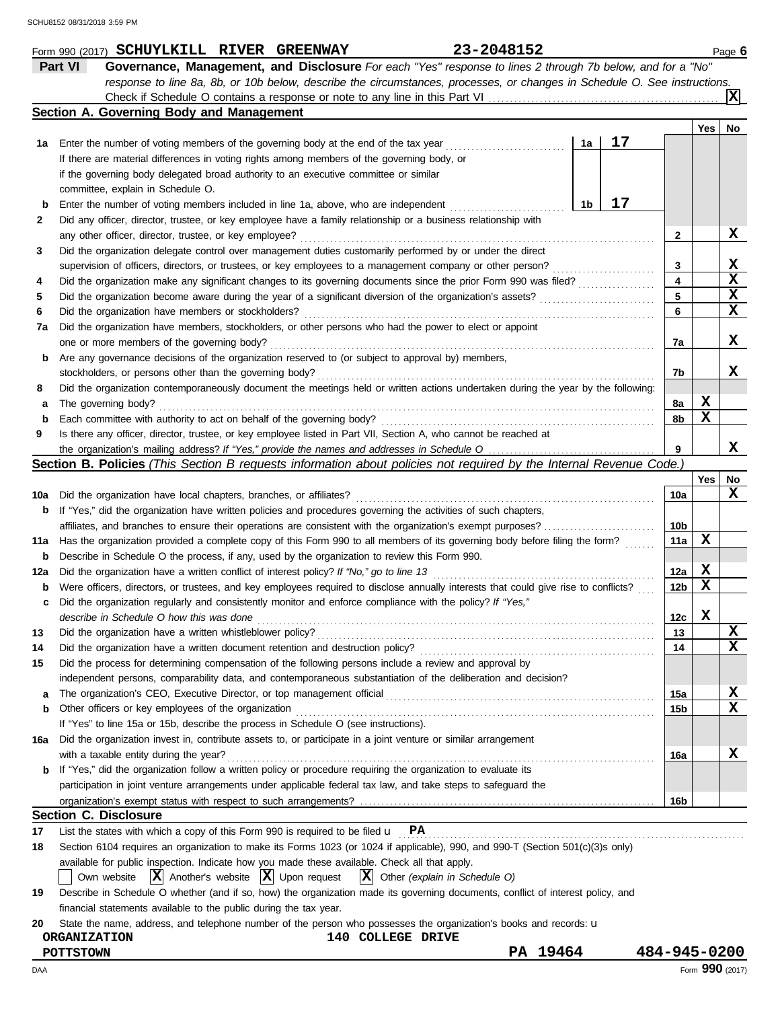|     | Part VI<br>Governance, Management, and Disclosure For each "Yes" response to lines 2 through 7b below, and for a "No"                                               |              |       |                 |
|-----|---------------------------------------------------------------------------------------------------------------------------------------------------------------------|--------------|-------|-----------------|
|     | response to line 8a, 8b, or 10b below, describe the circumstances, processes, or changes in Schedule O. See instructions.                                           |              |       |                 |
|     |                                                                                                                                                                     |              |       | X               |
|     | Section A. Governing Body and Management                                                                                                                            |              |       |                 |
|     | 17                                                                                                                                                                  |              | Yes l | No              |
| 1a  | Enter the number of voting members of the governing body at the end of the tax year<br>1a                                                                           |              |       |                 |
|     | If there are material differences in voting rights among members of the governing body, or                                                                          |              |       |                 |
|     | if the governing body delegated broad authority to an executive committee or similar                                                                                |              |       |                 |
|     | committee, explain in Schedule O.                                                                                                                                   |              |       |                 |
| b   | 17<br>1b<br>Enter the number of voting members included in line 1a, above, who are independent                                                                      |              |       |                 |
| 2   | Did any officer, director, trustee, or key employee have a family relationship or a business relationship with                                                      |              |       |                 |
|     | any other officer, director, trustee, or key employee?                                                                                                              | 2            |       | x               |
| 3   | Did the organization delegate control over management duties customarily performed by or under the direct                                                           |              |       |                 |
|     | supervision of officers, directors, or trustees, or key employees to a management company or other person?<br><u> 1966 - Johann Stoff, amerikansk fotograf er s</u> | 3            |       | x               |
| 4   | Did the organization make any significant changes to its governing documents since the prior Form 990 was filed?                                                    | 4            |       | $\mathbf x$     |
| 5   | Did the organization become aware during the year of a significant diversion of the organization's assets?                                                          | 5            |       | X               |
| 6   | Did the organization have members or stockholders?                                                                                                                  | 6            |       | X               |
| 7a  | Did the organization have members, stockholders, or other persons who had the power to elect or appoint                                                             |              |       |                 |
|     | one or more members of the governing body?                                                                                                                          | 7a           |       | x               |
| b   | Are any governance decisions of the organization reserved to (or subject to approval by) members,                                                                   |              |       |                 |
|     | stockholders, or persons other than the governing body?                                                                                                             | 7b           |       | x               |
| 8   | Did the organization contemporaneously document the meetings held or written actions undertaken during the year by the following:                                   |              |       |                 |
| а   | The governing body?                                                                                                                                                 | 8а           | X     |                 |
| b   | Each committee with authority to act on behalf of the governing body?                                                                                               | 8b           | х     |                 |
| 9   | Is there any officer, director, trustee, or key employee listed in Part VII, Section A, who cannot be reached at                                                    |              |       |                 |
|     |                                                                                                                                                                     | 9            |       | x               |
|     | Section B. Policies (This Section B requests information about policies not required by the Internal Revenue Code.                                                  |              |       |                 |
|     |                                                                                                                                                                     |              | Yes   | No              |
| 10a | Did the organization have local chapters, branches, or affiliates?                                                                                                  | 10a          |       | х               |
| b   | If "Yes," did the organization have written policies and procedures governing the activities of such chapters,                                                      |              |       |                 |
|     |                                                                                                                                                                     | 10b          |       |                 |
| 11a | Has the organization provided a complete copy of this Form 990 to all members of its governing body before filing the form?                                         | 11a          | х     |                 |
| b   | Describe in Schedule O the process, if any, used by the organization to review this Form 990.                                                                       |              |       |                 |
| 12a | Did the organization have a written conflict of interest policy? If "No," go to line 13                                                                             | 12a          | X     |                 |
| b   | Were officers, directors, or trustees, and key employees required to disclose annually interests that could give rise to conflicts?                                 | 12b          | х     |                 |
| c   | Did the organization regularly and consistently monitor and enforce compliance with the policy? If "Yes,"                                                           |              |       |                 |
|     | describe in Schedule O how this was done                                                                                                                            | 12c          | X     |                 |
| 13  | Did the organization have a written whistleblower policy?                                                                                                           | 13           |       | X               |
| 14  | Did the organization have a written document retention and destruction policy?                                                                                      | 14           |       | $\mathbf x$     |
| 15  | Did the process for determining compensation of the following persons include a review and approval by                                                              |              |       |                 |
|     | independent persons, comparability data, and contemporaneous substantiation of the deliberation and decision?                                                       |              |       |                 |
| а   |                                                                                                                                                                     | 15a          |       | x               |
| b   | Other officers or key employees of the organization                                                                                                                 | 15b          |       | X               |
|     | If "Yes" to line 15a or 15b, describe the process in Schedule O (see instructions).                                                                                 |              |       |                 |
| 16a | Did the organization invest in, contribute assets to, or participate in a joint venture or similar arrangement                                                      |              |       |                 |
|     | with a taxable entity during the year?                                                                                                                              | 16a          |       | x               |
| b   | If "Yes," did the organization follow a written policy or procedure requiring the organization to evaluate its                                                      |              |       |                 |
|     | participation in joint venture arrangements under applicable federal tax law, and take steps to safeguard the                                                       |              |       |                 |
|     |                                                                                                                                                                     | 16b          |       |                 |
|     | <b>Section C. Disclosure</b>                                                                                                                                        |              |       |                 |
| 17  | List the states with which a copy of this Form 990 is required to be filed $\mathbf{u}$ PA                                                                          |              |       |                 |
| 18  | Section 6104 requires an organization to make its Forms 1023 (or 1024 if applicable), 990, and 990-T (Section 501(c)(3)s only)                                      |              |       |                 |
|     | available for public inspection. Indicate how you made these available. Check all that apply.                                                                       |              |       |                 |
|     | Own website $ \mathbf{X} $ Another's website $ \mathbf{X} $ Upon request<br>$ \mathbf{X} $ Other (explain in Schedule O)                                            |              |       |                 |
| 19  | Describe in Schedule O whether (and if so, how) the organization made its governing documents, conflict of interest policy, and                                     |              |       |                 |
|     | financial statements available to the public during the tax year.                                                                                                   |              |       |                 |
| 20  | State the name, address, and telephone number of the person who possesses the organization's books and records: u                                                   |              |       |                 |
|     | 140 COLLEGE DRIVE<br><b>ORGANIZATION</b>                                                                                                                            |              |       |                 |
|     | PA 19464<br><b>POTTSTOWN</b>                                                                                                                                        | 484-945-0200 |       |                 |
| DAA |                                                                                                                                                                     |              |       | Form 990 (2017) |

Form 990 (2017) **SCHUYLKILL RIVER GREENWAY** 23-2048152 Page 6

**SCHUYLKILL RIVER GREENWAY 23-2048152**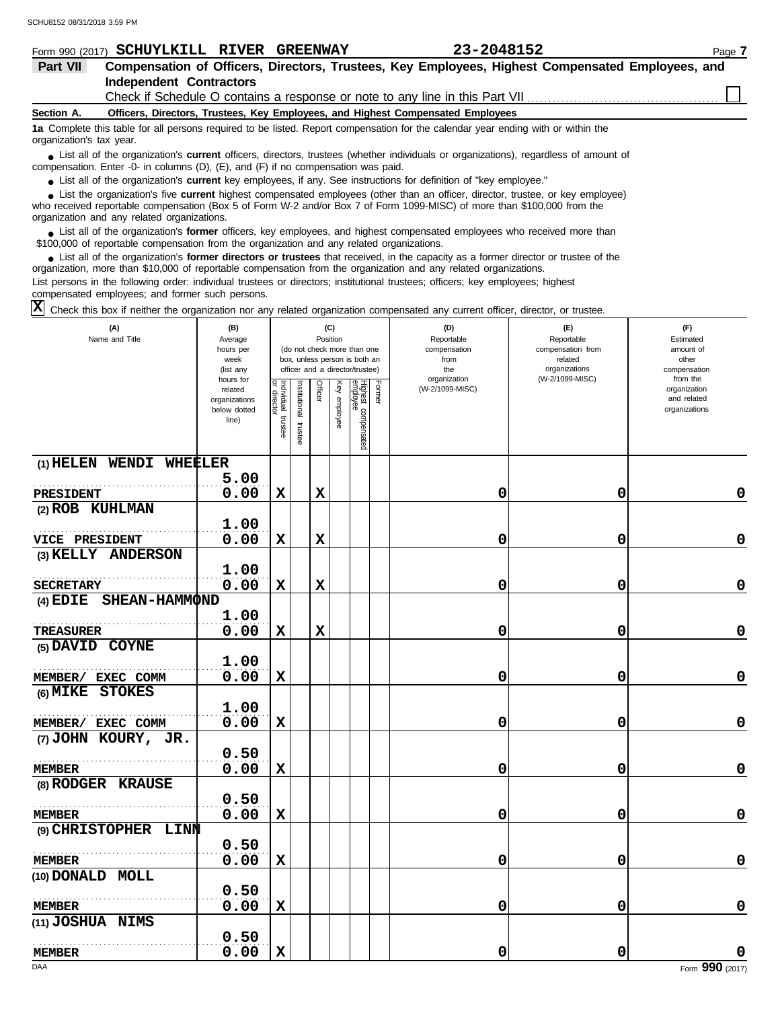| Form 990 (2017)                                                                                                                                                                                                                     | SCHUYLKILL RIVER<br><b>GREENWAY</b>                                                                                               | 23-2048152                                                                                       | Page 7 |  |  |  |  |  |  |
|-------------------------------------------------------------------------------------------------------------------------------------------------------------------------------------------------------------------------------------|-----------------------------------------------------------------------------------------------------------------------------------|--------------------------------------------------------------------------------------------------|--------|--|--|--|--|--|--|
| Part VII                                                                                                                                                                                                                            |                                                                                                                                   | Compensation of Officers, Directors, Trustees, Key Employees, Highest Compensated Employees, and |        |  |  |  |  |  |  |
|                                                                                                                                                                                                                                     | <b>Independent Contractors</b>                                                                                                    |                                                                                                  |        |  |  |  |  |  |  |
|                                                                                                                                                                                                                                     |                                                                                                                                   |                                                                                                  |        |  |  |  |  |  |  |
| Section A.                                                                                                                                                                                                                          | Officers, Directors, Trustees, Key Employees, and Highest Compensated Employees                                                   |                                                                                                  |        |  |  |  |  |  |  |
| organization's tax year.                                                                                                                                                                                                            | 1a Complete this table for all persons required to be listed. Report compensation for the calendar year ending with or within the |                                                                                                  |        |  |  |  |  |  |  |
| • List all of the organization's current officers, directors, trustees (whether individuals or organizations), regardless of amount of<br>compensation. Enter -0- in columns $(D)$ , $(E)$ , and $(F)$ if no compensation was paid. |                                                                                                                                   |                                                                                                  |        |  |  |  |  |  |  |
|                                                                                                                                                                                                                                     | • List all of the organization's current key employees, if any. See instructions for definition of "key employee."                |                                                                                                  |        |  |  |  |  |  |  |
|                                                                                                                                                                                                                                     | • List the organization's five current highest compensated employees (other than an officer, director, trustee, or key employee)  |                                                                                                  |        |  |  |  |  |  |  |

who received reportable compensation (Box 5 of Form W-2 and/or Box 7 of Form 1099-MISC) of more than \$100,000 from the organization and any related organizations. **•**

■ List all of the organization's **former** officers, key employees, and highest compensated employees who received more than<br> **•** 00,000 of reportable compensation from the ergonization and any related ergonizations \$100,000 of reportable compensation from the organization and any related organizations.

■ List all of the organization's **former directors or trustees** that received, in the capacity as a former director or trustee of the<br>paization, more than \$10,000 of reportable compensation from the organization and any r organization, more than \$10,000 of reportable compensation from the organization and any related organizations. List persons in the following order: individual trustees or directors; institutional trustees; officers; key employees; highest

compensated employees; and former such persons.

 $\overline{X}$  Check this box if neither the organization nor any related organization compensated any current officer, director, or trustee.

| (A)<br>Name and Title              | (B)<br>Average<br>hours per<br>week<br>(list any<br>hours for |                                      |                          | Position    | (C)             | (do not check more than one<br>box, unless person is both an<br>officer and a director/trustee) |        | (D)<br>Reportable<br>compensation<br>from<br>the<br>organization | (E)<br>Reportable<br>compensation from<br>related<br>organizations<br>(W-2/1099-MISC) | (F)<br>Estimated<br>amount of<br>other<br>compensation<br>from the |
|------------------------------------|---------------------------------------------------------------|--------------------------------------|--------------------------|-------------|-----------------|-------------------------------------------------------------------------------------------------|--------|------------------------------------------------------------------|---------------------------------------------------------------------------------------|--------------------------------------------------------------------|
|                                    | related<br>organizations<br>below dotted<br>line)             | Individual<br>or director<br>trustee | Institutional<br>trustee | Officer     | Key<br>employee | Highest compensated<br>employee                                                                 | Former | (W-2/1099-MISC)                                                  |                                                                                       | organization<br>and related<br>organizations                       |
| $(1)$ HELEN WENDI WHEELER          |                                                               |                                      |                          |             |                 |                                                                                                 |        |                                                                  |                                                                                       |                                                                    |
| <b>PRESIDENT</b>                   | 5.00<br>0.00                                                  | X                                    |                          | $\mathbf x$ |                 |                                                                                                 |        | 0                                                                | 0                                                                                     | 0                                                                  |
| (2) ROB KUHLMAN                    |                                                               |                                      |                          |             |                 |                                                                                                 |        |                                                                  |                                                                                       |                                                                    |
|                                    | 1.00                                                          |                                      |                          |             |                 |                                                                                                 |        |                                                                  |                                                                                       |                                                                    |
| <b>VICE PRESIDENT</b>              | 0.00                                                          | $\mathbf x$                          |                          | $\mathbf x$ |                 |                                                                                                 |        | 0                                                                | 0                                                                                     | 0                                                                  |
| (3) KELLY ANDERSON                 |                                                               |                                      |                          |             |                 |                                                                                                 |        |                                                                  |                                                                                       |                                                                    |
|                                    | 1.00                                                          |                                      |                          |             |                 |                                                                                                 |        |                                                                  |                                                                                       |                                                                    |
| <b>SECRETARY</b>                   | 0.00                                                          | $\mathbf x$                          |                          | $\mathbf x$ |                 |                                                                                                 |        | 0                                                                | 0                                                                                     | 0                                                                  |
| (4) EDIE SHEAN-HAMMOND             |                                                               |                                      |                          |             |                 |                                                                                                 |        |                                                                  |                                                                                       |                                                                    |
| <b>TREASURER</b>                   | 1.00<br>0.00                                                  | $\mathbf x$                          |                          | $\mathbf x$ |                 |                                                                                                 |        | 0                                                                | 0                                                                                     | 0                                                                  |
| (5) DAVID COYNE                    |                                                               |                                      |                          |             |                 |                                                                                                 |        |                                                                  |                                                                                       |                                                                    |
|                                    | 1.00                                                          |                                      |                          |             |                 |                                                                                                 |        |                                                                  |                                                                                       |                                                                    |
| <b>MEMBER/</b><br>EXEC COMM        | 0.00                                                          | $\mathbf x$                          |                          |             |                 |                                                                                                 |        | 0                                                                | 0                                                                                     | 0                                                                  |
| <b>STOKES</b><br>(6) <b>MIKE</b>   |                                                               |                                      |                          |             |                 |                                                                                                 |        |                                                                  |                                                                                       |                                                                    |
|                                    | 1.00                                                          |                                      |                          |             |                 |                                                                                                 |        |                                                                  |                                                                                       |                                                                    |
| MEMBER/ EXEC COMM                  | 0.00                                                          | $\mathbf x$                          |                          |             |                 |                                                                                                 |        | 0                                                                | 0                                                                                     | 0                                                                  |
| (7) JOHN KOURY, JR.                |                                                               |                                      |                          |             |                 |                                                                                                 |        |                                                                  |                                                                                       |                                                                    |
|                                    | 0.50                                                          |                                      |                          |             |                 |                                                                                                 |        |                                                                  |                                                                                       |                                                                    |
| <b>MEMBER</b><br>(8) RODGER KRAUSE | 0.00                                                          | $\mathbf x$                          |                          |             |                 |                                                                                                 |        | 0                                                                | 0                                                                                     | $\mathbf 0$                                                        |
|                                    | 0.50                                                          |                                      |                          |             |                 |                                                                                                 |        |                                                                  |                                                                                       |                                                                    |
| <b>MEMBER</b>                      | 0.00                                                          | $\mathbf x$                          |                          |             |                 |                                                                                                 |        | 0                                                                | 0                                                                                     | 0                                                                  |
| (9) CHRISTOPHER LINN               |                                                               |                                      |                          |             |                 |                                                                                                 |        |                                                                  |                                                                                       |                                                                    |
|                                    | 0.50                                                          |                                      |                          |             |                 |                                                                                                 |        |                                                                  |                                                                                       |                                                                    |
| <b>MEMBER</b>                      | 0.00                                                          | X                                    |                          |             |                 |                                                                                                 |        | 0                                                                | 0                                                                                     | 0                                                                  |
| (10) DONALD MOLL                   |                                                               |                                      |                          |             |                 |                                                                                                 |        |                                                                  |                                                                                       |                                                                    |
|                                    | 0.50                                                          |                                      |                          |             |                 |                                                                                                 |        |                                                                  |                                                                                       |                                                                    |
| <b>MEMBER</b>                      | 0.00                                                          | $\mathbf x$                          |                          |             |                 |                                                                                                 |        | 0                                                                | 0                                                                                     | 0                                                                  |
| (11) JOSHUA NIMS                   | 0.50                                                          |                                      |                          |             |                 |                                                                                                 |        |                                                                  |                                                                                       |                                                                    |
| <b>MEMBER</b>                      | 0.00                                                          | $\mathbf x$                          |                          |             |                 |                                                                                                 |        | 0                                                                | 0                                                                                     | 0                                                                  |
|                                    |                                                               |                                      |                          |             |                 |                                                                                                 |        |                                                                  |                                                                                       |                                                                    |

DAA Form **990** (2017)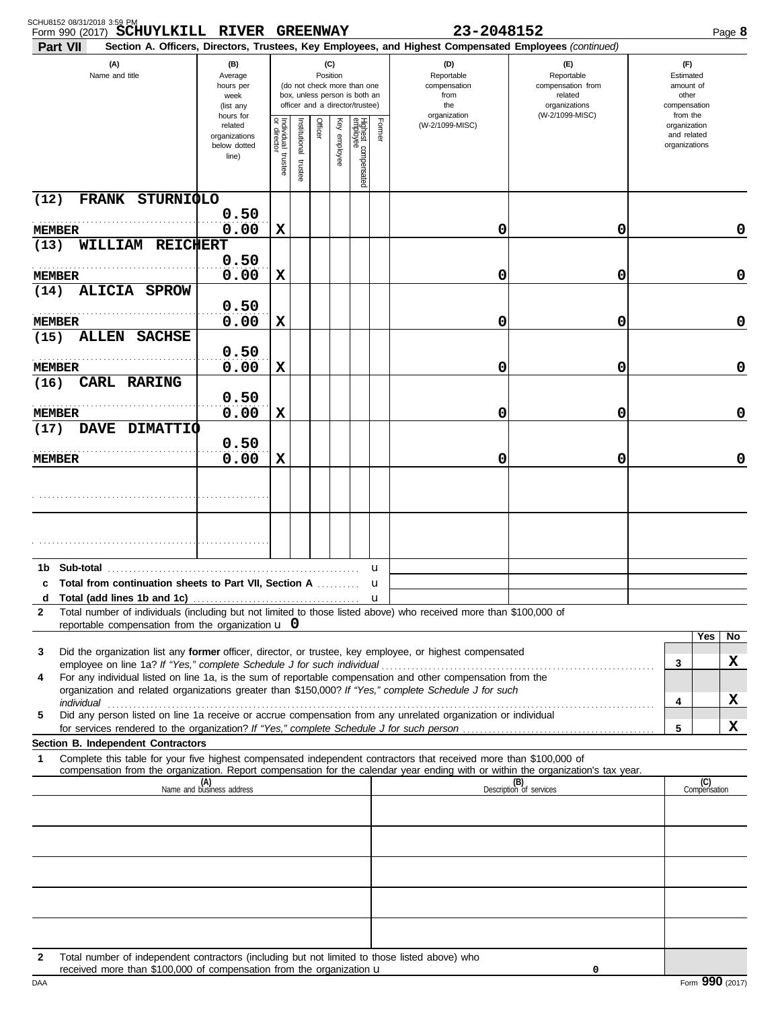| SCHU8152 08/31/2018 3:59 PM<br>Form 990 (2017) SCHUYLKILL RIVER GREENWAY<br>Part VII                                                                                                                                      |                                                                |                                   |                         |                 |              |                                                                                                 |              | 23-2048152<br>Section A. Officers, Directors, Trustees, Key Employees, and Highest Compensated Employees (continued) |                                                                    | Page 8                                                   |
|---------------------------------------------------------------------------------------------------------------------------------------------------------------------------------------------------------------------------|----------------------------------------------------------------|-----------------------------------|-------------------------|-----------------|--------------|-------------------------------------------------------------------------------------------------|--------------|----------------------------------------------------------------------------------------------------------------------|--------------------------------------------------------------------|----------------------------------------------------------|
| (A)<br>Name and title                                                                                                                                                                                                     | (B)<br>Average<br>hours per<br>week<br>(list any               |                                   |                         | (C)<br>Position |              | (do not check more than one<br>box, unless person is both an<br>officer and a director/trustee) |              | (D)<br>Reportable<br>compensation<br>from<br>the                                                                     | (E)<br>Reportable<br>compensation from<br>related<br>organizations | (F)<br>Estimated<br>amount of<br>other<br>compensation   |
|                                                                                                                                                                                                                           | hours for<br>related<br>organizations<br>below dotted<br>line) | Individual trustee<br>or director | nstitutional<br>trustee | Officer         | Key employee | Highest compensated<br>employee                                                                 | Former       | organization<br>(W-2/1099-MISC)                                                                                      | (W-2/1099-MISC)                                                    | from the<br>organization<br>and related<br>organizations |
| FRANK STURNIQLO<br>(12)                                                                                                                                                                                                   | 0.50                                                           |                                   |                         |                 |              |                                                                                                 |              |                                                                                                                      |                                                                    |                                                          |
| MEMBER                                                                                                                                                                                                                    | 0.00                                                           | X                                 |                         |                 |              |                                                                                                 |              | 0                                                                                                                    | 0                                                                  | 0                                                        |
| WILLIAM REICHERT<br>(13)                                                                                                                                                                                                  |                                                                |                                   |                         |                 |              |                                                                                                 |              |                                                                                                                      |                                                                    |                                                          |
| <b>MEMBER</b>                                                                                                                                                                                                             | 0.50<br>0.00                                                   | X                                 |                         |                 |              |                                                                                                 |              | 0                                                                                                                    | 0                                                                  | $\mathbf 0$                                              |
| <b>ALICIA SPROW</b><br>(14)                                                                                                                                                                                               |                                                                |                                   |                         |                 |              |                                                                                                 |              |                                                                                                                      |                                                                    |                                                          |
| <b>MEMBER</b>                                                                                                                                                                                                             | 0.50<br>0.00                                                   | X                                 |                         |                 |              |                                                                                                 |              | 0                                                                                                                    | 0                                                                  | $\mathbf 0$                                              |
| <b>ALLEN</b><br><b>SACHSE</b><br>(15)                                                                                                                                                                                     |                                                                |                                   |                         |                 |              |                                                                                                 |              |                                                                                                                      |                                                                    |                                                          |
| MEMBER                                                                                                                                                                                                                    | 0.50<br>0.00                                                   | X                                 |                         |                 |              |                                                                                                 |              | 0                                                                                                                    | 0                                                                  | $\mathbf 0$                                              |
| CARL RARING<br>(16)                                                                                                                                                                                                       |                                                                |                                   |                         |                 |              |                                                                                                 |              |                                                                                                                      |                                                                    |                                                          |
| <b>MEMBER</b>                                                                                                                                                                                                             | 0.50<br>0.00                                                   | X                                 |                         |                 |              |                                                                                                 |              | 0                                                                                                                    | 0                                                                  | $\mathbf 0$                                              |
| DAVE DIMATTIO<br>(17)                                                                                                                                                                                                     |                                                                |                                   |                         |                 |              |                                                                                                 |              |                                                                                                                      |                                                                    |                                                          |
| <b>MEMBER</b>                                                                                                                                                                                                             | 0.50<br>0.00                                                   | X                                 |                         |                 |              |                                                                                                 |              | 0                                                                                                                    | 0                                                                  | $\mathbf 0$                                              |
|                                                                                                                                                                                                                           |                                                                |                                   |                         |                 |              |                                                                                                 |              |                                                                                                                      |                                                                    |                                                          |
|                                                                                                                                                                                                                           |                                                                |                                   |                         |                 |              |                                                                                                 |              |                                                                                                                      |                                                                    |                                                          |
|                                                                                                                                                                                                                           |                                                                |                                   |                         |                 |              |                                                                                                 | u            |                                                                                                                      |                                                                    |                                                          |
| c Total from continuation sheets to Part VII, Section A                                                                                                                                                                   |                                                                |                                   |                         |                 |              |                                                                                                 | u            |                                                                                                                      |                                                                    |                                                          |
| d<br>Total number of individuals (including but not limited to those listed above) who received more than \$100,000 of<br>$\mathbf{2}$                                                                                    |                                                                |                                   |                         |                 |              |                                                                                                 | $\mathbf{u}$ |                                                                                                                      |                                                                    |                                                          |
| reportable compensation from the organization $\bf{u}$ 0                                                                                                                                                                  |                                                                |                                   |                         |                 |              |                                                                                                 |              |                                                                                                                      |                                                                    | Yes<br>No                                                |
| Did the organization list any former officer, director, or trustee, key employee, or highest compensated<br>3                                                                                                             |                                                                |                                   |                         |                 |              |                                                                                                 |              |                                                                                                                      |                                                                    | X<br>3                                                   |
| For any individual listed on line 1a, is the sum of reportable compensation and other compensation from the<br>4<br>organization and related organizations greater than \$150,000? If "Yes," complete Schedule J for such |                                                                |                                   |                         |                 |              |                                                                                                 |              |                                                                                                                      |                                                                    |                                                          |
| Did any person listed on line 1a receive or accrue compensation from any unrelated organization or individual<br>5                                                                                                        |                                                                |                                   |                         |                 |              |                                                                                                 |              |                                                                                                                      |                                                                    | X<br>4                                                   |
|                                                                                                                                                                                                                           |                                                                |                                   |                         |                 |              |                                                                                                 |              |                                                                                                                      |                                                                    | X<br>5                                                   |
| Section B. Independent Contractors<br>Complete this table for your five highest compensated independent contractors that received more than \$100,000 of<br>1                                                             |                                                                |                                   |                         |                 |              |                                                                                                 |              |                                                                                                                      |                                                                    |                                                          |
| compensation from the organization. Report compensation for the calendar year ending with or within the organization's tax year.                                                                                          |                                                                |                                   |                         |                 |              |                                                                                                 |              |                                                                                                                      |                                                                    |                                                          |
|                                                                                                                                                                                                                           | (A)<br>Name and business address                               |                                   |                         |                 |              |                                                                                                 |              |                                                                                                                      | (B)<br>Description of services                                     | (C)<br>Compensation                                      |
|                                                                                                                                                                                                                           |                                                                |                                   |                         |                 |              |                                                                                                 |              |                                                                                                                      |                                                                    |                                                          |
|                                                                                                                                                                                                                           |                                                                |                                   |                         |                 |              |                                                                                                 |              |                                                                                                                      |                                                                    |                                                          |
|                                                                                                                                                                                                                           |                                                                |                                   |                         |                 |              |                                                                                                 |              |                                                                                                                      |                                                                    |                                                          |
|                                                                                                                                                                                                                           |                                                                |                                   |                         |                 |              |                                                                                                 |              |                                                                                                                      |                                                                    |                                                          |
|                                                                                                                                                                                                                           |                                                                |                                   |                         |                 |              |                                                                                                 |              |                                                                                                                      |                                                                    |                                                          |
| Total number of independent contractors (including but not limited to those listed above) who<br>$\mathbf{2}$                                                                                                             |                                                                |                                   |                         |                 |              |                                                                                                 |              |                                                                                                                      |                                                                    |                                                          |
| received more than \$100,000 of compensation from the organization u                                                                                                                                                      |                                                                |                                   |                         |                 |              |                                                                                                 |              |                                                                                                                      | 0                                                                  |                                                          |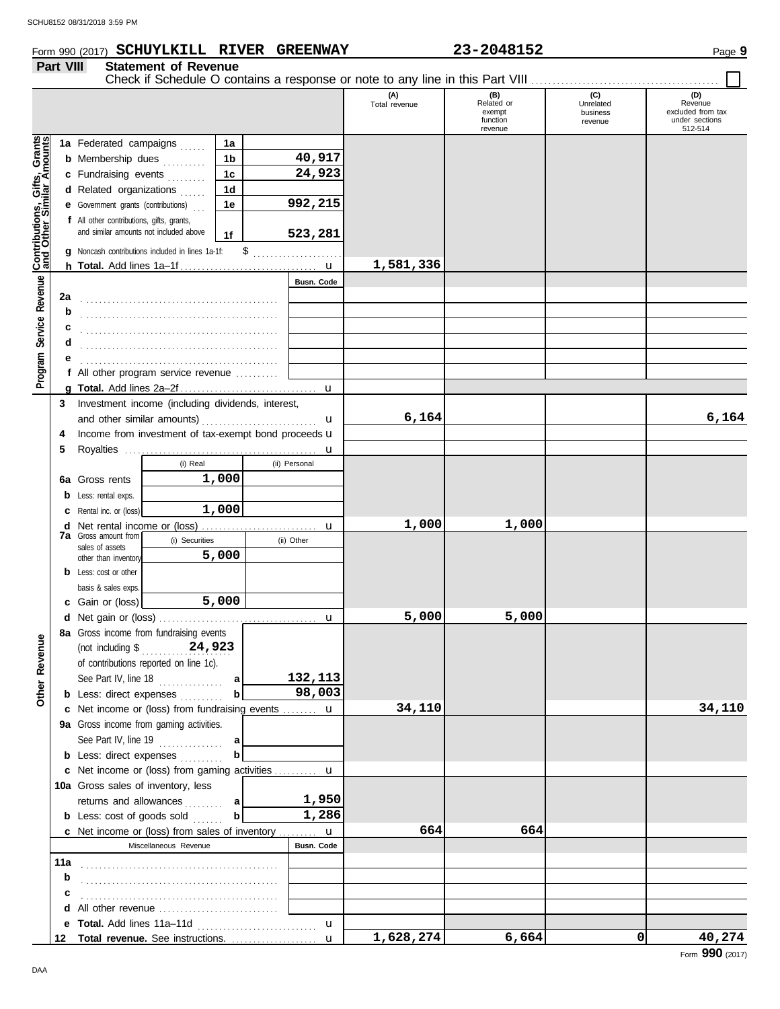#### Form 990 (2017) **SCHUYLKILL RIVER GREENWAY** 23-2048152 Page 9 **SCHUYLKILL RIVER GREENWAY 23-2048152**

|                                              | Part VIII | <b>Statement of Revenue</b>                                             |                |               |                      |                                                    |                                         |                                                                  |
|----------------------------------------------|-----------|-------------------------------------------------------------------------|----------------|---------------|----------------------|----------------------------------------------------|-----------------------------------------|------------------------------------------------------------------|
|                                              |           |                                                                         |                |               | (A)<br>Total revenue | (B)<br>Related or<br>exempt<br>function<br>revenue | (C)<br>Unrelated<br>business<br>revenue | (D)<br>Revenue<br>excluded from tax<br>under sections<br>512-514 |
|                                              |           | 1a Federated campaigns                                                  | 1a             |               |                      |                                                    |                                         |                                                                  |
|                                              |           | <b>b</b> Membership dues                                                | 1b             | 40,917        |                      |                                                    |                                         |                                                                  |
|                                              |           | c Fundraising events                                                    | 1 <sub>c</sub> | 24,923        |                      |                                                    |                                         |                                                                  |
|                                              |           | d Related organizations                                                 | 1 <sub>d</sub> |               |                      |                                                    |                                         |                                                                  |
|                                              |           | <b>e</b> Government grants (contributions)                              | 1e             | 992,215       |                      |                                                    |                                         |                                                                  |
|                                              |           | f All other contributions, gifts, grants,                               |                |               |                      |                                                    |                                         |                                                                  |
|                                              |           | and similar amounts not included above                                  | 1f             | 523,281       |                      |                                                    |                                         |                                                                  |
|                                              |           | g Noncash contributions included in lines 1a-1f:                        |                |               |                      |                                                    |                                         |                                                                  |
|                                              |           |                                                                         |                |               | 1,581,336            |                                                    |                                         |                                                                  |
| Service Revenue Contributions, Gifts, Grants |           |                                                                         |                | Busn. Code    |                      |                                                    |                                         |                                                                  |
|                                              | 2a        |                                                                         |                |               |                      |                                                    |                                         |                                                                  |
|                                              | b         |                                                                         |                |               |                      |                                                    |                                         |                                                                  |
|                                              |           |                                                                         |                |               |                      |                                                    |                                         |                                                                  |
|                                              | d         |                                                                         |                |               |                      |                                                    |                                         |                                                                  |
|                                              |           |                                                                         |                |               |                      |                                                    |                                         |                                                                  |
|                                              |           |                                                                         |                |               |                      |                                                    |                                         |                                                                  |
| Program                                      |           | f All other program service revenue $\ldots$                            |                |               |                      |                                                    |                                         |                                                                  |
|                                              |           |                                                                         |                |               |                      |                                                    |                                         |                                                                  |
|                                              | 3         | Investment income (including dividends, interest,                       |                |               | 6,164                |                                                    |                                         | 6,164                                                            |
|                                              |           |                                                                         |                | u             |                      |                                                    |                                         |                                                                  |
|                                              | 4         | Income from investment of tax-exempt bond proceeds u                    |                |               |                      |                                                    |                                         |                                                                  |
|                                              | 5         |                                                                         |                |               |                      |                                                    |                                         |                                                                  |
|                                              |           | (i) Real                                                                |                | (ii) Personal |                      |                                                    |                                         |                                                                  |
|                                              |           | 6a Gross rents                                                          | 1,000          |               |                      |                                                    |                                         |                                                                  |
|                                              | b         | Less: rental exps.                                                      |                |               |                      |                                                    |                                         |                                                                  |
|                                              |           | Rental inc. or (loss)                                                   | 1,000          |               |                      |                                                    |                                         |                                                                  |
|                                              | d         | <b>7a</b> Gross amount from                                             |                | u             | 1,000                | 1,000                                              |                                         |                                                                  |
|                                              |           | (i) Securities<br>sales of assets                                       |                | (ii) Other    |                      |                                                    |                                         |                                                                  |
|                                              |           | other than inventory                                                    | 5,000          |               |                      |                                                    |                                         |                                                                  |
|                                              |           | <b>b</b> Less: cost or other                                            |                |               |                      |                                                    |                                         |                                                                  |
|                                              |           | basis & sales exps.                                                     |                |               |                      |                                                    |                                         |                                                                  |
|                                              |           | c Gain or (loss)                                                        | 5,000          |               |                      |                                                    |                                         |                                                                  |
|                                              |           |                                                                         |                | u             | 5,000                | 5,000                                              |                                         |                                                                  |
|                                              |           | 8a Gross income from fundraising events                                 |                |               |                      |                                                    |                                         |                                                                  |
|                                              |           | 24,923<br>(not including \$                                             |                |               |                      |                                                    |                                         |                                                                  |
|                                              |           | of contributions reported on line 1c).                                  |                |               |                      |                                                    |                                         |                                                                  |
|                                              |           | See Part IV, line 18                                                    | a              | 132,113       |                      |                                                    |                                         |                                                                  |
| <b>Other Revenue</b>                         |           | <b>b</b> Less: direct expenses                                          | b              | 98,003        |                      |                                                    |                                         |                                                                  |
|                                              |           | c Net income or (loss) from fundraising events  u                       |                |               | 34,110               |                                                    |                                         | 34,110                                                           |
|                                              |           | 9a Gross income from gaming activities.                                 |                |               |                      |                                                    |                                         |                                                                  |
|                                              |           | See Part IV, line 19                                                    | a              |               |                      |                                                    |                                         |                                                                  |
|                                              |           | <b>b</b> Less: direct expenses                                          |                |               |                      |                                                    |                                         |                                                                  |
|                                              |           | c Net income or (loss) from gaming activities  u                        |                |               |                      |                                                    |                                         |                                                                  |
|                                              |           | 10a Gross sales of inventory, less                                      |                |               |                      |                                                    |                                         |                                                                  |
|                                              |           | returns and allowances                                                  | a              | 1,950         |                      |                                                    |                                         |                                                                  |
|                                              |           | <b>b</b> Less: cost of goods sold                                       | $\mathbf b$    | 1,286         |                      |                                                    |                                         |                                                                  |
|                                              |           | <b>c</b> Net income or (loss) from sales of inventory $\mathbf{u}$      |                |               | 664                  | 664                                                |                                         |                                                                  |
|                                              |           | Miscellaneous Revenue                                                   |                | Busn. Code    |                      |                                                    |                                         |                                                                  |
|                                              | 11a       |                                                                         |                |               |                      |                                                    |                                         |                                                                  |
|                                              | b         |                                                                         |                |               |                      |                                                    |                                         |                                                                  |
|                                              |           |                                                                         |                |               |                      |                                                    |                                         |                                                                  |
|                                              |           | <b>d</b> All other revenue $\ldots$ $\ldots$ $\ldots$ $\ldots$ $\ldots$ |                |               |                      |                                                    |                                         |                                                                  |
|                                              |           |                                                                         |                | $\mathbf{u}$  |                      |                                                    |                                         |                                                                  |
|                                              |           |                                                                         |                |               | 1,628,274            | 6,664                                              | 0                                       | 40,274                                                           |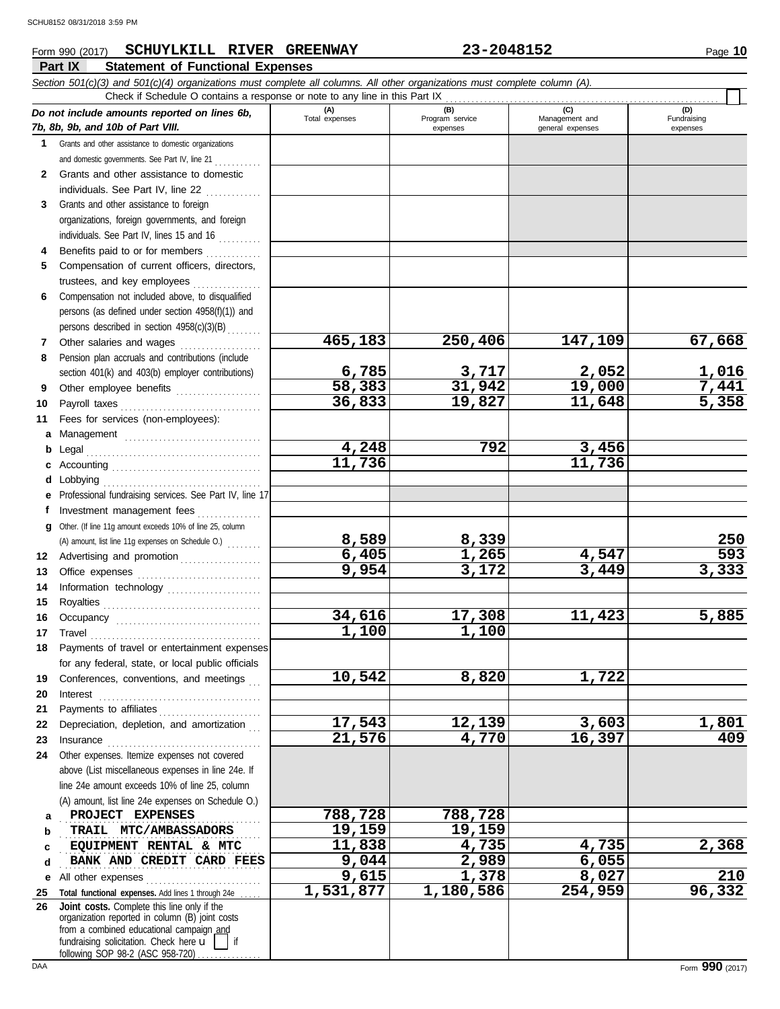### **Part IX Statement of Functional Expenses Form 990 (2017) SCHUYLKILL RIVER GREENWAY 23-2048152** Page 10

|              | Section 501(c)(3) and 501(c)(4) organizations must complete all columns. All other organizations must complete column (A).<br>Check if Schedule O contains a response or note to any line in this Part IX |                |                             |                                    |                         |
|--------------|-----------------------------------------------------------------------------------------------------------------------------------------------------------------------------------------------------------|----------------|-----------------------------|------------------------------------|-------------------------|
|              | Do not include amounts reported on lines 6b,                                                                                                                                                              | (A)            | (B)                         | (C)                                | (D)                     |
|              | 7b, 8b, 9b, and 10b of Part VIII.                                                                                                                                                                         | Total expenses | Program service<br>expenses | Management and<br>general expenses | Fundraising<br>expenses |
| $\mathbf 1$  | Grants and other assistance to domestic organizations                                                                                                                                                     |                |                             |                                    |                         |
|              |                                                                                                                                                                                                           |                |                             |                                    |                         |
| $\mathbf{2}$ | and domestic governments. See Part IV, line 21<br>Grants and other assistance to domestic                                                                                                                 |                |                             |                                    |                         |
|              | individuals. See Part IV, line 22                                                                                                                                                                         |                |                             |                                    |                         |
| 3            | Grants and other assistance to foreign                                                                                                                                                                    |                |                             |                                    |                         |
|              | organizations, foreign governments, and foreign                                                                                                                                                           |                |                             |                                    |                         |
|              | individuals. See Part IV, lines 15 and 16                                                                                                                                                                 |                |                             |                                    |                         |
| 4            | Benefits paid to or for members                                                                                                                                                                           |                |                             |                                    |                         |
| 5            | Compensation of current officers, directors,                                                                                                                                                              |                |                             |                                    |                         |
|              | trustees, and key employees                                                                                                                                                                               |                |                             |                                    |                         |
| 6            | Compensation not included above, to disqualified                                                                                                                                                          |                |                             |                                    |                         |
|              | persons (as defined under section 4958(f)(1)) and                                                                                                                                                         |                |                             |                                    |                         |
|              | persons described in section 4958(c)(3)(B)                                                                                                                                                                |                |                             |                                    |                         |
| 7            | Other salaries and wages                                                                                                                                                                                  | 465,183        | 250,406                     | 147,109                            | 67,668                  |
| 8            | Pension plan accruals and contributions (include                                                                                                                                                          |                |                             |                                    |                         |
|              | section 401(k) and 403(b) employer contributions)                                                                                                                                                         | 6,785          |                             | 2,052                              |                         |
| 9            | Other employee benefits                                                                                                                                                                                   | 58,383         | $\frac{3,717}{31,942}$      | 19,000                             | $\frac{1,016}{7,441}$   |
| 10           | Payroll taxes                                                                                                                                                                                             | 36,833         | 19,827                      | 11,648                             | 5,358                   |
| 11           | Fees for services (non-employees):                                                                                                                                                                        |                |                             |                                    |                         |
| a            |                                                                                                                                                                                                           |                |                             |                                    |                         |
| b            | Legal                                                                                                                                                                                                     | 4,248          | 792                         | 3,456                              |                         |
| c            |                                                                                                                                                                                                           | 11,736         |                             | 11,736                             |                         |
| d            | Lobbying                                                                                                                                                                                                  |                |                             |                                    |                         |
| е            | Professional fundraising services. See Part IV, line 17                                                                                                                                                   |                |                             |                                    |                         |
| f            | Investment management fees                                                                                                                                                                                |                |                             |                                    |                         |
| q            | Other. (If line 11g amount exceeds 10% of line 25, column                                                                                                                                                 |                |                             |                                    |                         |
|              | (A) amount, list line 11g expenses on Schedule O.)                                                                                                                                                        | 8,589          | 8,339                       |                                    | 250                     |
| 12           | Advertising and promotion                                                                                                                                                                                 | 6,405          | 1,265                       | 4,547                              | $\overline{593}$        |
| 13           |                                                                                                                                                                                                           | 9,954          | 3,172                       | 3,449                              | 3,333                   |
| 14           | Information technology                                                                                                                                                                                    |                |                             |                                    |                         |
| 15           | Royalties                                                                                                                                                                                                 |                |                             |                                    |                         |
| 16           |                                                                                                                                                                                                           | 34,616         | 17,308                      | 11,423                             | 5,885                   |
| 17           | Travel                                                                                                                                                                                                    | 1,100          | 1,100                       |                                    |                         |
|              | Payments of travel or entertainment expenses                                                                                                                                                              |                |                             |                                    |                         |
|              | for any federal, state, or local public officials                                                                                                                                                         | 10,542         | 8,820                       | 1,722                              |                         |
| 19           | Conferences, conventions, and meetings                                                                                                                                                                    |                |                             |                                    |                         |
| 20           | Interest                                                                                                                                                                                                  |                |                             |                                    |                         |
| 21<br>22     | Payments to affiliates<br>Depreciation, depletion, and amortization                                                                                                                                       | 17,543         | 12,139                      | 3,603                              | <u>1,801</u>            |
| 23           | Insurance                                                                                                                                                                                                 | 21,576         | $\overline{4,770}$          | 16,397                             | 409                     |
| 24           | Other expenses. Itemize expenses not covered                                                                                                                                                              |                |                             |                                    |                         |
|              | above (List miscellaneous expenses in line 24e. If                                                                                                                                                        |                |                             |                                    |                         |
|              | line 24e amount exceeds 10% of line 25, column                                                                                                                                                            |                |                             |                                    |                         |
|              | (A) amount, list line 24e expenses on Schedule O.)                                                                                                                                                        |                |                             |                                    |                         |
| a            | PROJECT EXPENSES                                                                                                                                                                                          | 788,728        | 788,728                     |                                    |                         |
| b            | TRAIL MTC/AMBASSADORS                                                                                                                                                                                     | 19,159         | 19,159                      |                                    |                         |
| c            | EQUIPMENT RENTAL & MTC                                                                                                                                                                                    | 11,838         | 4,735                       | 4,735                              | 2,368                   |
| d            | BANK AND CREDIT CARD FEES                                                                                                                                                                                 | 9,044          | 2,989                       | 6,055                              |                         |
| е            | All other expenses                                                                                                                                                                                        | 9,615          | 1,378                       | 8,027                              | $\overline{210}$        |
| 25           | Total functional expenses. Add lines 1 through 24e                                                                                                                                                        | 1,531,877      | 1,180,586                   | 254,959                            | 96,332                  |
| 26           | Joint costs. Complete this line only if the                                                                                                                                                               |                |                             |                                    |                         |
|              | organization reported in column (B) joint costs<br>from a combined educational campaign and                                                                                                               |                |                             |                                    |                         |
|              | fundraising solicitation. Check here $\mathbf{u}$     if                                                                                                                                                  |                |                             |                                    |                         |
|              | following SOP 98-2 (ASC 958-720)                                                                                                                                                                          |                |                             |                                    |                         |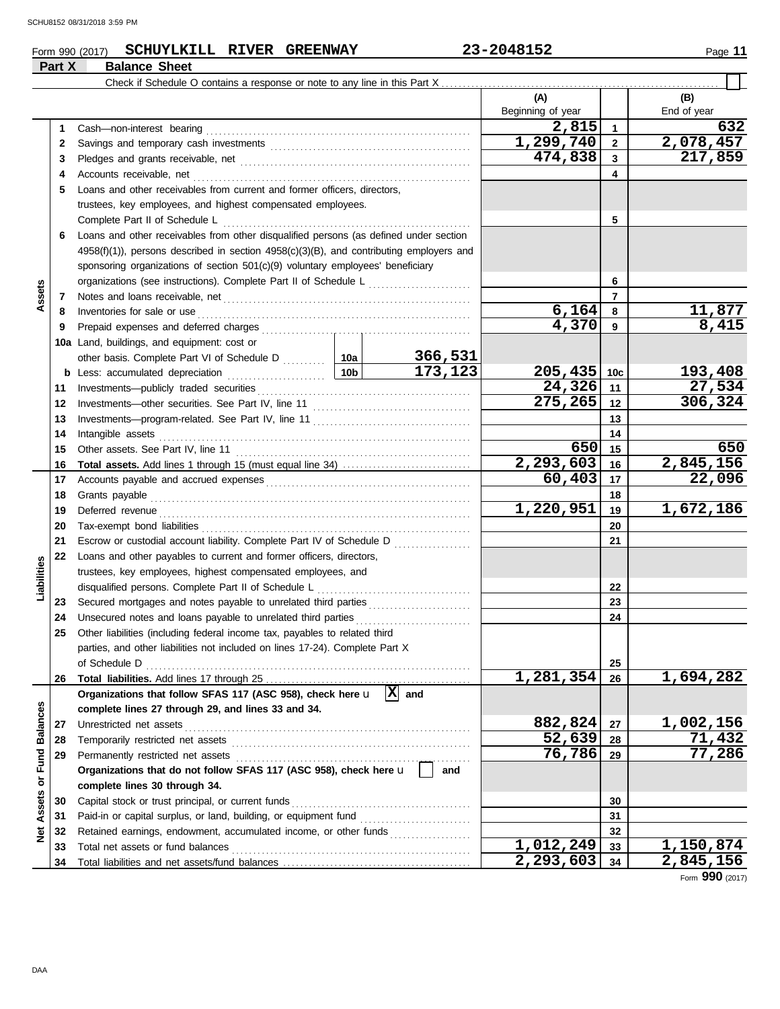**Part X Balance Sheet**

#### **Form 990 (2017) SCHUYLKILL RIVER GREENWAY 23-2048152** Page 11

|                 |    |                                                                                                                                                                                                                                     |                 |                | (A)               |                 | (B)                    |
|-----------------|----|-------------------------------------------------------------------------------------------------------------------------------------------------------------------------------------------------------------------------------------|-----------------|----------------|-------------------|-----------------|------------------------|
|                 |    |                                                                                                                                                                                                                                     |                 |                | Beginning of year |                 | End of year            |
|                 | 1  | Cash-non-interest bearing                                                                                                                                                                                                           |                 |                | 2,815             | $\mathbf{1}$    | 632                    |
|                 | 2  |                                                                                                                                                                                                                                     |                 |                | 1,299,740         | $\mathbf{2}$    | 2,078,457              |
|                 | 3  |                                                                                                                                                                                                                                     |                 |                | 474,838           | 3               | $\overline{217,859}$   |
|                 | 4  | Accounts receivable, net                                                                                                                                                                                                            |                 |                |                   | 4               |                        |
|                 | 5  | Loans and other receivables from current and former officers, directors,                                                                                                                                                            |                 |                |                   |                 |                        |
|                 |    | trustees, key employees, and highest compensated employees.                                                                                                                                                                         |                 |                |                   |                 |                        |
|                 |    | Complete Part II of Schedule L                                                                                                                                                                                                      |                 |                |                   | 5               |                        |
|                 | 6  | Loans and other receivables from other disqualified persons (as defined under section                                                                                                                                               |                 |                |                   |                 |                        |
|                 |    | $4958(f)(1)$ ), persons described in section $4958(c)(3)(B)$ , and contributing employers and                                                                                                                                       |                 |                |                   |                 |                        |
|                 |    | sponsoring organizations of section 501(c)(9) voluntary employees' beneficiary                                                                                                                                                      |                 |                |                   |                 |                        |
|                 |    | organizations (see instructions). Complete Part II of Schedule L                                                                                                                                                                    |                 |                |                   | 6               |                        |
| Assets          | 7  | Notes and loans receivable, net                                                                                                                                                                                                     |                 |                |                   | 7               |                        |
|                 | 8  | Inventories for sale or use <i>communication</i> and the state of the state or use of the state of the state of the state of the state of the state of the state of the state of the state of the state of the state of the state o |                 |                | 6,164             | 8               |                        |
|                 | 9  | Prepaid expenses and deferred charges                                                                                                                                                                                               |                 |                | 4,370             | 9               | $\frac{11,877}{8,415}$ |
|                 |    | 10a Land, buildings, and equipment: cost or                                                                                                                                                                                         |                 |                |                   |                 |                        |
|                 |    | other basis. Complete Part VI of Schedule D  10a                                                                                                                                                                                    |                 | <u>366,531</u> |                   |                 |                        |
|                 |    | <b>b</b> Less: accumulated depreciation                                                                                                                                                                                             | 10 <sub>b</sub> | 173, 123       | 205,435           | 10 <sub>c</sub> | 193,408                |
|                 | 11 | Investments-publicly traded securities                                                                                                                                                                                              |                 |                | 24,326            | 11              | 27,534                 |
|                 | 12 | Investments-other securities. See Part IV, line 11                                                                                                                                                                                  |                 |                | 275,265           | 12              | 306,324                |
|                 | 13 |                                                                                                                                                                                                                                     |                 |                |                   | 13              |                        |
|                 | 14 | Intangible assets                                                                                                                                                                                                                   |                 |                | 14                |                 |                        |
|                 | 15 | Other assets. See Part IV, line 11                                                                                                                                                                                                  | 650             | 15             | 650               |                 |                        |
|                 | 16 |                                                                                                                                                                                                                                     |                 |                | 2,293,603         | 16              | 2,845,156              |
|                 | 17 |                                                                                                                                                                                                                                     | 60,403          | 17             | 22,096            |                 |                        |
|                 | 18 | Grants payable                                                                                                                                                                                                                      |                 |                | 18                |                 |                        |
|                 | 19 | Deferred revenue                                                                                                                                                                                                                    |                 |                | 1,220,951         | 19              | 1,672,186              |
|                 | 20 | Tax-exempt bond liabilities                                                                                                                                                                                                         |                 |                |                   | 20              |                        |
|                 | 21 | Escrow or custodial account liability. Complete Part IV of Schedule D                                                                                                                                                               |                 |                |                   | 21              |                        |
|                 | 22 | Loans and other payables to current and former officers, directors,                                                                                                                                                                 |                 |                |                   |                 |                        |
| Liabilities     |    | trustees, key employees, highest compensated employees, and                                                                                                                                                                         |                 |                |                   |                 |                        |
|                 |    | disqualified persons. Complete Part II of Schedule L                                                                                                                                                                                |                 |                |                   | 22              |                        |
|                 | 23 | Secured mortgages and notes payable to unrelated third parties                                                                                                                                                                      |                 |                |                   | 23              |                        |
|                 | 24 | Unsecured notes and loans payable to unrelated third parties                                                                                                                                                                        |                 |                |                   | 24              |                        |
|                 | 25 | Other liabilities (including federal income tax, payables to related third                                                                                                                                                          |                 |                |                   |                 |                        |
|                 |    | parties, and other liabilities not included on lines 17-24). Complete Part X                                                                                                                                                        |                 |                |                   |                 |                        |
|                 |    | of Schedule D                                                                                                                                                                                                                       |                 |                |                   | 25              |                        |
|                 | 26 |                                                                                                                                                                                                                                     |                 |                | 1,281,354         | 26              | 1,694,282              |
|                 |    | Organizations that follow SFAS 117 (ASC 958), check here $\mathbf{u}$ $\overline{X}$ and                                                                                                                                            |                 |                |                   |                 |                        |
|                 |    | complete lines 27 through 29, and lines 33 and 34.                                                                                                                                                                                  |                 |                |                   |                 |                        |
| <b>Balances</b> | 27 | Unrestricted net assets                                                                                                                                                                                                             |                 |                | 882,824           | 27              | 1,002,156              |
|                 | 28 |                                                                                                                                                                                                                                     |                 |                | 52,639            | 28              | $\overline{71,432}$    |
|                 | 29 | Permanently restricted net assets                                                                                                                                                                                                   |                 |                | 76,786            | 29              | 77,286                 |
|                 |    | Organizations that do not follow SFAS 117 (ASC 958), check here u                                                                                                                                                                   |                 | and            |                   |                 |                        |
| Assets or Fund  |    | complete lines 30 through 34.                                                                                                                                                                                                       |                 |                |                   |                 |                        |
|                 | 30 | Capital stock or trust principal, or current funds                                                                                                                                                                                  |                 |                |                   | 30              |                        |
|                 | 31 |                                                                                                                                                                                                                                     |                 |                |                   | 31              |                        |
| ğ               | 32 | Retained earnings, endowment, accumulated income, or other funds                                                                                                                                                                    |                 |                | 1,012,249         | 32              |                        |
|                 | 33 | Total net assets or fund balances                                                                                                                                                                                                   |                 |                |                   | 33              | 1,150,874              |
|                 | 34 |                                                                                                                                                                                                                                     |                 |                | 2,293,603         | 34              | 2,845,156              |

Form **990** (2017)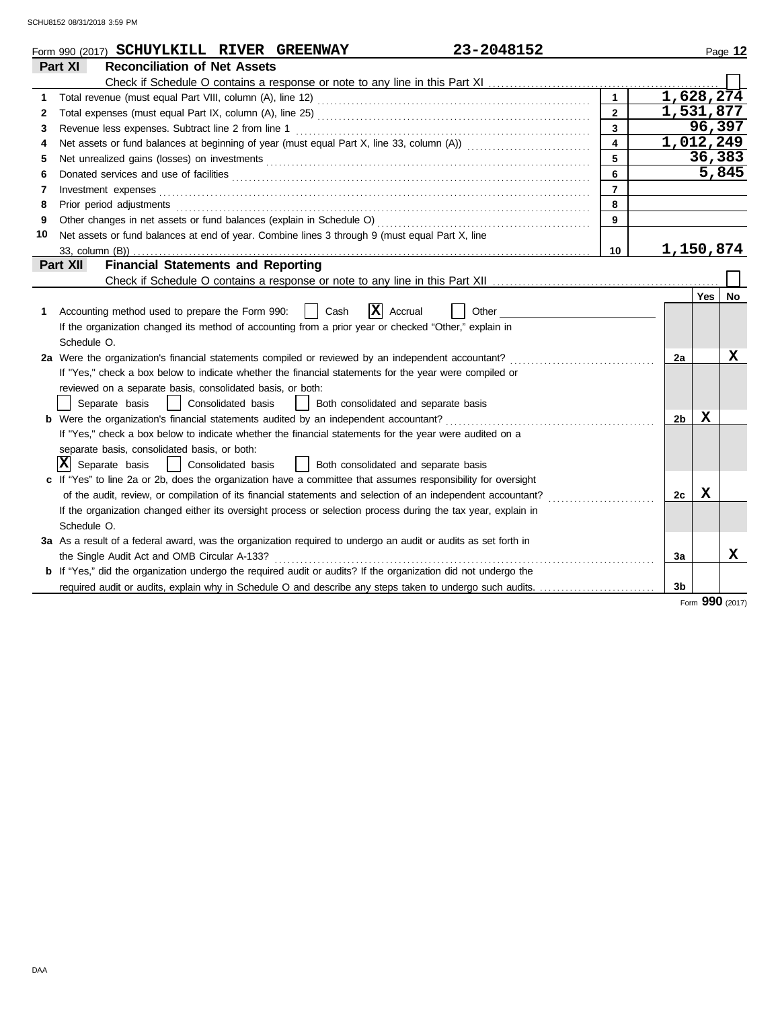|    | 23-2048152<br>Form 990 (2017) SCHUYLKILL RIVER GREENWAY                                                               |                         |    |     | Page 12   |
|----|-----------------------------------------------------------------------------------------------------------------------|-------------------------|----|-----|-----------|
|    | Part XI<br><b>Reconciliation of Net Assets</b>                                                                        |                         |    |     |           |
|    |                                                                                                                       |                         |    |     |           |
| 1  |                                                                                                                       | $\mathbf{1}$            |    |     | 1,628,274 |
| 2  |                                                                                                                       | $\overline{2}$          |    |     | 1,531,877 |
| 3  |                                                                                                                       | $\overline{\mathbf{3}}$ |    |     | 96,397    |
| 4  |                                                                                                                       | $\overline{4}$          |    |     | 1,012,249 |
| 5  |                                                                                                                       | 5                       |    |     | 36,383    |
| 6  |                                                                                                                       | 6                       |    |     | 5,845     |
| 7  | $Investment \textit{ expenses} \textit{________} \longrightarrow \textit{________}$                                   | $\overline{7}$          |    |     |           |
| 8  | Prior period adjustments                                                                                              | 8                       |    |     |           |
| 9  |                                                                                                                       | 9                       |    |     |           |
| 10 | Net assets or fund balances at end of year. Combine lines 3 through 9 (must equal Part X, line                        |                         |    |     |           |
|    |                                                                                                                       | 10                      |    |     | 1,150,874 |
|    | <b>Financial Statements and Reporting</b><br>Part XII                                                                 |                         |    |     |           |
|    |                                                                                                                       |                         |    |     |           |
|    |                                                                                                                       |                         |    | Yes | No        |
| 1  | $ \mathbf{X} $ Accrual<br>Accounting method used to prepare the Form 990:<br>Cash<br>Other                            |                         |    |     |           |
|    | If the organization changed its method of accounting from a prior year or checked "Other," explain in                 |                         |    |     |           |
|    | Schedule O.                                                                                                           |                         |    |     |           |
|    | 2a Were the organization's financial statements compiled or reviewed by an independent accountant?                    |                         | 2a |     | x         |
|    | If "Yes," check a box below to indicate whether the financial statements for the year were compiled or                |                         |    |     |           |
|    | reviewed on a separate basis, consolidated basis, or both:                                                            |                         |    |     |           |
|    | Separate basis<br>  Consolidated basis<br>Both consolidated and separate basis                                        |                         |    |     |           |
|    | <b>b</b> Were the organization's financial statements audited by an independent accountant?                           |                         | 2b | X   |           |
|    | If "Yes," check a box below to indicate whether the financial statements for the year were audited on a               |                         |    |     |           |
|    | separate basis, consolidated basis, or both:                                                                          |                         |    |     |           |
|    | Ixl<br>Separate basis<br>Consolidated basis<br>Both consolidated and separate basis                                   |                         |    |     |           |
|    | c If "Yes" to line 2a or 2b, does the organization have a committee that assumes responsibility for oversight         |                         |    |     |           |
|    | of the audit, review, or compilation of its financial statements and selection of an independent accountant?          |                         | 2c | x   |           |
|    | If the organization changed either its oversight process or selection process during the tax year, explain in         |                         |    |     |           |
|    | Schedule O.                                                                                                           |                         |    |     |           |
|    | 3a As a result of a federal award, was the organization required to undergo an audit or audits as set forth in        |                         |    |     |           |
|    | the Single Audit Act and OMB Circular A-133?                                                                          |                         | 3a |     | X         |
|    | <b>b</b> If "Yes," did the organization undergo the required audit or audits? If the organization did not undergo the |                         |    |     |           |
|    | required audit or audits, explain why in Schedule O and describe any steps taken to undergo such audits.              |                         | 3b |     |           |

Form **990** (2017)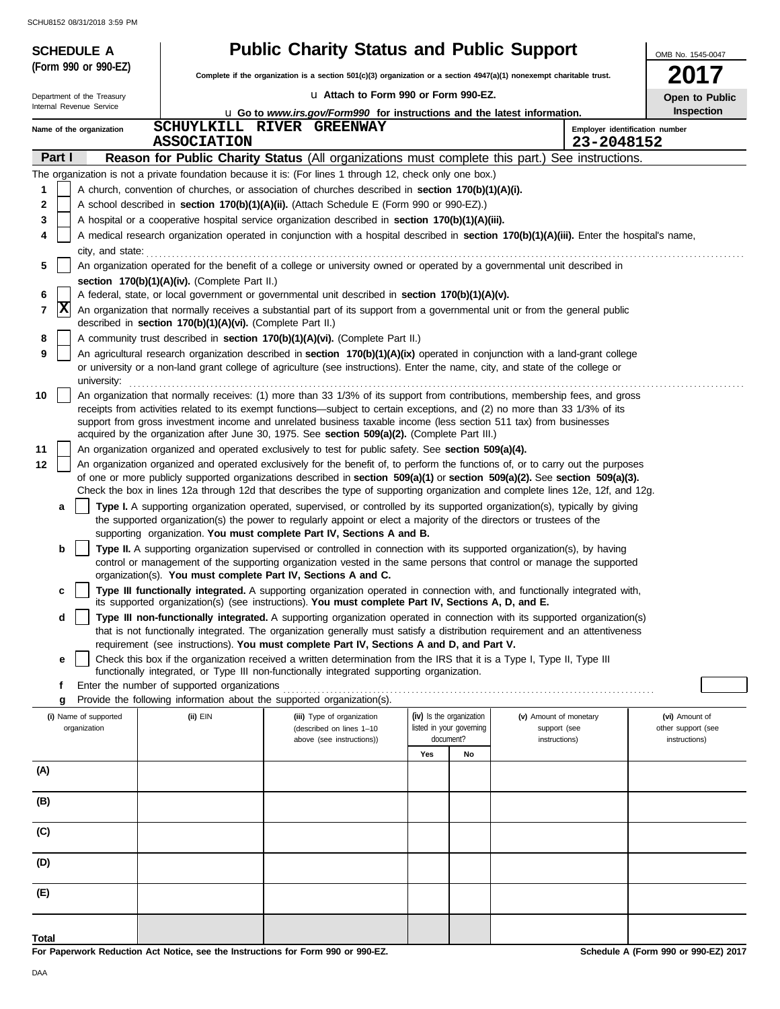|       | <b>SCHEDULE A</b>                                                                                                         |                                                            | <b>Public Charity Status and Public Support</b>                                                                                                                                                                                                                 |     |                          |                        | OMB No. 1545-0047              |  |
|-------|---------------------------------------------------------------------------------------------------------------------------|------------------------------------------------------------|-----------------------------------------------------------------------------------------------------------------------------------------------------------------------------------------------------------------------------------------------------------------|-----|--------------------------|------------------------|--------------------------------|--|
|       | (Form 990 or 990-EZ)                                                                                                      |                                                            | Complete if the organization is a section $501(c)(3)$ organization or a section $4947(a)(1)$ nonexempt charitable trust.                                                                                                                                        |     |                          |                        | 2017                           |  |
|       | Department of the Treasury                                                                                                |                                                            | La Attach to Form 990 or Form 990-EZ.                                                                                                                                                                                                                           |     |                          |                        | Open to Public                 |  |
|       | Internal Revenue Service                                                                                                  |                                                            | <b>u</b> Go to <i>www.irs.gov/Form990</i> for instructions and the latest information.                                                                                                                                                                          |     |                          |                        | <b>Inspection</b>              |  |
|       | Name of the organization                                                                                                  | <b>ASSOCIATION</b>                                         | SCHUYLKILL RIVER GREENWAY                                                                                                                                                                                                                                       |     |                          | 23-2048152             | Employer identification number |  |
|       | Part I                                                                                                                    |                                                            | Reason for Public Charity Status (All organizations must complete this part.) See instructions.                                                                                                                                                                 |     |                          |                        |                                |  |
|       |                                                                                                                           |                                                            | The organization is not a private foundation because it is: (For lines 1 through 12, check only one box.)                                                                                                                                                       |     |                          |                        |                                |  |
| 1     |                                                                                                                           |                                                            | A church, convention of churches, or association of churches described in section 170(b)(1)(A)(i).                                                                                                                                                              |     |                          |                        |                                |  |
| 2     |                                                                                                                           |                                                            | A school described in <b>section 170(b)(1)(A)(ii).</b> (Attach Schedule E (Form 990 or 990-EZ).)                                                                                                                                                                |     |                          |                        |                                |  |
| 3     | A hospital or a cooperative hospital service organization described in section 170(b)(1)(A)(iii).                         |                                                            |                                                                                                                                                                                                                                                                 |     |                          |                        |                                |  |
| 4     | city, and state:                                                                                                          |                                                            | A medical research organization operated in conjunction with a hospital described in section 170(b)(1)(A)(iii). Enter the hospital's name,                                                                                                                      |     |                          |                        |                                |  |
| 5     | An organization operated for the benefit of a college or university owned or operated by a governmental unit described in |                                                            |                                                                                                                                                                                                                                                                 |     |                          |                        |                                |  |
|       |                                                                                                                           | section 170(b)(1)(A)(iv). (Complete Part II.)              |                                                                                                                                                                                                                                                                 |     |                          |                        |                                |  |
| 6     |                                                                                                                           |                                                            | A federal, state, or local government or governmental unit described in section 170(b)(1)(A)(v).                                                                                                                                                                |     |                          |                        |                                |  |
| 7     | x                                                                                                                         | described in section 170(b)(1)(A)(vi). (Complete Part II.) | An organization that normally receives a substantial part of its support from a governmental unit or from the general public                                                                                                                                    |     |                          |                        |                                |  |
| 8     |                                                                                                                           |                                                            | A community trust described in section 170(b)(1)(A)(vi). (Complete Part II.)                                                                                                                                                                                    |     |                          |                        |                                |  |
| 9     | university:                                                                                                               |                                                            | An agricultural research organization described in section 170(b)(1)(A)(ix) operated in conjunction with a land-grant college<br>or university or a non-land grant college of agriculture (see instructions). Enter the name, city, and state of the college or |     |                          |                        |                                |  |
| 10    |                                                                                                                           |                                                            | An organization that normally receives: (1) more than 33 1/3% of its support from contributions, membership fees, and gross                                                                                                                                     |     |                          |                        |                                |  |
|       |                                                                                                                           |                                                            | receipts from activities related to its exempt functions—subject to certain exceptions, and (2) no more than 33 1/3% of its                                                                                                                                     |     |                          |                        |                                |  |
|       |                                                                                                                           |                                                            | support from gross investment income and unrelated business taxable income (less section 511 tax) from businesses<br>acquired by the organization after June 30, 1975. See section 509(a)(2). (Complete Part III.)                                              |     |                          |                        |                                |  |
| 11    |                                                                                                                           |                                                            | An organization organized and operated exclusively to test for public safety. See section 509(a)(4).                                                                                                                                                            |     |                          |                        |                                |  |
| 12    |                                                                                                                           |                                                            | An organization organized and operated exclusively for the benefit of, to perform the functions of, or to carry out the purposes                                                                                                                                |     |                          |                        |                                |  |
|       |                                                                                                                           |                                                            | of one or more publicly supported organizations described in section 509(a)(1) or section 509(a)(2). See section 509(a)(3).                                                                                                                                     |     |                          |                        |                                |  |
|       | a                                                                                                                         |                                                            | Check the box in lines 12a through 12d that describes the type of supporting organization and complete lines 12e, 12f, and 12g.<br>Type I. A supporting organization operated, supervised, or controlled by its supported organization(s), typically by giving  |     |                          |                        |                                |  |
|       |                                                                                                                           |                                                            | the supported organization(s) the power to regularly appoint or elect a majority of the directors or trustees of the<br>supporting organization. You must complete Part IV, Sections A and B.                                                                   |     |                          |                        |                                |  |
|       | b                                                                                                                         |                                                            | Type II. A supporting organization supervised or controlled in connection with its supported organization(s), by having<br>control or management of the supporting organization vested in the same persons that control or manage the supported                 |     |                          |                        |                                |  |
|       |                                                                                                                           |                                                            | organization(s). You must complete Part IV, Sections A and C.                                                                                                                                                                                                   |     |                          |                        |                                |  |
|       | c                                                                                                                         |                                                            | Type III functionally integrated. A supporting organization operated in connection with, and functionally integrated with,<br>its supported organization(s) (see instructions). You must complete Part IV, Sections A, D, and E.                                |     |                          |                        |                                |  |
|       | d                                                                                                                         |                                                            | Type III non-functionally integrated. A supporting organization operated in connection with its supported organization(s)                                                                                                                                       |     |                          |                        |                                |  |
|       |                                                                                                                           |                                                            | that is not functionally integrated. The organization generally must satisfy a distribution requirement and an attentiveness<br>requirement (see instructions). You must complete Part IV, Sections A and D, and Part V.                                        |     |                          |                        |                                |  |
|       | е                                                                                                                         |                                                            | Check this box if the organization received a written determination from the IRS that it is a Type I, Type II, Type III                                                                                                                                         |     |                          |                        |                                |  |
|       |                                                                                                                           |                                                            | functionally integrated, or Type III non-functionally integrated supporting organization.                                                                                                                                                                       |     |                          |                        |                                |  |
|       | f<br>g                                                                                                                    | Enter the number of supported organizations                | Provide the following information about the supported organization(s).                                                                                                                                                                                          |     |                          |                        |                                |  |
|       | (i) Name of supported                                                                                                     | (ii) EIN                                                   | (iii) Type of organization                                                                                                                                                                                                                                      |     | (iv) Is the organization | (v) Amount of monetary | (vi) Amount of                 |  |
|       | organization                                                                                                              |                                                            | (described on lines 1-10                                                                                                                                                                                                                                        |     | listed in your governing | support (see           | other support (see             |  |
|       |                                                                                                                           |                                                            | above (see instructions))                                                                                                                                                                                                                                       | Yes | document?<br>No          | instructions)          | instructions)                  |  |
| (A)   |                                                                                                                           |                                                            |                                                                                                                                                                                                                                                                 |     |                          |                        |                                |  |
| (B)   |                                                                                                                           |                                                            |                                                                                                                                                                                                                                                                 |     |                          |                        |                                |  |
|       |                                                                                                                           |                                                            |                                                                                                                                                                                                                                                                 |     |                          |                        |                                |  |
| (C)   |                                                                                                                           |                                                            |                                                                                                                                                                                                                                                                 |     |                          |                        |                                |  |
| (D)   |                                                                                                                           |                                                            |                                                                                                                                                                                                                                                                 |     |                          |                        |                                |  |
| (E)   |                                                                                                                           |                                                            |                                                                                                                                                                                                                                                                 |     |                          |                        |                                |  |
| Total |                                                                                                                           |                                                            |                                                                                                                                                                                                                                                                 |     |                          |                        |                                |  |

**For Paperwork Reduction Act Notice, see the Instructions for Form 990 or 990-EZ.**

**Schedule A (Form 990 or 990-EZ) 2017**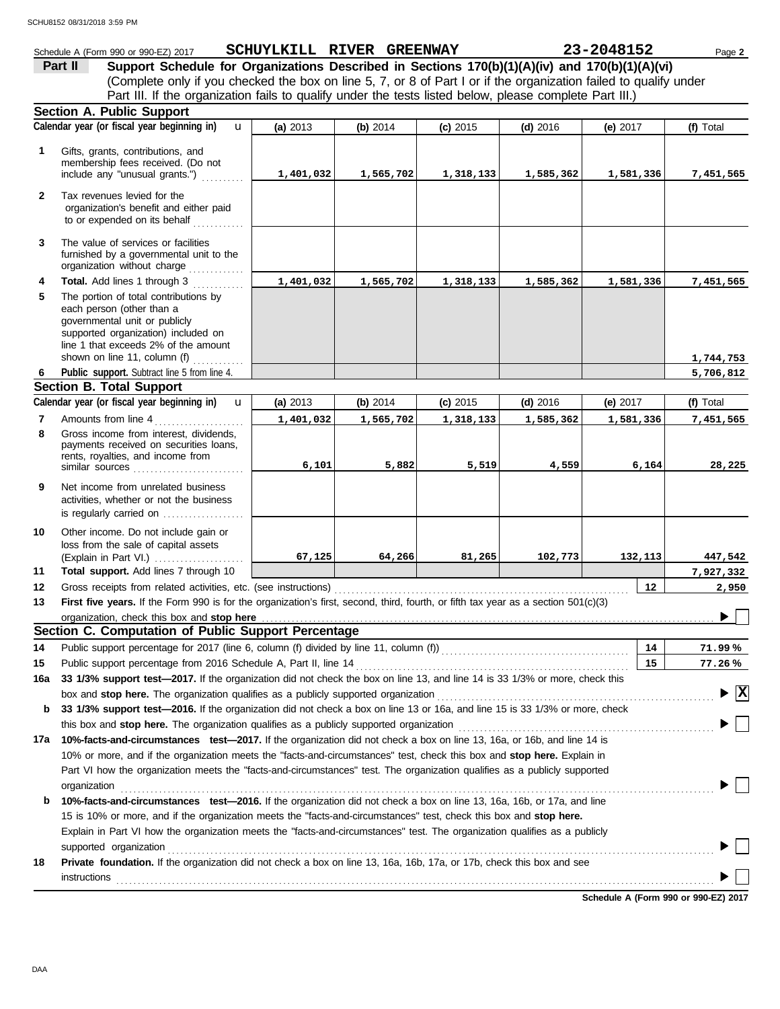|              | Schedule A (Form 990 or 990-EZ) 2017                                                                                                                                                                                                                 |           | SCHUYLKILL RIVER GREENWAY |            |            | 23-2048152      | Page 2                                      |
|--------------|------------------------------------------------------------------------------------------------------------------------------------------------------------------------------------------------------------------------------------------------------|-----------|---------------------------|------------|------------|-----------------|---------------------------------------------|
|              | Support Schedule for Organizations Described in Sections 170(b)(1)(A)(iv) and 170(b)(1)(A)(vi)<br>Part II                                                                                                                                            |           |                           |            |            |                 |                                             |
|              | (Complete only if you checked the box on line 5, 7, or 8 of Part I or if the organization failed to qualify under                                                                                                                                    |           |                           |            |            |                 |                                             |
|              | Part III. If the organization fails to qualify under the tests listed below, please complete Part III.)                                                                                                                                              |           |                           |            |            |                 |                                             |
|              | Section A. Public Support                                                                                                                                                                                                                            |           |                           |            |            |                 |                                             |
|              | Calendar year (or fiscal year beginning in)<br>$\mathbf{u}$                                                                                                                                                                                          | (a) 2013  | (b) 2014                  | $(c)$ 2015 | (d) $2016$ | (e) $2017$      | (f) Total                                   |
| 1            | Gifts, grants, contributions, and                                                                                                                                                                                                                    |           |                           |            |            |                 |                                             |
|              | membership fees received. (Do not                                                                                                                                                                                                                    |           |                           |            |            |                 |                                             |
|              | include any "unusual grants.")                                                                                                                                                                                                                       | 1,401,032 | 1,565,702                 | 1,318,133  | 1,585,362  | 1,581,336       | 7,451,565                                   |
| $\mathbf{2}$ | Tax revenues levied for the                                                                                                                                                                                                                          |           |                           |            |            |                 |                                             |
|              | organization's benefit and either paid                                                                                                                                                                                                               |           |                           |            |            |                 |                                             |
|              | to or expended on its behalf                                                                                                                                                                                                                         |           |                           |            |            |                 |                                             |
| 3            | The value of services or facilities                                                                                                                                                                                                                  |           |                           |            |            |                 |                                             |
|              | furnished by a governmental unit to the                                                                                                                                                                                                              |           |                           |            |            |                 |                                             |
|              | organization without charge                                                                                                                                                                                                                          |           |                           |            |            |                 |                                             |
| 4            | Total. Add lines 1 through 3                                                                                                                                                                                                                         | 1,401,032 | 1,565,702                 | 1,318,133  | 1,585,362  | 1,581,336       | 7,451,565                                   |
| 5            | The portion of total contributions by<br>each person (other than a                                                                                                                                                                                   |           |                           |            |            |                 |                                             |
|              | governmental unit or publicly                                                                                                                                                                                                                        |           |                           |            |            |                 |                                             |
|              | supported organization) included on                                                                                                                                                                                                                  |           |                           |            |            |                 |                                             |
|              | line 1 that exceeds 2% of the amount                                                                                                                                                                                                                 |           |                           |            |            |                 |                                             |
|              | shown on line 11, column (f)                                                                                                                                                                                                                         |           |                           |            |            |                 | 1,744,753                                   |
| 6            | Public support. Subtract line 5 from line 4.<br><b>Section B. Total Support</b>                                                                                                                                                                      |           |                           |            |            |                 | 5,706,812                                   |
|              | Calendar year (or fiscal year beginning in)<br>$\mathbf{u}$                                                                                                                                                                                          | (a) 2013  | (b) 2014                  | $(c)$ 2015 | $(d)$ 2016 | (e) $2017$      | (f) Total                                   |
| 7            | Amounts from line 4                                                                                                                                                                                                                                  | 1,401,032 | 1,565,702                 | 1,318,133  | 1,585,362  | 1,581,336       | 7,451,565                                   |
| 8            | .<br>Gross income from interest, dividends,                                                                                                                                                                                                          |           |                           |            |            |                 |                                             |
|              | payments received on securities loans,                                                                                                                                                                                                               |           |                           |            |            |                 |                                             |
|              | rents, royalties, and income from                                                                                                                                                                                                                    | 6,101     | 5,882                     | 5,519      | 4,559      | 6,164           | 28,225                                      |
|              | similar sources                                                                                                                                                                                                                                      |           |                           |            |            |                 |                                             |
| 9            | Net income from unrelated business                                                                                                                                                                                                                   |           |                           |            |            |                 |                                             |
|              | activities, whether or not the business<br>is regularly carried on                                                                                                                                                                                   |           |                           |            |            |                 |                                             |
|              |                                                                                                                                                                                                                                                      |           |                           |            |            |                 |                                             |
| 10           | Other income. Do not include gain or<br>loss from the sale of capital assets                                                                                                                                                                         |           |                           |            |            |                 |                                             |
|              |                                                                                                                                                                                                                                                      | 67,125    | 64,266                    | 81,265     | 102,773    | 132,113         | 447,542                                     |
| 11           | Total support. Add lines 7 through 10                                                                                                                                                                                                                |           |                           |            |            |                 | 7,927,332                                   |
| 12           | Gross receipts from related activities, etc. (see instructions)                                                                                                                                                                                      |           |                           |            |            | 12 <sup>°</sup> | 2,950                                       |
| 13           | First five years. If the Form 990 is for the organization's first, second, third, fourth, or fifth tax year as a section 501(c)(3)                                                                                                                   |           |                           |            |            |                 |                                             |
|              | organization, check this box and stop here                                                                                                                                                                                                           |           |                           |            |            |                 | $\blacksquare$                              |
|              | Section C. Computation of Public Support Percentage                                                                                                                                                                                                  |           |                           |            |            |                 |                                             |
| 14           | Public support percentage for 2017 (line 6, column (f) divided by line 11, column (f)) [[[[[[[[[[[[[[[[[[[[[[                                                                                                                                        |           |                           |            |            | 14              | 71.99%                                      |
| 15           | Public support percentage from 2016 Schedule A, Part II, line 14                                                                                                                                                                                     |           |                           |            |            | 15              | 77.26%                                      |
| 16a          | 33 1/3% support test-2017. If the organization did not check the box on line 13, and line 14 is 33 1/3% or more, check this                                                                                                                          |           |                           |            |            |                 |                                             |
|              | box and stop here. The organization qualifies as a publicly supported organization                                                                                                                                                                   |           |                           |            |            |                 | $\blacktriangleright \overline{\mathbf{X}}$ |
| b            | 33 1/3% support test-2016. If the organization did not check a box on line 13 or 16a, and line 15 is 33 1/3% or more, check                                                                                                                          |           |                           |            |            |                 |                                             |
|              | this box and stop here. The organization qualifies as a publicly supported organization                                                                                                                                                              |           |                           |            |            |                 |                                             |
| 17а          | 10%-facts-and-circumstances test-2017. If the organization did not check a box on line 13, 16a, or 16b, and line 14 is                                                                                                                               |           |                           |            |            |                 |                                             |
|              | 10% or more, and if the organization meets the "facts-and-circumstances" test, check this box and stop here. Explain in<br>Part VI how the organization meets the "facts-and-circumstances" test. The organization qualifies as a publicly supported |           |                           |            |            |                 |                                             |
|              |                                                                                                                                                                                                                                                      |           |                           |            |            |                 |                                             |
| b            | organization                                                                                                                                                                                                                                         |           |                           |            |            |                 |                                             |
|              | 10%-facts-and-circumstances test-2016. If the organization did not check a box on line 13, 16a, 16b, or 17a, and line<br>15 is 10% or more, and if the organization meets the "facts-and-circumstances" test, check this box and stop here.          |           |                           |            |            |                 |                                             |
|              | Explain in Part VI how the organization meets the "facts-and-circumstances" test. The organization qualifies as a publicly                                                                                                                           |           |                           |            |            |                 |                                             |
|              | supported organization                                                                                                                                                                                                                               |           |                           |            |            |                 |                                             |
| 18           | Private foundation. If the organization did not check a box on line 13, 16a, 16b, 17a, or 17b, check this box and see                                                                                                                                |           |                           |            |            |                 |                                             |
|              | instructions                                                                                                                                                                                                                                         |           |                           |            |            |                 |                                             |
|              |                                                                                                                                                                                                                                                      |           |                           |            |            |                 |                                             |

**Schedule A (Form 990 or 990-EZ) 2017**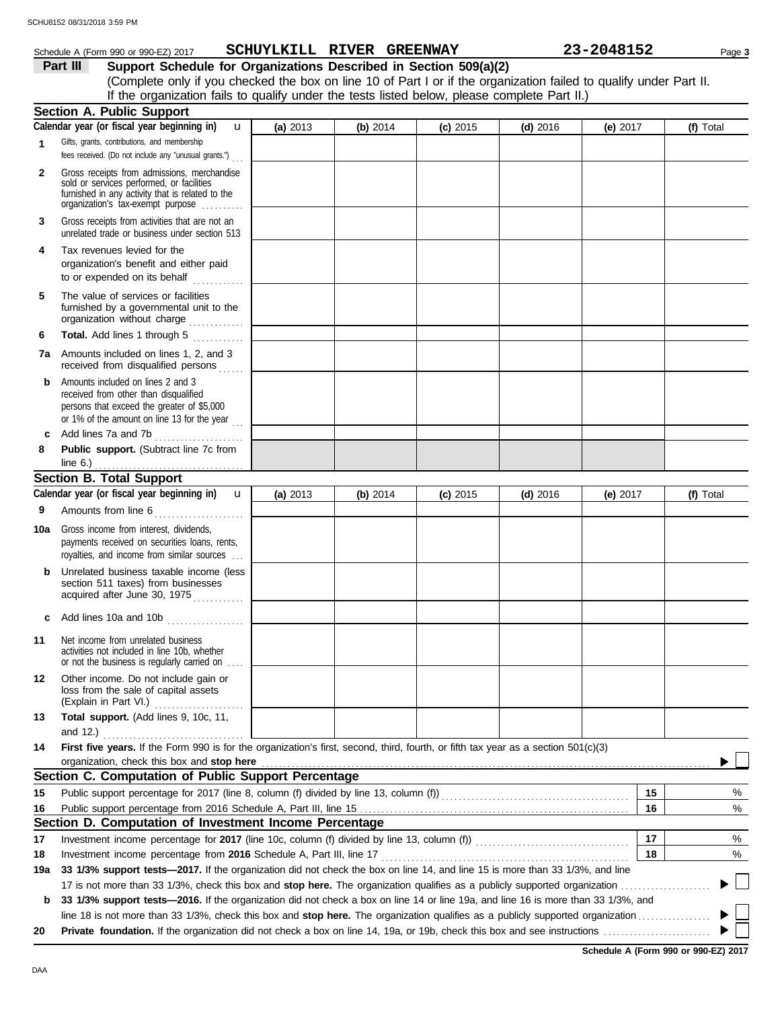#### Schedule A (Form 990 or 990-EZ) 2017 **SCHUYLKILL RIVER GREENWAY** 23-2048152 Page 3

**Part III** Support Schedule for Organizations Described in Section 509(a)(2) (Complete only if you checked the box on line 10 of Part I or if the organization failed to qualify under Part II. If the organization fails to qualify under the tests listed below, please complete Part II.)

|           | <b>Section A. Public Support</b>                                                                                                                                                                     |          |          |            |            |            |    |           |
|-----------|------------------------------------------------------------------------------------------------------------------------------------------------------------------------------------------------------|----------|----------|------------|------------|------------|----|-----------|
|           | Calendar year (or fiscal year beginning in)<br>u                                                                                                                                                     | (a) 2013 | (b) 2014 | $(c)$ 2015 | $(d)$ 2016 | (e) $2017$ |    | (f) Total |
| 1         | Gifts, grants, contributions, and membership<br>fees received. (Do not include any "unusual grants.")                                                                                                |          |          |            |            |            |    |           |
| 2         | Gross receipts from admissions, merchandise<br>sold or services performed, or facilities<br>furnished in any activity that is related to the<br>organization's fax-exempt purpose                    |          |          |            |            |            |    |           |
| 3         | Gross receipts from activities that are not an<br>unrelated trade or business under section 513                                                                                                      |          |          |            |            |            |    |           |
| 4         | Tax revenues levied for the<br>organization's benefit and either paid<br>to or expended on its behalf<br>.                                                                                           |          |          |            |            |            |    |           |
| 5         | The value of services or facilities<br>furnished by a governmental unit to the                                                                                                                       |          |          |            |            |            |    |           |
| 6         | Total. Add lines 1 through 5<br>.                                                                                                                                                                    |          |          |            |            |            |    |           |
| 7a        | Amounts included on lines 1, 2, and 3<br>received from disqualified persons<br>a a a a a                                                                                                             |          |          |            |            |            |    |           |
| b         | Amounts included on lines 2 and 3<br>received from other than disqualified<br>persons that exceed the greater of \$5,000<br>or 1% of the amount on line 13 for the year $\ldots$                     |          |          |            |            |            |    |           |
| c         | Add lines 7a and 7b<br>.                                                                                                                                                                             |          |          |            |            |            |    |           |
| 8         | Public support. (Subtract line 7c from                                                                                                                                                               |          |          |            |            |            |    |           |
|           | line $6.$ )                                                                                                                                                                                          |          |          |            |            |            |    |           |
|           | <b>Section B. Total Support</b><br>Calendar year (or fiscal year beginning in)<br>$\mathbf{u}$                                                                                                       | (a) 2013 | (b) 2014 |            |            |            |    | (f) Total |
|           |                                                                                                                                                                                                      |          |          | $(c)$ 2015 | $(d)$ 2016 | (e) $2017$ |    |           |
| 9         | Amounts from line 6                                                                                                                                                                                  |          |          |            |            |            |    |           |
| 10a       | Gross income from interest, dividends,<br>payments received on securities loans, rents,<br>royalties, and income from similar sources                                                                |          |          |            |            |            |    |           |
| b         | Unrelated business taxable income (less<br>section 511 taxes) from businesses<br>acquired after June 30, 1975                                                                                        |          |          |            |            |            |    |           |
| C         | Add lines 10a and 10b                                                                                                                                                                                |          |          |            |            |            |    |           |
| 11        | Net income from unrelated business<br>activities not included in line 10b, whether<br>or not the business is regularly carried on                                                                    |          |          |            |            |            |    |           |
| 12        | Other income. Do not include gain or<br>loss from the sale of capital assets<br>(Explain in Part VI.)                                                                                                |          |          |            |            |            |    |           |
| 13        | Total support. (Add lines 9, 10c, 11,                                                                                                                                                                |          |          |            |            |            |    |           |
|           | and $12.$ )                                                                                                                                                                                          |          |          |            |            |            |    |           |
| 14        | First five years. If the Form 990 is for the organization's first, second, third, fourth, or fifth tax year as a section 501(c)(3)                                                                   |          |          |            |            |            |    |           |
|           | organization, check this box and stop here                                                                                                                                                           |          |          |            |            |            |    |           |
|           | Section C. Computation of Public Support Percentage                                                                                                                                                  |          |          |            |            |            |    |           |
| 15        | Public support percentage for 2017 (line 8, column (f) divided by line 13, column (f)) [[[[[[[[[[[[[[[[[[[[[[                                                                                        |          |          |            |            |            | 15 | %         |
| 16        |                                                                                                                                                                                                      |          |          |            |            | 16         |    | %         |
|           | Section D. Computation of Investment Income Percentage                                                                                                                                               |          |          |            |            |            |    |           |
| 17        | Investment income percentage for 2017 (line 10c, column (f) divided by line 13, column (f)) [[[[[[[[[[[[[[[[[[                                                                                       |          |          |            |            |            | 17 | %         |
| 18<br>19а | Investment income percentage from 2016 Schedule A, Part III, line 17<br>33 1/3% support tests-2017. If the organization did not check the box on line 14, and line 15 is more than 33 1/3%, and line |          |          |            |            |            | 18 | %         |
|           | 17 is not more than 33 1/3%, check this box and stop here. The organization qualifies as a publicly supported organization                                                                           |          |          |            |            |            |    |           |
| b         | 33 1/3% support tests-2016. If the organization did not check a box on line 14 or line 19a, and line 16 is more than 33 1/3%, and                                                                    |          |          |            |            |            |    |           |
|           |                                                                                                                                                                                                      |          |          |            |            |            |    |           |
| 20        |                                                                                                                                                                                                      |          |          |            |            |            |    |           |

**Schedule A (Form 990 or 990-EZ) 2017**

DAA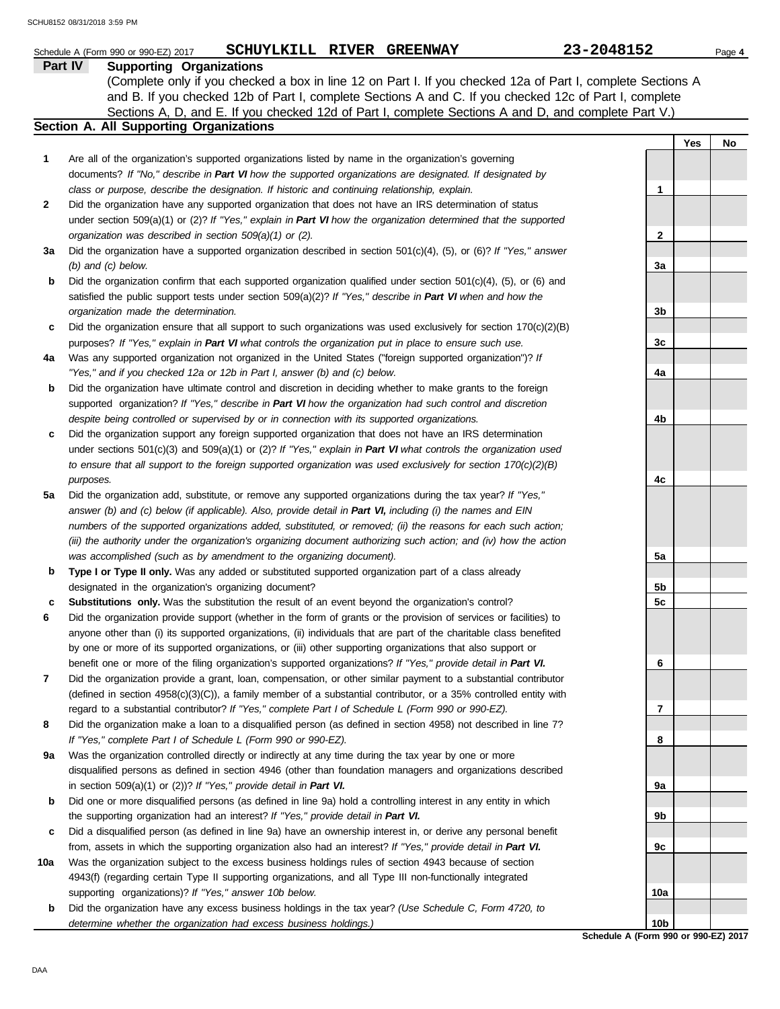| Part IV<br><b>Supporting Organizations</b><br>(Complete only if you checked a box in line 12 on Part I. If you checked 12a of Part I, complete Sections A<br>and B. If you checked 12b of Part I, complete Sections A and C. If you checked 12c of Part I, complete<br>Sections A, D, and E. If you checked 12d of Part I, complete Sections A and D, and complete Part V.)<br>Section A. All Supporting Organizations<br>Yes<br>No<br>1<br>Are all of the organization's supported organizations listed by name in the organization's governing<br>documents? If "No," describe in Part VI how the supported organizations are designated. If designated by<br>class or purpose, describe the designation. If historic and continuing relationship, explain.<br>1<br>2<br>Did the organization have any supported organization that does not have an IRS determination of status<br>under section 509(a)(1) or (2)? If "Yes," explain in Part VI how the organization determined that the supported<br>organization was described in section 509(a)(1) or (2).<br>$\mathbf{2}$<br>Did the organization have a supported organization described in section $501(c)(4)$ , (5), or (6)? If "Yes," answer<br>За<br>$(b)$ and $(c)$ below.<br>3a<br>Did the organization confirm that each supported organization qualified under section $501(c)(4)$ , $(5)$ , or $(6)$ and<br>b<br>satisfied the public support tests under section 509(a)(2)? If "Yes," describe in Part VI when and how the<br>organization made the determination.<br>3b<br>Did the organization ensure that all support to such organizations was used exclusively for section $170(c)(2)(B)$<br>c<br>3c<br>purposes? If "Yes," explain in Part VI what controls the organization put in place to ensure such use.<br>Was any supported organization not organized in the United States ("foreign supported organization")? If<br>4a<br>"Yes," and if you checked 12a or 12b in Part I, answer (b) and (c) below.<br>4a<br>Did the organization have ultimate control and discretion in deciding whether to make grants to the foreign<br>b<br>supported organization? If "Yes," describe in Part VI how the organization had such control and discretion<br>despite being controlled or supervised by or in connection with its supported organizations.<br>4b<br>Did the organization support any foreign supported organization that does not have an IRS determination<br>c<br>under sections $501(c)(3)$ and $509(a)(1)$ or (2)? If "Yes," explain in Part VI what controls the organization used<br>to ensure that all support to the foreign supported organization was used exclusively for section $170(c)(2)(B)$<br>purposes.<br>4c<br>Did the organization add, substitute, or remove any supported organizations during the tax year? If "Yes,"<br>5a<br>answer (b) and (c) below (if applicable). Also, provide detail in Part VI, including (i) the names and EIN<br>numbers of the supported organizations added, substituted, or removed; (ii) the reasons for each such action;<br>(iii) the authority under the organization's organizing document authorizing such action; and (iv) how the action<br>was accomplished (such as by amendment to the organizing document).<br>5a<br>Type I or Type II only. Was any added or substituted supported organization part of a class already<br>b<br>5 <sub>b</sub><br>designated in the organization's organizing document?<br>5c<br>Substitutions only. Was the substitution the result of an event beyond the organization's control?<br>6<br>Did the organization provide support (whether in the form of grants or the provision of services or facilities) to<br>anyone other than (i) its supported organizations, (ii) individuals that are part of the charitable class benefited<br>by one or more of its supported organizations, or (iii) other supporting organizations that also support or<br>benefit one or more of the filing organization's supported organizations? If "Yes," provide detail in Part VI.<br>6<br>7<br>Did the organization provide a grant, loan, compensation, or other similar payment to a substantial contributor<br>(defined in section $4958(c)(3)(C)$ ), a family member of a substantial contributor, or a 35% controlled entity with<br>regard to a substantial contributor? If "Yes," complete Part I of Schedule L (Form 990 or 990-EZ).<br>7<br>8<br>Did the organization make a loan to a disqualified person (as defined in section 4958) not described in line 7?<br>8<br>If "Yes," complete Part I of Schedule L (Form 990 or 990-EZ).<br>Was the organization controlled directly or indirectly at any time during the tax year by one or more<br>9а<br>disqualified persons as defined in section 4946 (other than foundation managers and organizations described<br>in section $509(a)(1)$ or (2))? If "Yes," provide detail in Part VI.<br>9а<br>Did one or more disqualified persons (as defined in line 9a) hold a controlling interest in any entity in which<br>b<br>the supporting organization had an interest? If "Yes," provide detail in Part VI.<br>9b<br>Did a disqualified person (as defined in line 9a) have an ownership interest in, or derive any personal benefit<br>c<br>from, assets in which the supporting organization also had an interest? If "Yes," provide detail in Part VI.<br>9с<br>Was the organization subject to the excess business holdings rules of section 4943 because of section<br>10a<br>4943(f) (regarding certain Type II supporting organizations, and all Type III non-functionally integrated<br>supporting organizations)? If "Yes," answer 10b below.<br>10a<br>Did the organization have any excess business holdings in the tax year? (Use Schedule C, Form 4720, to<br>b<br>10 <sub>b</sub><br>determine whether the organization had excess business holdings.) | 23-2048152<br>SCHUYLKILL RIVER GREENWAY<br>Schedule A (Form 990 or 990-EZ) 2017 |  | Page 4 |
|------------------------------------------------------------------------------------------------------------------------------------------------------------------------------------------------------------------------------------------------------------------------------------------------------------------------------------------------------------------------------------------------------------------------------------------------------------------------------------------------------------------------------------------------------------------------------------------------------------------------------------------------------------------------------------------------------------------------------------------------------------------------------------------------------------------------------------------------------------------------------------------------------------------------------------------------------------------------------------------------------------------------------------------------------------------------------------------------------------------------------------------------------------------------------------------------------------------------------------------------------------------------------------------------------------------------------------------------------------------------------------------------------------------------------------------------------------------------------------------------------------------------------------------------------------------------------------------------------------------------------------------------------------------------------------------------------------------------------------------------------------------------------------------------------------------------------------------------------------------------------------------------------------------------------------------------------------------------------------------------------------------------------------------------------------------------------------------------------------------------------------------------------------------------------------------------------------------------------------------------------------------------------------------------------------------------------------------------------------------------------------------------------------------------------------------------------------------------------------------------------------------------------------------------------------------------------------------------------------------------------------------------------------------------------------------------------------------------------------------------------------------------------------------------------------------------------------------------------------------------------------------------------------------------------------------------------------------------------------------------------------------------------------------------------------------------------------------------------------------------------------------------------------------------------------------------------------------------------------------------------------------------------------------------------------------------------------------------------------------------------------------------------------------------------------------------------------------------------------------------------------------------------------------------------------------------------------------------------------------------------------------------------------------------------------------------------------------------------------------------------------------------------------------------------------------------------------------------------------------------------------------------------------------------------------------------------------------------------------------------------------------------------------------------------------------------------------------------------------------------------------------------------------------------------------------------------------------------------------------------------------------------------------------------------------------------------------------------------------------------------------------------------------------------------------------------------------------------------------------------------------------------------------------------------------------------------------------------------------------------------------------------------------------------------------------------------------------------------------------------------------------------------------------------------------------------------------------------------------------------------------------------------------------------------------------------------------------------------------------------------------------------------------------------------------------------------------------------------------------------------------------------------------------------------------------------------------------------------------------------------------------------------------------------------------------------------------------------------------------------------------------------------------------------------------------------------------------------------------------------------------------------------------------------------------------------------------------------------------------------------------------------------------------------------------------------------------------------------------------------------------------------------------------------------------------------------------------------------------------------------------------------------------|---------------------------------------------------------------------------------|--|--------|
|                                                                                                                                                                                                                                                                                                                                                                                                                                                                                                                                                                                                                                                                                                                                                                                                                                                                                                                                                                                                                                                                                                                                                                                                                                                                                                                                                                                                                                                                                                                                                                                                                                                                                                                                                                                                                                                                                                                                                                                                                                                                                                                                                                                                                                                                                                                                                                                                                                                                                                                                                                                                                                                                                                                                                                                                                                                                                                                                                                                                                                                                                                                                                                                                                                                                                                                                                                                                                                                                                                                                                                                                                                                                                                                                                                                                                                                                                                                                                                                                                                                                                                                                                                                                                                                                                                                                                                                                                                                                                                                                                                                                                                                                                                                                                                                                                                                                                                                                                                                                                                                                                                                                                                                                                                                                                                                                                                                                                                                                                                                                                                                                                                                                                                                                                                                                                                                                                                            |                                                                                 |  |        |
|                                                                                                                                                                                                                                                                                                                                                                                                                                                                                                                                                                                                                                                                                                                                                                                                                                                                                                                                                                                                                                                                                                                                                                                                                                                                                                                                                                                                                                                                                                                                                                                                                                                                                                                                                                                                                                                                                                                                                                                                                                                                                                                                                                                                                                                                                                                                                                                                                                                                                                                                                                                                                                                                                                                                                                                                                                                                                                                                                                                                                                                                                                                                                                                                                                                                                                                                                                                                                                                                                                                                                                                                                                                                                                                                                                                                                                                                                                                                                                                                                                                                                                                                                                                                                                                                                                                                                                                                                                                                                                                                                                                                                                                                                                                                                                                                                                                                                                                                                                                                                                                                                                                                                                                                                                                                                                                                                                                                                                                                                                                                                                                                                                                                                                                                                                                                                                                                                                            |                                                                                 |  |        |
|                                                                                                                                                                                                                                                                                                                                                                                                                                                                                                                                                                                                                                                                                                                                                                                                                                                                                                                                                                                                                                                                                                                                                                                                                                                                                                                                                                                                                                                                                                                                                                                                                                                                                                                                                                                                                                                                                                                                                                                                                                                                                                                                                                                                                                                                                                                                                                                                                                                                                                                                                                                                                                                                                                                                                                                                                                                                                                                                                                                                                                                                                                                                                                                                                                                                                                                                                                                                                                                                                                                                                                                                                                                                                                                                                                                                                                                                                                                                                                                                                                                                                                                                                                                                                                                                                                                                                                                                                                                                                                                                                                                                                                                                                                                                                                                                                                                                                                                                                                                                                                                                                                                                                                                                                                                                                                                                                                                                                                                                                                                                                                                                                                                                                                                                                                                                                                                                                                            |                                                                                 |  |        |
|                                                                                                                                                                                                                                                                                                                                                                                                                                                                                                                                                                                                                                                                                                                                                                                                                                                                                                                                                                                                                                                                                                                                                                                                                                                                                                                                                                                                                                                                                                                                                                                                                                                                                                                                                                                                                                                                                                                                                                                                                                                                                                                                                                                                                                                                                                                                                                                                                                                                                                                                                                                                                                                                                                                                                                                                                                                                                                                                                                                                                                                                                                                                                                                                                                                                                                                                                                                                                                                                                                                                                                                                                                                                                                                                                                                                                                                                                                                                                                                                                                                                                                                                                                                                                                                                                                                                                                                                                                                                                                                                                                                                                                                                                                                                                                                                                                                                                                                                                                                                                                                                                                                                                                                                                                                                                                                                                                                                                                                                                                                                                                                                                                                                                                                                                                                                                                                                                                            |                                                                                 |  |        |
|                                                                                                                                                                                                                                                                                                                                                                                                                                                                                                                                                                                                                                                                                                                                                                                                                                                                                                                                                                                                                                                                                                                                                                                                                                                                                                                                                                                                                                                                                                                                                                                                                                                                                                                                                                                                                                                                                                                                                                                                                                                                                                                                                                                                                                                                                                                                                                                                                                                                                                                                                                                                                                                                                                                                                                                                                                                                                                                                                                                                                                                                                                                                                                                                                                                                                                                                                                                                                                                                                                                                                                                                                                                                                                                                                                                                                                                                                                                                                                                                                                                                                                                                                                                                                                                                                                                                                                                                                                                                                                                                                                                                                                                                                                                                                                                                                                                                                                                                                                                                                                                                                                                                                                                                                                                                                                                                                                                                                                                                                                                                                                                                                                                                                                                                                                                                                                                                                                            |                                                                                 |  |        |
|                                                                                                                                                                                                                                                                                                                                                                                                                                                                                                                                                                                                                                                                                                                                                                                                                                                                                                                                                                                                                                                                                                                                                                                                                                                                                                                                                                                                                                                                                                                                                                                                                                                                                                                                                                                                                                                                                                                                                                                                                                                                                                                                                                                                                                                                                                                                                                                                                                                                                                                                                                                                                                                                                                                                                                                                                                                                                                                                                                                                                                                                                                                                                                                                                                                                                                                                                                                                                                                                                                                                                                                                                                                                                                                                                                                                                                                                                                                                                                                                                                                                                                                                                                                                                                                                                                                                                                                                                                                                                                                                                                                                                                                                                                                                                                                                                                                                                                                                                                                                                                                                                                                                                                                                                                                                                                                                                                                                                                                                                                                                                                                                                                                                                                                                                                                                                                                                                                            |                                                                                 |  |        |
|                                                                                                                                                                                                                                                                                                                                                                                                                                                                                                                                                                                                                                                                                                                                                                                                                                                                                                                                                                                                                                                                                                                                                                                                                                                                                                                                                                                                                                                                                                                                                                                                                                                                                                                                                                                                                                                                                                                                                                                                                                                                                                                                                                                                                                                                                                                                                                                                                                                                                                                                                                                                                                                                                                                                                                                                                                                                                                                                                                                                                                                                                                                                                                                                                                                                                                                                                                                                                                                                                                                                                                                                                                                                                                                                                                                                                                                                                                                                                                                                                                                                                                                                                                                                                                                                                                                                                                                                                                                                                                                                                                                                                                                                                                                                                                                                                                                                                                                                                                                                                                                                                                                                                                                                                                                                                                                                                                                                                                                                                                                                                                                                                                                                                                                                                                                                                                                                                                            |                                                                                 |  |        |
|                                                                                                                                                                                                                                                                                                                                                                                                                                                                                                                                                                                                                                                                                                                                                                                                                                                                                                                                                                                                                                                                                                                                                                                                                                                                                                                                                                                                                                                                                                                                                                                                                                                                                                                                                                                                                                                                                                                                                                                                                                                                                                                                                                                                                                                                                                                                                                                                                                                                                                                                                                                                                                                                                                                                                                                                                                                                                                                                                                                                                                                                                                                                                                                                                                                                                                                                                                                                                                                                                                                                                                                                                                                                                                                                                                                                                                                                                                                                                                                                                                                                                                                                                                                                                                                                                                                                                                                                                                                                                                                                                                                                                                                                                                                                                                                                                                                                                                                                                                                                                                                                                                                                                                                                                                                                                                                                                                                                                                                                                                                                                                                                                                                                                                                                                                                                                                                                                                            |                                                                                 |  |        |
|                                                                                                                                                                                                                                                                                                                                                                                                                                                                                                                                                                                                                                                                                                                                                                                                                                                                                                                                                                                                                                                                                                                                                                                                                                                                                                                                                                                                                                                                                                                                                                                                                                                                                                                                                                                                                                                                                                                                                                                                                                                                                                                                                                                                                                                                                                                                                                                                                                                                                                                                                                                                                                                                                                                                                                                                                                                                                                                                                                                                                                                                                                                                                                                                                                                                                                                                                                                                                                                                                                                                                                                                                                                                                                                                                                                                                                                                                                                                                                                                                                                                                                                                                                                                                                                                                                                                                                                                                                                                                                                                                                                                                                                                                                                                                                                                                                                                                                                                                                                                                                                                                                                                                                                                                                                                                                                                                                                                                                                                                                                                                                                                                                                                                                                                                                                                                                                                                                            |                                                                                 |  |        |
|                                                                                                                                                                                                                                                                                                                                                                                                                                                                                                                                                                                                                                                                                                                                                                                                                                                                                                                                                                                                                                                                                                                                                                                                                                                                                                                                                                                                                                                                                                                                                                                                                                                                                                                                                                                                                                                                                                                                                                                                                                                                                                                                                                                                                                                                                                                                                                                                                                                                                                                                                                                                                                                                                                                                                                                                                                                                                                                                                                                                                                                                                                                                                                                                                                                                                                                                                                                                                                                                                                                                                                                                                                                                                                                                                                                                                                                                                                                                                                                                                                                                                                                                                                                                                                                                                                                                                                                                                                                                                                                                                                                                                                                                                                                                                                                                                                                                                                                                                                                                                                                                                                                                                                                                                                                                                                                                                                                                                                                                                                                                                                                                                                                                                                                                                                                                                                                                                                            |                                                                                 |  |        |
|                                                                                                                                                                                                                                                                                                                                                                                                                                                                                                                                                                                                                                                                                                                                                                                                                                                                                                                                                                                                                                                                                                                                                                                                                                                                                                                                                                                                                                                                                                                                                                                                                                                                                                                                                                                                                                                                                                                                                                                                                                                                                                                                                                                                                                                                                                                                                                                                                                                                                                                                                                                                                                                                                                                                                                                                                                                                                                                                                                                                                                                                                                                                                                                                                                                                                                                                                                                                                                                                                                                                                                                                                                                                                                                                                                                                                                                                                                                                                                                                                                                                                                                                                                                                                                                                                                                                                                                                                                                                                                                                                                                                                                                                                                                                                                                                                                                                                                                                                                                                                                                                                                                                                                                                                                                                                                                                                                                                                                                                                                                                                                                                                                                                                                                                                                                                                                                                                                            |                                                                                 |  |        |
|                                                                                                                                                                                                                                                                                                                                                                                                                                                                                                                                                                                                                                                                                                                                                                                                                                                                                                                                                                                                                                                                                                                                                                                                                                                                                                                                                                                                                                                                                                                                                                                                                                                                                                                                                                                                                                                                                                                                                                                                                                                                                                                                                                                                                                                                                                                                                                                                                                                                                                                                                                                                                                                                                                                                                                                                                                                                                                                                                                                                                                                                                                                                                                                                                                                                                                                                                                                                                                                                                                                                                                                                                                                                                                                                                                                                                                                                                                                                                                                                                                                                                                                                                                                                                                                                                                                                                                                                                                                                                                                                                                                                                                                                                                                                                                                                                                                                                                                                                                                                                                                                                                                                                                                                                                                                                                                                                                                                                                                                                                                                                                                                                                                                                                                                                                                                                                                                                                            |                                                                                 |  |        |
|                                                                                                                                                                                                                                                                                                                                                                                                                                                                                                                                                                                                                                                                                                                                                                                                                                                                                                                                                                                                                                                                                                                                                                                                                                                                                                                                                                                                                                                                                                                                                                                                                                                                                                                                                                                                                                                                                                                                                                                                                                                                                                                                                                                                                                                                                                                                                                                                                                                                                                                                                                                                                                                                                                                                                                                                                                                                                                                                                                                                                                                                                                                                                                                                                                                                                                                                                                                                                                                                                                                                                                                                                                                                                                                                                                                                                                                                                                                                                                                                                                                                                                                                                                                                                                                                                                                                                                                                                                                                                                                                                                                                                                                                                                                                                                                                                                                                                                                                                                                                                                                                                                                                                                                                                                                                                                                                                                                                                                                                                                                                                                                                                                                                                                                                                                                                                                                                                                            |                                                                                 |  |        |
|                                                                                                                                                                                                                                                                                                                                                                                                                                                                                                                                                                                                                                                                                                                                                                                                                                                                                                                                                                                                                                                                                                                                                                                                                                                                                                                                                                                                                                                                                                                                                                                                                                                                                                                                                                                                                                                                                                                                                                                                                                                                                                                                                                                                                                                                                                                                                                                                                                                                                                                                                                                                                                                                                                                                                                                                                                                                                                                                                                                                                                                                                                                                                                                                                                                                                                                                                                                                                                                                                                                                                                                                                                                                                                                                                                                                                                                                                                                                                                                                                                                                                                                                                                                                                                                                                                                                                                                                                                                                                                                                                                                                                                                                                                                                                                                                                                                                                                                                                                                                                                                                                                                                                                                                                                                                                                                                                                                                                                                                                                                                                                                                                                                                                                                                                                                                                                                                                                            |                                                                                 |  |        |
|                                                                                                                                                                                                                                                                                                                                                                                                                                                                                                                                                                                                                                                                                                                                                                                                                                                                                                                                                                                                                                                                                                                                                                                                                                                                                                                                                                                                                                                                                                                                                                                                                                                                                                                                                                                                                                                                                                                                                                                                                                                                                                                                                                                                                                                                                                                                                                                                                                                                                                                                                                                                                                                                                                                                                                                                                                                                                                                                                                                                                                                                                                                                                                                                                                                                                                                                                                                                                                                                                                                                                                                                                                                                                                                                                                                                                                                                                                                                                                                                                                                                                                                                                                                                                                                                                                                                                                                                                                                                                                                                                                                                                                                                                                                                                                                                                                                                                                                                                                                                                                                                                                                                                                                                                                                                                                                                                                                                                                                                                                                                                                                                                                                                                                                                                                                                                                                                                                            |                                                                                 |  |        |
|                                                                                                                                                                                                                                                                                                                                                                                                                                                                                                                                                                                                                                                                                                                                                                                                                                                                                                                                                                                                                                                                                                                                                                                                                                                                                                                                                                                                                                                                                                                                                                                                                                                                                                                                                                                                                                                                                                                                                                                                                                                                                                                                                                                                                                                                                                                                                                                                                                                                                                                                                                                                                                                                                                                                                                                                                                                                                                                                                                                                                                                                                                                                                                                                                                                                                                                                                                                                                                                                                                                                                                                                                                                                                                                                                                                                                                                                                                                                                                                                                                                                                                                                                                                                                                                                                                                                                                                                                                                                                                                                                                                                                                                                                                                                                                                                                                                                                                                                                                                                                                                                                                                                                                                                                                                                                                                                                                                                                                                                                                                                                                                                                                                                                                                                                                                                                                                                                                            |                                                                                 |  |        |
|                                                                                                                                                                                                                                                                                                                                                                                                                                                                                                                                                                                                                                                                                                                                                                                                                                                                                                                                                                                                                                                                                                                                                                                                                                                                                                                                                                                                                                                                                                                                                                                                                                                                                                                                                                                                                                                                                                                                                                                                                                                                                                                                                                                                                                                                                                                                                                                                                                                                                                                                                                                                                                                                                                                                                                                                                                                                                                                                                                                                                                                                                                                                                                                                                                                                                                                                                                                                                                                                                                                                                                                                                                                                                                                                                                                                                                                                                                                                                                                                                                                                                                                                                                                                                                                                                                                                                                                                                                                                                                                                                                                                                                                                                                                                                                                                                                                                                                                                                                                                                                                                                                                                                                                                                                                                                                                                                                                                                                                                                                                                                                                                                                                                                                                                                                                                                                                                                                            |                                                                                 |  |        |
|                                                                                                                                                                                                                                                                                                                                                                                                                                                                                                                                                                                                                                                                                                                                                                                                                                                                                                                                                                                                                                                                                                                                                                                                                                                                                                                                                                                                                                                                                                                                                                                                                                                                                                                                                                                                                                                                                                                                                                                                                                                                                                                                                                                                                                                                                                                                                                                                                                                                                                                                                                                                                                                                                                                                                                                                                                                                                                                                                                                                                                                                                                                                                                                                                                                                                                                                                                                                                                                                                                                                                                                                                                                                                                                                                                                                                                                                                                                                                                                                                                                                                                                                                                                                                                                                                                                                                                                                                                                                                                                                                                                                                                                                                                                                                                                                                                                                                                                                                                                                                                                                                                                                                                                                                                                                                                                                                                                                                                                                                                                                                                                                                                                                                                                                                                                                                                                                                                            |                                                                                 |  |        |
|                                                                                                                                                                                                                                                                                                                                                                                                                                                                                                                                                                                                                                                                                                                                                                                                                                                                                                                                                                                                                                                                                                                                                                                                                                                                                                                                                                                                                                                                                                                                                                                                                                                                                                                                                                                                                                                                                                                                                                                                                                                                                                                                                                                                                                                                                                                                                                                                                                                                                                                                                                                                                                                                                                                                                                                                                                                                                                                                                                                                                                                                                                                                                                                                                                                                                                                                                                                                                                                                                                                                                                                                                                                                                                                                                                                                                                                                                                                                                                                                                                                                                                                                                                                                                                                                                                                                                                                                                                                                                                                                                                                                                                                                                                                                                                                                                                                                                                                                                                                                                                                                                                                                                                                                                                                                                                                                                                                                                                                                                                                                                                                                                                                                                                                                                                                                                                                                                                            |                                                                                 |  |        |
|                                                                                                                                                                                                                                                                                                                                                                                                                                                                                                                                                                                                                                                                                                                                                                                                                                                                                                                                                                                                                                                                                                                                                                                                                                                                                                                                                                                                                                                                                                                                                                                                                                                                                                                                                                                                                                                                                                                                                                                                                                                                                                                                                                                                                                                                                                                                                                                                                                                                                                                                                                                                                                                                                                                                                                                                                                                                                                                                                                                                                                                                                                                                                                                                                                                                                                                                                                                                                                                                                                                                                                                                                                                                                                                                                                                                                                                                                                                                                                                                                                                                                                                                                                                                                                                                                                                                                                                                                                                                                                                                                                                                                                                                                                                                                                                                                                                                                                                                                                                                                                                                                                                                                                                                                                                                                                                                                                                                                                                                                                                                                                                                                                                                                                                                                                                                                                                                                                            |                                                                                 |  |        |
|                                                                                                                                                                                                                                                                                                                                                                                                                                                                                                                                                                                                                                                                                                                                                                                                                                                                                                                                                                                                                                                                                                                                                                                                                                                                                                                                                                                                                                                                                                                                                                                                                                                                                                                                                                                                                                                                                                                                                                                                                                                                                                                                                                                                                                                                                                                                                                                                                                                                                                                                                                                                                                                                                                                                                                                                                                                                                                                                                                                                                                                                                                                                                                                                                                                                                                                                                                                                                                                                                                                                                                                                                                                                                                                                                                                                                                                                                                                                                                                                                                                                                                                                                                                                                                                                                                                                                                                                                                                                                                                                                                                                                                                                                                                                                                                                                                                                                                                                                                                                                                                                                                                                                                                                                                                                                                                                                                                                                                                                                                                                                                                                                                                                                                                                                                                                                                                                                                            |                                                                                 |  |        |
|                                                                                                                                                                                                                                                                                                                                                                                                                                                                                                                                                                                                                                                                                                                                                                                                                                                                                                                                                                                                                                                                                                                                                                                                                                                                                                                                                                                                                                                                                                                                                                                                                                                                                                                                                                                                                                                                                                                                                                                                                                                                                                                                                                                                                                                                                                                                                                                                                                                                                                                                                                                                                                                                                                                                                                                                                                                                                                                                                                                                                                                                                                                                                                                                                                                                                                                                                                                                                                                                                                                                                                                                                                                                                                                                                                                                                                                                                                                                                                                                                                                                                                                                                                                                                                                                                                                                                                                                                                                                                                                                                                                                                                                                                                                                                                                                                                                                                                                                                                                                                                                                                                                                                                                                                                                                                                                                                                                                                                                                                                                                                                                                                                                                                                                                                                                                                                                                                                            |                                                                                 |  |        |
|                                                                                                                                                                                                                                                                                                                                                                                                                                                                                                                                                                                                                                                                                                                                                                                                                                                                                                                                                                                                                                                                                                                                                                                                                                                                                                                                                                                                                                                                                                                                                                                                                                                                                                                                                                                                                                                                                                                                                                                                                                                                                                                                                                                                                                                                                                                                                                                                                                                                                                                                                                                                                                                                                                                                                                                                                                                                                                                                                                                                                                                                                                                                                                                                                                                                                                                                                                                                                                                                                                                                                                                                                                                                                                                                                                                                                                                                                                                                                                                                                                                                                                                                                                                                                                                                                                                                                                                                                                                                                                                                                                                                                                                                                                                                                                                                                                                                                                                                                                                                                                                                                                                                                                                                                                                                                                                                                                                                                                                                                                                                                                                                                                                                                                                                                                                                                                                                                                            |                                                                                 |  |        |
|                                                                                                                                                                                                                                                                                                                                                                                                                                                                                                                                                                                                                                                                                                                                                                                                                                                                                                                                                                                                                                                                                                                                                                                                                                                                                                                                                                                                                                                                                                                                                                                                                                                                                                                                                                                                                                                                                                                                                                                                                                                                                                                                                                                                                                                                                                                                                                                                                                                                                                                                                                                                                                                                                                                                                                                                                                                                                                                                                                                                                                                                                                                                                                                                                                                                                                                                                                                                                                                                                                                                                                                                                                                                                                                                                                                                                                                                                                                                                                                                                                                                                                                                                                                                                                                                                                                                                                                                                                                                                                                                                                                                                                                                                                                                                                                                                                                                                                                                                                                                                                                                                                                                                                                                                                                                                                                                                                                                                                                                                                                                                                                                                                                                                                                                                                                                                                                                                                            |                                                                                 |  |        |
|                                                                                                                                                                                                                                                                                                                                                                                                                                                                                                                                                                                                                                                                                                                                                                                                                                                                                                                                                                                                                                                                                                                                                                                                                                                                                                                                                                                                                                                                                                                                                                                                                                                                                                                                                                                                                                                                                                                                                                                                                                                                                                                                                                                                                                                                                                                                                                                                                                                                                                                                                                                                                                                                                                                                                                                                                                                                                                                                                                                                                                                                                                                                                                                                                                                                                                                                                                                                                                                                                                                                                                                                                                                                                                                                                                                                                                                                                                                                                                                                                                                                                                                                                                                                                                                                                                                                                                                                                                                                                                                                                                                                                                                                                                                                                                                                                                                                                                                                                                                                                                                                                                                                                                                                                                                                                                                                                                                                                                                                                                                                                                                                                                                                                                                                                                                                                                                                                                            |                                                                                 |  |        |
|                                                                                                                                                                                                                                                                                                                                                                                                                                                                                                                                                                                                                                                                                                                                                                                                                                                                                                                                                                                                                                                                                                                                                                                                                                                                                                                                                                                                                                                                                                                                                                                                                                                                                                                                                                                                                                                                                                                                                                                                                                                                                                                                                                                                                                                                                                                                                                                                                                                                                                                                                                                                                                                                                                                                                                                                                                                                                                                                                                                                                                                                                                                                                                                                                                                                                                                                                                                                                                                                                                                                                                                                                                                                                                                                                                                                                                                                                                                                                                                                                                                                                                                                                                                                                                                                                                                                                                                                                                                                                                                                                                                                                                                                                                                                                                                                                                                                                                                                                                                                                                                                                                                                                                                                                                                                                                                                                                                                                                                                                                                                                                                                                                                                                                                                                                                                                                                                                                            |                                                                                 |  |        |
|                                                                                                                                                                                                                                                                                                                                                                                                                                                                                                                                                                                                                                                                                                                                                                                                                                                                                                                                                                                                                                                                                                                                                                                                                                                                                                                                                                                                                                                                                                                                                                                                                                                                                                                                                                                                                                                                                                                                                                                                                                                                                                                                                                                                                                                                                                                                                                                                                                                                                                                                                                                                                                                                                                                                                                                                                                                                                                                                                                                                                                                                                                                                                                                                                                                                                                                                                                                                                                                                                                                                                                                                                                                                                                                                                                                                                                                                                                                                                                                                                                                                                                                                                                                                                                                                                                                                                                                                                                                                                                                                                                                                                                                                                                                                                                                                                                                                                                                                                                                                                                                                                                                                                                                                                                                                                                                                                                                                                                                                                                                                                                                                                                                                                                                                                                                                                                                                                                            |                                                                                 |  |        |
|                                                                                                                                                                                                                                                                                                                                                                                                                                                                                                                                                                                                                                                                                                                                                                                                                                                                                                                                                                                                                                                                                                                                                                                                                                                                                                                                                                                                                                                                                                                                                                                                                                                                                                                                                                                                                                                                                                                                                                                                                                                                                                                                                                                                                                                                                                                                                                                                                                                                                                                                                                                                                                                                                                                                                                                                                                                                                                                                                                                                                                                                                                                                                                                                                                                                                                                                                                                                                                                                                                                                                                                                                                                                                                                                                                                                                                                                                                                                                                                                                                                                                                                                                                                                                                                                                                                                                                                                                                                                                                                                                                                                                                                                                                                                                                                                                                                                                                                                                                                                                                                                                                                                                                                                                                                                                                                                                                                                                                                                                                                                                                                                                                                                                                                                                                                                                                                                                                            |                                                                                 |  |        |
|                                                                                                                                                                                                                                                                                                                                                                                                                                                                                                                                                                                                                                                                                                                                                                                                                                                                                                                                                                                                                                                                                                                                                                                                                                                                                                                                                                                                                                                                                                                                                                                                                                                                                                                                                                                                                                                                                                                                                                                                                                                                                                                                                                                                                                                                                                                                                                                                                                                                                                                                                                                                                                                                                                                                                                                                                                                                                                                                                                                                                                                                                                                                                                                                                                                                                                                                                                                                                                                                                                                                                                                                                                                                                                                                                                                                                                                                                                                                                                                                                                                                                                                                                                                                                                                                                                                                                                                                                                                                                                                                                                                                                                                                                                                                                                                                                                                                                                                                                                                                                                                                                                                                                                                                                                                                                                                                                                                                                                                                                                                                                                                                                                                                                                                                                                                                                                                                                                            |                                                                                 |  |        |
|                                                                                                                                                                                                                                                                                                                                                                                                                                                                                                                                                                                                                                                                                                                                                                                                                                                                                                                                                                                                                                                                                                                                                                                                                                                                                                                                                                                                                                                                                                                                                                                                                                                                                                                                                                                                                                                                                                                                                                                                                                                                                                                                                                                                                                                                                                                                                                                                                                                                                                                                                                                                                                                                                                                                                                                                                                                                                                                                                                                                                                                                                                                                                                                                                                                                                                                                                                                                                                                                                                                                                                                                                                                                                                                                                                                                                                                                                                                                                                                                                                                                                                                                                                                                                                                                                                                                                                                                                                                                                                                                                                                                                                                                                                                                                                                                                                                                                                                                                                                                                                                                                                                                                                                                                                                                                                                                                                                                                                                                                                                                                                                                                                                                                                                                                                                                                                                                                                            |                                                                                 |  |        |
|                                                                                                                                                                                                                                                                                                                                                                                                                                                                                                                                                                                                                                                                                                                                                                                                                                                                                                                                                                                                                                                                                                                                                                                                                                                                                                                                                                                                                                                                                                                                                                                                                                                                                                                                                                                                                                                                                                                                                                                                                                                                                                                                                                                                                                                                                                                                                                                                                                                                                                                                                                                                                                                                                                                                                                                                                                                                                                                                                                                                                                                                                                                                                                                                                                                                                                                                                                                                                                                                                                                                                                                                                                                                                                                                                                                                                                                                                                                                                                                                                                                                                                                                                                                                                                                                                                                                                                                                                                                                                                                                                                                                                                                                                                                                                                                                                                                                                                                                                                                                                                                                                                                                                                                                                                                                                                                                                                                                                                                                                                                                                                                                                                                                                                                                                                                                                                                                                                            |                                                                                 |  |        |
|                                                                                                                                                                                                                                                                                                                                                                                                                                                                                                                                                                                                                                                                                                                                                                                                                                                                                                                                                                                                                                                                                                                                                                                                                                                                                                                                                                                                                                                                                                                                                                                                                                                                                                                                                                                                                                                                                                                                                                                                                                                                                                                                                                                                                                                                                                                                                                                                                                                                                                                                                                                                                                                                                                                                                                                                                                                                                                                                                                                                                                                                                                                                                                                                                                                                                                                                                                                                                                                                                                                                                                                                                                                                                                                                                                                                                                                                                                                                                                                                                                                                                                                                                                                                                                                                                                                                                                                                                                                                                                                                                                                                                                                                                                                                                                                                                                                                                                                                                                                                                                                                                                                                                                                                                                                                                                                                                                                                                                                                                                                                                                                                                                                                                                                                                                                                                                                                                                            |                                                                                 |  |        |
|                                                                                                                                                                                                                                                                                                                                                                                                                                                                                                                                                                                                                                                                                                                                                                                                                                                                                                                                                                                                                                                                                                                                                                                                                                                                                                                                                                                                                                                                                                                                                                                                                                                                                                                                                                                                                                                                                                                                                                                                                                                                                                                                                                                                                                                                                                                                                                                                                                                                                                                                                                                                                                                                                                                                                                                                                                                                                                                                                                                                                                                                                                                                                                                                                                                                                                                                                                                                                                                                                                                                                                                                                                                                                                                                                                                                                                                                                                                                                                                                                                                                                                                                                                                                                                                                                                                                                                                                                                                                                                                                                                                                                                                                                                                                                                                                                                                                                                                                                                                                                                                                                                                                                                                                                                                                                                                                                                                                                                                                                                                                                                                                                                                                                                                                                                                                                                                                                                            |                                                                                 |  |        |
|                                                                                                                                                                                                                                                                                                                                                                                                                                                                                                                                                                                                                                                                                                                                                                                                                                                                                                                                                                                                                                                                                                                                                                                                                                                                                                                                                                                                                                                                                                                                                                                                                                                                                                                                                                                                                                                                                                                                                                                                                                                                                                                                                                                                                                                                                                                                                                                                                                                                                                                                                                                                                                                                                                                                                                                                                                                                                                                                                                                                                                                                                                                                                                                                                                                                                                                                                                                                                                                                                                                                                                                                                                                                                                                                                                                                                                                                                                                                                                                                                                                                                                                                                                                                                                                                                                                                                                                                                                                                                                                                                                                                                                                                                                                                                                                                                                                                                                                                                                                                                                                                                                                                                                                                                                                                                                                                                                                                                                                                                                                                                                                                                                                                                                                                                                                                                                                                                                            |                                                                                 |  |        |
|                                                                                                                                                                                                                                                                                                                                                                                                                                                                                                                                                                                                                                                                                                                                                                                                                                                                                                                                                                                                                                                                                                                                                                                                                                                                                                                                                                                                                                                                                                                                                                                                                                                                                                                                                                                                                                                                                                                                                                                                                                                                                                                                                                                                                                                                                                                                                                                                                                                                                                                                                                                                                                                                                                                                                                                                                                                                                                                                                                                                                                                                                                                                                                                                                                                                                                                                                                                                                                                                                                                                                                                                                                                                                                                                                                                                                                                                                                                                                                                                                                                                                                                                                                                                                                                                                                                                                                                                                                                                                                                                                                                                                                                                                                                                                                                                                                                                                                                                                                                                                                                                                                                                                                                                                                                                                                                                                                                                                                                                                                                                                                                                                                                                                                                                                                                                                                                                                                            |                                                                                 |  |        |
|                                                                                                                                                                                                                                                                                                                                                                                                                                                                                                                                                                                                                                                                                                                                                                                                                                                                                                                                                                                                                                                                                                                                                                                                                                                                                                                                                                                                                                                                                                                                                                                                                                                                                                                                                                                                                                                                                                                                                                                                                                                                                                                                                                                                                                                                                                                                                                                                                                                                                                                                                                                                                                                                                                                                                                                                                                                                                                                                                                                                                                                                                                                                                                                                                                                                                                                                                                                                                                                                                                                                                                                                                                                                                                                                                                                                                                                                                                                                                                                                                                                                                                                                                                                                                                                                                                                                                                                                                                                                                                                                                                                                                                                                                                                                                                                                                                                                                                                                                                                                                                                                                                                                                                                                                                                                                                                                                                                                                                                                                                                                                                                                                                                                                                                                                                                                                                                                                                            |                                                                                 |  |        |
|                                                                                                                                                                                                                                                                                                                                                                                                                                                                                                                                                                                                                                                                                                                                                                                                                                                                                                                                                                                                                                                                                                                                                                                                                                                                                                                                                                                                                                                                                                                                                                                                                                                                                                                                                                                                                                                                                                                                                                                                                                                                                                                                                                                                                                                                                                                                                                                                                                                                                                                                                                                                                                                                                                                                                                                                                                                                                                                                                                                                                                                                                                                                                                                                                                                                                                                                                                                                                                                                                                                                                                                                                                                                                                                                                                                                                                                                                                                                                                                                                                                                                                                                                                                                                                                                                                                                                                                                                                                                                                                                                                                                                                                                                                                                                                                                                                                                                                                                                                                                                                                                                                                                                                                                                                                                                                                                                                                                                                                                                                                                                                                                                                                                                                                                                                                                                                                                                                            |                                                                                 |  |        |
|                                                                                                                                                                                                                                                                                                                                                                                                                                                                                                                                                                                                                                                                                                                                                                                                                                                                                                                                                                                                                                                                                                                                                                                                                                                                                                                                                                                                                                                                                                                                                                                                                                                                                                                                                                                                                                                                                                                                                                                                                                                                                                                                                                                                                                                                                                                                                                                                                                                                                                                                                                                                                                                                                                                                                                                                                                                                                                                                                                                                                                                                                                                                                                                                                                                                                                                                                                                                                                                                                                                                                                                                                                                                                                                                                                                                                                                                                                                                                                                                                                                                                                                                                                                                                                                                                                                                                                                                                                                                                                                                                                                                                                                                                                                                                                                                                                                                                                                                                                                                                                                                                                                                                                                                                                                                                                                                                                                                                                                                                                                                                                                                                                                                                                                                                                                                                                                                                                            |                                                                                 |  |        |
|                                                                                                                                                                                                                                                                                                                                                                                                                                                                                                                                                                                                                                                                                                                                                                                                                                                                                                                                                                                                                                                                                                                                                                                                                                                                                                                                                                                                                                                                                                                                                                                                                                                                                                                                                                                                                                                                                                                                                                                                                                                                                                                                                                                                                                                                                                                                                                                                                                                                                                                                                                                                                                                                                                                                                                                                                                                                                                                                                                                                                                                                                                                                                                                                                                                                                                                                                                                                                                                                                                                                                                                                                                                                                                                                                                                                                                                                                                                                                                                                                                                                                                                                                                                                                                                                                                                                                                                                                                                                                                                                                                                                                                                                                                                                                                                                                                                                                                                                                                                                                                                                                                                                                                                                                                                                                                                                                                                                                                                                                                                                                                                                                                                                                                                                                                                                                                                                                                            |                                                                                 |  |        |
|                                                                                                                                                                                                                                                                                                                                                                                                                                                                                                                                                                                                                                                                                                                                                                                                                                                                                                                                                                                                                                                                                                                                                                                                                                                                                                                                                                                                                                                                                                                                                                                                                                                                                                                                                                                                                                                                                                                                                                                                                                                                                                                                                                                                                                                                                                                                                                                                                                                                                                                                                                                                                                                                                                                                                                                                                                                                                                                                                                                                                                                                                                                                                                                                                                                                                                                                                                                                                                                                                                                                                                                                                                                                                                                                                                                                                                                                                                                                                                                                                                                                                                                                                                                                                                                                                                                                                                                                                                                                                                                                                                                                                                                                                                                                                                                                                                                                                                                                                                                                                                                                                                                                                                                                                                                                                                                                                                                                                                                                                                                                                                                                                                                                                                                                                                                                                                                                                                            |                                                                                 |  |        |
|                                                                                                                                                                                                                                                                                                                                                                                                                                                                                                                                                                                                                                                                                                                                                                                                                                                                                                                                                                                                                                                                                                                                                                                                                                                                                                                                                                                                                                                                                                                                                                                                                                                                                                                                                                                                                                                                                                                                                                                                                                                                                                                                                                                                                                                                                                                                                                                                                                                                                                                                                                                                                                                                                                                                                                                                                                                                                                                                                                                                                                                                                                                                                                                                                                                                                                                                                                                                                                                                                                                                                                                                                                                                                                                                                                                                                                                                                                                                                                                                                                                                                                                                                                                                                                                                                                                                                                                                                                                                                                                                                                                                                                                                                                                                                                                                                                                                                                                                                                                                                                                                                                                                                                                                                                                                                                                                                                                                                                                                                                                                                                                                                                                                                                                                                                                                                                                                                                            |                                                                                 |  |        |
|                                                                                                                                                                                                                                                                                                                                                                                                                                                                                                                                                                                                                                                                                                                                                                                                                                                                                                                                                                                                                                                                                                                                                                                                                                                                                                                                                                                                                                                                                                                                                                                                                                                                                                                                                                                                                                                                                                                                                                                                                                                                                                                                                                                                                                                                                                                                                                                                                                                                                                                                                                                                                                                                                                                                                                                                                                                                                                                                                                                                                                                                                                                                                                                                                                                                                                                                                                                                                                                                                                                                                                                                                                                                                                                                                                                                                                                                                                                                                                                                                                                                                                                                                                                                                                                                                                                                                                                                                                                                                                                                                                                                                                                                                                                                                                                                                                                                                                                                                                                                                                                                                                                                                                                                                                                                                                                                                                                                                                                                                                                                                                                                                                                                                                                                                                                                                                                                                                            |                                                                                 |  |        |
|                                                                                                                                                                                                                                                                                                                                                                                                                                                                                                                                                                                                                                                                                                                                                                                                                                                                                                                                                                                                                                                                                                                                                                                                                                                                                                                                                                                                                                                                                                                                                                                                                                                                                                                                                                                                                                                                                                                                                                                                                                                                                                                                                                                                                                                                                                                                                                                                                                                                                                                                                                                                                                                                                                                                                                                                                                                                                                                                                                                                                                                                                                                                                                                                                                                                                                                                                                                                                                                                                                                                                                                                                                                                                                                                                                                                                                                                                                                                                                                                                                                                                                                                                                                                                                                                                                                                                                                                                                                                                                                                                                                                                                                                                                                                                                                                                                                                                                                                                                                                                                                                                                                                                                                                                                                                                                                                                                                                                                                                                                                                                                                                                                                                                                                                                                                                                                                                                                            |                                                                                 |  |        |
|                                                                                                                                                                                                                                                                                                                                                                                                                                                                                                                                                                                                                                                                                                                                                                                                                                                                                                                                                                                                                                                                                                                                                                                                                                                                                                                                                                                                                                                                                                                                                                                                                                                                                                                                                                                                                                                                                                                                                                                                                                                                                                                                                                                                                                                                                                                                                                                                                                                                                                                                                                                                                                                                                                                                                                                                                                                                                                                                                                                                                                                                                                                                                                                                                                                                                                                                                                                                                                                                                                                                                                                                                                                                                                                                                                                                                                                                                                                                                                                                                                                                                                                                                                                                                                                                                                                                                                                                                                                                                                                                                                                                                                                                                                                                                                                                                                                                                                                                                                                                                                                                                                                                                                                                                                                                                                                                                                                                                                                                                                                                                                                                                                                                                                                                                                                                                                                                                                            |                                                                                 |  |        |
|                                                                                                                                                                                                                                                                                                                                                                                                                                                                                                                                                                                                                                                                                                                                                                                                                                                                                                                                                                                                                                                                                                                                                                                                                                                                                                                                                                                                                                                                                                                                                                                                                                                                                                                                                                                                                                                                                                                                                                                                                                                                                                                                                                                                                                                                                                                                                                                                                                                                                                                                                                                                                                                                                                                                                                                                                                                                                                                                                                                                                                                                                                                                                                                                                                                                                                                                                                                                                                                                                                                                                                                                                                                                                                                                                                                                                                                                                                                                                                                                                                                                                                                                                                                                                                                                                                                                                                                                                                                                                                                                                                                                                                                                                                                                                                                                                                                                                                                                                                                                                                                                                                                                                                                                                                                                                                                                                                                                                                                                                                                                                                                                                                                                                                                                                                                                                                                                                                            |                                                                                 |  |        |
|                                                                                                                                                                                                                                                                                                                                                                                                                                                                                                                                                                                                                                                                                                                                                                                                                                                                                                                                                                                                                                                                                                                                                                                                                                                                                                                                                                                                                                                                                                                                                                                                                                                                                                                                                                                                                                                                                                                                                                                                                                                                                                                                                                                                                                                                                                                                                                                                                                                                                                                                                                                                                                                                                                                                                                                                                                                                                                                                                                                                                                                                                                                                                                                                                                                                                                                                                                                                                                                                                                                                                                                                                                                                                                                                                                                                                                                                                                                                                                                                                                                                                                                                                                                                                                                                                                                                                                                                                                                                                                                                                                                                                                                                                                                                                                                                                                                                                                                                                                                                                                                                                                                                                                                                                                                                                                                                                                                                                                                                                                                                                                                                                                                                                                                                                                                                                                                                                                            |                                                                                 |  |        |
|                                                                                                                                                                                                                                                                                                                                                                                                                                                                                                                                                                                                                                                                                                                                                                                                                                                                                                                                                                                                                                                                                                                                                                                                                                                                                                                                                                                                                                                                                                                                                                                                                                                                                                                                                                                                                                                                                                                                                                                                                                                                                                                                                                                                                                                                                                                                                                                                                                                                                                                                                                                                                                                                                                                                                                                                                                                                                                                                                                                                                                                                                                                                                                                                                                                                                                                                                                                                                                                                                                                                                                                                                                                                                                                                                                                                                                                                                                                                                                                                                                                                                                                                                                                                                                                                                                                                                                                                                                                                                                                                                                                                                                                                                                                                                                                                                                                                                                                                                                                                                                                                                                                                                                                                                                                                                                                                                                                                                                                                                                                                                                                                                                                                                                                                                                                                                                                                                                            |                                                                                 |  |        |
|                                                                                                                                                                                                                                                                                                                                                                                                                                                                                                                                                                                                                                                                                                                                                                                                                                                                                                                                                                                                                                                                                                                                                                                                                                                                                                                                                                                                                                                                                                                                                                                                                                                                                                                                                                                                                                                                                                                                                                                                                                                                                                                                                                                                                                                                                                                                                                                                                                                                                                                                                                                                                                                                                                                                                                                                                                                                                                                                                                                                                                                                                                                                                                                                                                                                                                                                                                                                                                                                                                                                                                                                                                                                                                                                                                                                                                                                                                                                                                                                                                                                                                                                                                                                                                                                                                                                                                                                                                                                                                                                                                                                                                                                                                                                                                                                                                                                                                                                                                                                                                                                                                                                                                                                                                                                                                                                                                                                                                                                                                                                                                                                                                                                                                                                                                                                                                                                                                            |                                                                                 |  |        |
|                                                                                                                                                                                                                                                                                                                                                                                                                                                                                                                                                                                                                                                                                                                                                                                                                                                                                                                                                                                                                                                                                                                                                                                                                                                                                                                                                                                                                                                                                                                                                                                                                                                                                                                                                                                                                                                                                                                                                                                                                                                                                                                                                                                                                                                                                                                                                                                                                                                                                                                                                                                                                                                                                                                                                                                                                                                                                                                                                                                                                                                                                                                                                                                                                                                                                                                                                                                                                                                                                                                                                                                                                                                                                                                                                                                                                                                                                                                                                                                                                                                                                                                                                                                                                                                                                                                                                                                                                                                                                                                                                                                                                                                                                                                                                                                                                                                                                                                                                                                                                                                                                                                                                                                                                                                                                                                                                                                                                                                                                                                                                                                                                                                                                                                                                                                                                                                                                                            |                                                                                 |  |        |
|                                                                                                                                                                                                                                                                                                                                                                                                                                                                                                                                                                                                                                                                                                                                                                                                                                                                                                                                                                                                                                                                                                                                                                                                                                                                                                                                                                                                                                                                                                                                                                                                                                                                                                                                                                                                                                                                                                                                                                                                                                                                                                                                                                                                                                                                                                                                                                                                                                                                                                                                                                                                                                                                                                                                                                                                                                                                                                                                                                                                                                                                                                                                                                                                                                                                                                                                                                                                                                                                                                                                                                                                                                                                                                                                                                                                                                                                                                                                                                                                                                                                                                                                                                                                                                                                                                                                                                                                                                                                                                                                                                                                                                                                                                                                                                                                                                                                                                                                                                                                                                                                                                                                                                                                                                                                                                                                                                                                                                                                                                                                                                                                                                                                                                                                                                                                                                                                                                            |                                                                                 |  |        |
|                                                                                                                                                                                                                                                                                                                                                                                                                                                                                                                                                                                                                                                                                                                                                                                                                                                                                                                                                                                                                                                                                                                                                                                                                                                                                                                                                                                                                                                                                                                                                                                                                                                                                                                                                                                                                                                                                                                                                                                                                                                                                                                                                                                                                                                                                                                                                                                                                                                                                                                                                                                                                                                                                                                                                                                                                                                                                                                                                                                                                                                                                                                                                                                                                                                                                                                                                                                                                                                                                                                                                                                                                                                                                                                                                                                                                                                                                                                                                                                                                                                                                                                                                                                                                                                                                                                                                                                                                                                                                                                                                                                                                                                                                                                                                                                                                                                                                                                                                                                                                                                                                                                                                                                                                                                                                                                                                                                                                                                                                                                                                                                                                                                                                                                                                                                                                                                                                                            |                                                                                 |  |        |
|                                                                                                                                                                                                                                                                                                                                                                                                                                                                                                                                                                                                                                                                                                                                                                                                                                                                                                                                                                                                                                                                                                                                                                                                                                                                                                                                                                                                                                                                                                                                                                                                                                                                                                                                                                                                                                                                                                                                                                                                                                                                                                                                                                                                                                                                                                                                                                                                                                                                                                                                                                                                                                                                                                                                                                                                                                                                                                                                                                                                                                                                                                                                                                                                                                                                                                                                                                                                                                                                                                                                                                                                                                                                                                                                                                                                                                                                                                                                                                                                                                                                                                                                                                                                                                                                                                                                                                                                                                                                                                                                                                                                                                                                                                                                                                                                                                                                                                                                                                                                                                                                                                                                                                                                                                                                                                                                                                                                                                                                                                                                                                                                                                                                                                                                                                                                                                                                                                            |                                                                                 |  |        |
|                                                                                                                                                                                                                                                                                                                                                                                                                                                                                                                                                                                                                                                                                                                                                                                                                                                                                                                                                                                                                                                                                                                                                                                                                                                                                                                                                                                                                                                                                                                                                                                                                                                                                                                                                                                                                                                                                                                                                                                                                                                                                                                                                                                                                                                                                                                                                                                                                                                                                                                                                                                                                                                                                                                                                                                                                                                                                                                                                                                                                                                                                                                                                                                                                                                                                                                                                                                                                                                                                                                                                                                                                                                                                                                                                                                                                                                                                                                                                                                                                                                                                                                                                                                                                                                                                                                                                                                                                                                                                                                                                                                                                                                                                                                                                                                                                                                                                                                                                                                                                                                                                                                                                                                                                                                                                                                                                                                                                                                                                                                                                                                                                                                                                                                                                                                                                                                                                                            |                                                                                 |  |        |
|                                                                                                                                                                                                                                                                                                                                                                                                                                                                                                                                                                                                                                                                                                                                                                                                                                                                                                                                                                                                                                                                                                                                                                                                                                                                                                                                                                                                                                                                                                                                                                                                                                                                                                                                                                                                                                                                                                                                                                                                                                                                                                                                                                                                                                                                                                                                                                                                                                                                                                                                                                                                                                                                                                                                                                                                                                                                                                                                                                                                                                                                                                                                                                                                                                                                                                                                                                                                                                                                                                                                                                                                                                                                                                                                                                                                                                                                                                                                                                                                                                                                                                                                                                                                                                                                                                                                                                                                                                                                                                                                                                                                                                                                                                                                                                                                                                                                                                                                                                                                                                                                                                                                                                                                                                                                                                                                                                                                                                                                                                                                                                                                                                                                                                                                                                                                                                                                                                            |                                                                                 |  |        |

**Schedule A (Form 990 or 990-EZ) 2017**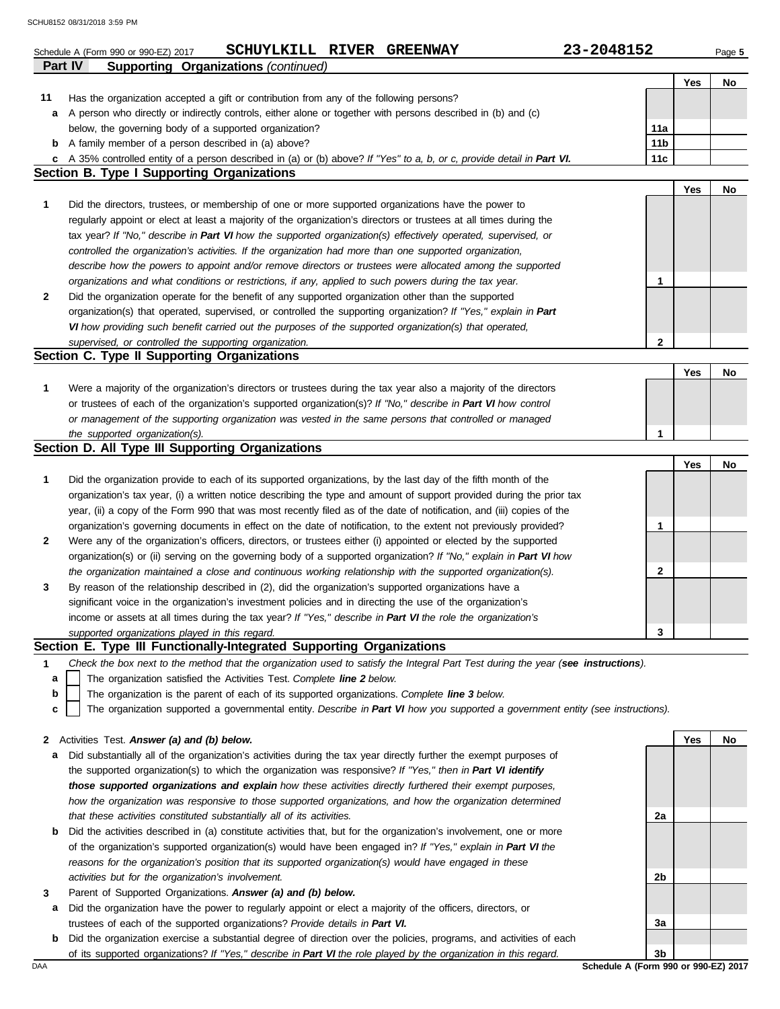|         | SCHUYLKILL RIVER GREENWAY<br>Schedule A (Form 990 or 990-EZ) 2017                                                                                                     | 23-2048152      |     | Page 5 |
|---------|-----------------------------------------------------------------------------------------------------------------------------------------------------------------------|-----------------|-----|--------|
| Part IV | <b>Supporting Organizations (continued)</b>                                                                                                                           |                 |     |        |
|         |                                                                                                                                                                       |                 | Yes | No     |
| 11      | Has the organization accepted a gift or contribution from any of the following persons?                                                                               |                 |     |        |
| a       | A person who directly or indirectly controls, either alone or together with persons described in (b) and (c)                                                          |                 |     |        |
|         | below, the governing body of a supported organization?                                                                                                                | 11a             |     |        |
|         | <b>b</b> A family member of a person described in (a) above?                                                                                                          | 11 <sub>b</sub> |     |        |
|         | c A 35% controlled entity of a person described in (a) or (b) above? If "Yes" to a, b, or c, provide detail in Part VI.<br>Section B. Type I Supporting Organizations | 11c             |     |        |
|         |                                                                                                                                                                       |                 | Yes | No     |
| 1       | Did the directors, trustees, or membership of one or more supported organizations have the power to                                                                   |                 |     |        |
|         | regularly appoint or elect at least a majority of the organization's directors or trustees at all times during the                                                    |                 |     |        |
|         | tax year? If "No," describe in Part VI how the supported organization(s) effectively operated, supervised, or                                                         |                 |     |        |
|         | controlled the organization's activities. If the organization had more than one supported organization,                                                               |                 |     |        |
|         | describe how the powers to appoint and/or remove directors or trustees were allocated among the supported                                                             |                 |     |        |
|         | organizations and what conditions or restrictions, if any, applied to such powers during the tax year.                                                                | 1               |     |        |
| 2       | Did the organization operate for the benefit of any supported organization other than the supported                                                                   |                 |     |        |
|         | organization(s) that operated, supervised, or controlled the supporting organization? If "Yes," explain in Part                                                       |                 |     |        |
|         | VI how providing such benefit carried out the purposes of the supported organization(s) that operated,                                                                |                 |     |        |
|         | supervised, or controlled the supporting organization.                                                                                                                | $\mathbf 2$     |     |        |
|         | Section C. Type II Supporting Organizations                                                                                                                           |                 |     |        |
|         |                                                                                                                                                                       |                 | Yes | No     |
| 1       | Were a majority of the organization's directors or trustees during the tax year also a majority of the directors                                                      |                 |     |        |
|         | or trustees of each of the organization's supported organization(s)? If "No," describe in Part VI how control                                                         |                 |     |        |
|         | or management of the supporting organization was vested in the same persons that controlled or managed                                                                |                 |     |        |
|         | the supported organization(s).                                                                                                                                        | 1               |     |        |
|         | Section D. All Type III Supporting Organizations                                                                                                                      |                 |     |        |
|         |                                                                                                                                                                       |                 | Yes | No     |
| 1       | Did the organization provide to each of its supported organizations, by the last day of the fifth month of the                                                        |                 |     |        |
|         | organization's tax year, (i) a written notice describing the type and amount of support provided during the prior tax                                                 |                 |     |        |
|         | year, (ii) a copy of the Form 990 that was most recently filed as of the date of notification, and (iii) copies of the                                                |                 |     |        |
|         | organization's governing documents in effect on the date of notification, to the extent not previously provided?                                                      | 1               |     |        |
| 2       | Were any of the organization's officers, directors, or trustees either (i) appointed or elected by the supported                                                      |                 |     |        |
|         | organization(s) or (ii) serving on the governing body of a supported organization? If "No," explain in Part VI how                                                    |                 |     |        |
|         | the organization maintained a close and continuous working relationship with the supported organization(s).                                                           | 2               |     |        |
| 3       | By reason of the relationship described in (2), did the organization's supported organizations have a                                                                 |                 |     |        |
|         | significant voice in the organization's investment policies and in directing the use of the organization's                                                            |                 |     |        |
|         | income or assets at all times during the tax year? If "Yes," describe in Part VI the role the organization's                                                          |                 |     |        |
|         | supported organizations played in this regard.                                                                                                                        | 3               |     |        |
|         | Section E. Type III Functionally-Integrated Supporting Organizations                                                                                                  |                 |     |        |
| 1       | Check the box next to the method that the organization used to satisfy the Integral Part Test during the year (see instructions).                                     |                 |     |        |
| a       | The organization satisfied the Activities Test. Complete line 2 below.                                                                                                |                 |     |        |
| b       | The organization is the parent of each of its supported organizations. Complete line 3 below.                                                                         |                 |     |        |
| c       | The organization supported a governmental entity. Describe in Part VI how you supported a government entity (see instructions).                                       |                 |     |        |
|         | 2 Activities Test. Answer (a) and (b) below.                                                                                                                          |                 | Yes | No     |
|         | Did substantially all of the organization's activities during the tax year directly further the exempt purposes of                                                    |                 |     |        |
| а       | the supported organization(s) to which the organization was responsive? If "Yes," then in Part VI identify                                                            |                 |     |        |
|         | those supported organizations and explain how these activities directly furthered their exempt purposes,                                                              |                 |     |        |
|         | how the organization was responsive to those supported organizations, and how the organization determined                                                             |                 |     |        |
|         | that these activities constituted substantially all of its activities.                                                                                                | 2a              |     |        |
| b       | Did the activities described in (a) constitute activities that, but for the organization's involvement, one or more                                                   |                 |     |        |
|         | of the organization's supported organization(s) would have been engaged in? If "Yes," explain in Part VI the                                                          |                 |     |        |
|         | reasons for the organization's position that its supported organization(s) would have engaged in these                                                                |                 |     |        |
|         | activities but for the organization's involvement.                                                                                                                    | 2b              |     |        |
| 3       | Parent of Supported Organizations. Answer (a) and (b) below.                                                                                                          |                 |     |        |
| а       | Did the organization have the power to regularly appoint or elect a majority of the officers, directors, or                                                           |                 |     |        |
|         | trustees of each of the supported organizations? Provide details in Part VI.                                                                                          | За              |     |        |
|         |                                                                                                                                                                       |                 |     |        |

**b** Did the organization exercise a substantial degree of direction over the policies, programs, and activities of each of its supported organizations? *If "Yes," describe in Part VI the role played by the organization in this regard.*

DAA **Schedule A (Form 990 or 990-EZ) 2017 3b**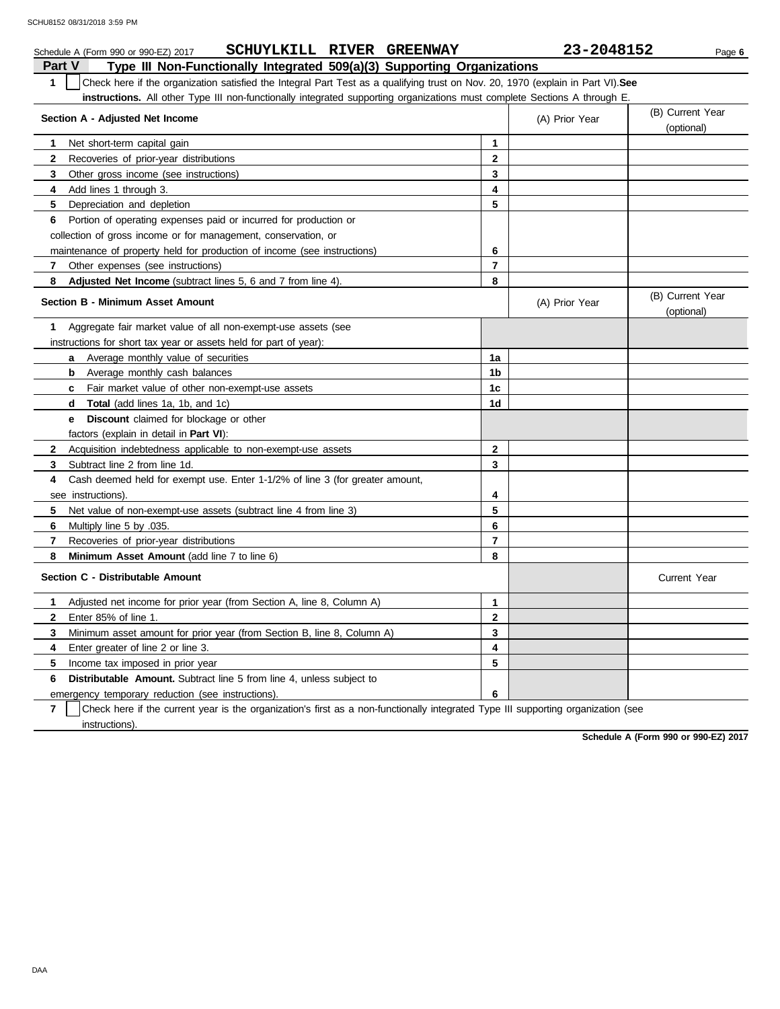|                | SCHUYLKILL RIVER GREENWAY<br>Schedule A (Form 990 or 990-EZ) 2017                                                                |                | 23-2048152     | Page 6                         |
|----------------|----------------------------------------------------------------------------------------------------------------------------------|----------------|----------------|--------------------------------|
| Part V         | Type III Non-Functionally Integrated 509(a)(3) Supporting Organizations                                                          |                |                |                                |
| $\mathbf{1}$   | Check here if the organization satisfied the Integral Part Test as a qualifying trust on Nov. 20, 1970 (explain in Part VI). See |                |                |                                |
|                | instructions. All other Type III non-functionally integrated supporting organizations must complete Sections A through E.        |                |                |                                |
|                | Section A - Adjusted Net Income                                                                                                  |                | (A) Prior Year | (B) Current Year               |
|                |                                                                                                                                  |                |                | (optional)                     |
| 1              | Net short-term capital gain                                                                                                      | $\mathbf{1}$   |                |                                |
| $\mathbf{2}$   | Recoveries of prior-year distributions                                                                                           | $\mathbf{2}$   |                |                                |
| 3              | Other gross income (see instructions)                                                                                            | 3              |                |                                |
| 4              | Add lines 1 through 3.                                                                                                           | 4              |                |                                |
| 5              | Depreciation and depletion                                                                                                       | 5              |                |                                |
| 6              | Portion of operating expenses paid or incurred for production or                                                                 |                |                |                                |
|                | collection of gross income or for management, conservation, or                                                                   |                |                |                                |
|                | maintenance of property held for production of income (see instructions)                                                         | 6              |                |                                |
| 7              | Other expenses (see instructions)                                                                                                | $\overline{7}$ |                |                                |
| 8              | <b>Adjusted Net Income</b> (subtract lines 5, 6 and 7 from line 4).                                                              | 8              |                |                                |
|                | <b>Section B - Minimum Asset Amount</b>                                                                                          |                | (A) Prior Year | (B) Current Year<br>(optional) |
| 1              | Aggregate fair market value of all non-exempt-use assets (see                                                                    |                |                |                                |
|                | instructions for short tax year or assets held for part of year):                                                                |                |                |                                |
|                | Average monthly value of securities<br>a                                                                                         | 1a             |                |                                |
|                | <b>b</b> Average monthly cash balances                                                                                           | 1b             |                |                                |
|                | <b>c</b> Fair market value of other non-exempt-use assets                                                                        | 1 <sub>c</sub> |                |                                |
|                | <b>d</b> Total (add lines 1a, 1b, and 1c)                                                                                        | 1 <sub>d</sub> |                |                                |
|                | <b>Discount</b> claimed for blockage or other<br>e                                                                               |                |                |                                |
|                | factors (explain in detail in <b>Part VI</b> ):                                                                                  |                |                |                                |
| 2              | Acquisition indebtedness applicable to non-exempt-use assets                                                                     | $\mathbf{2}$   |                |                                |
| 3              | Subtract line 2 from line 1d.                                                                                                    | 3              |                |                                |
| 4              | Cash deemed held for exempt use. Enter 1-1/2% of line 3 (for greater amount,                                                     |                |                |                                |
|                | see instructions).                                                                                                               | 4              |                |                                |
| 5.             | Net value of non-exempt-use assets (subtract line 4 from line 3)                                                                 | 5              |                |                                |
| 6              | Multiply line 5 by .035.                                                                                                         | 6              |                |                                |
| $\overline{7}$ | Recoveries of prior-year distributions                                                                                           | $\overline{7}$ |                |                                |
| 8              | Minimum Asset Amount (add line 7 to line 6)                                                                                      | 8              |                |                                |
|                | Section C - Distributable Amount                                                                                                 |                |                | <b>Current Year</b>            |
| 1.             | Adjusted net income for prior year (from Section A, line 8, Column A)                                                            | $\mathbf{1}$   |                |                                |
| $\mathbf{2}$   | Enter 85% of line 1.                                                                                                             | $\mathbf{2}$   |                |                                |
| 3              | Minimum asset amount for prior year (from Section B, line 8, Column A)                                                           | 3              |                |                                |
| 4              | Enter greater of line 2 or line 3.                                                                                               | 4              |                |                                |
| 5              | Income tax imposed in prior year                                                                                                 | 5              |                |                                |
| 6              | <b>Distributable Amount.</b> Subtract line 5 from line 4, unless subject to                                                      |                |                |                                |
|                | emergency temporary reduction (see instructions).                                                                                | 6              |                |                                |

**7** | Check here if the current year is the organization's first as a non-functionally integrated Type III supporting organization (see instructions).

**Schedule A (Form 990 or 990-EZ) 2017**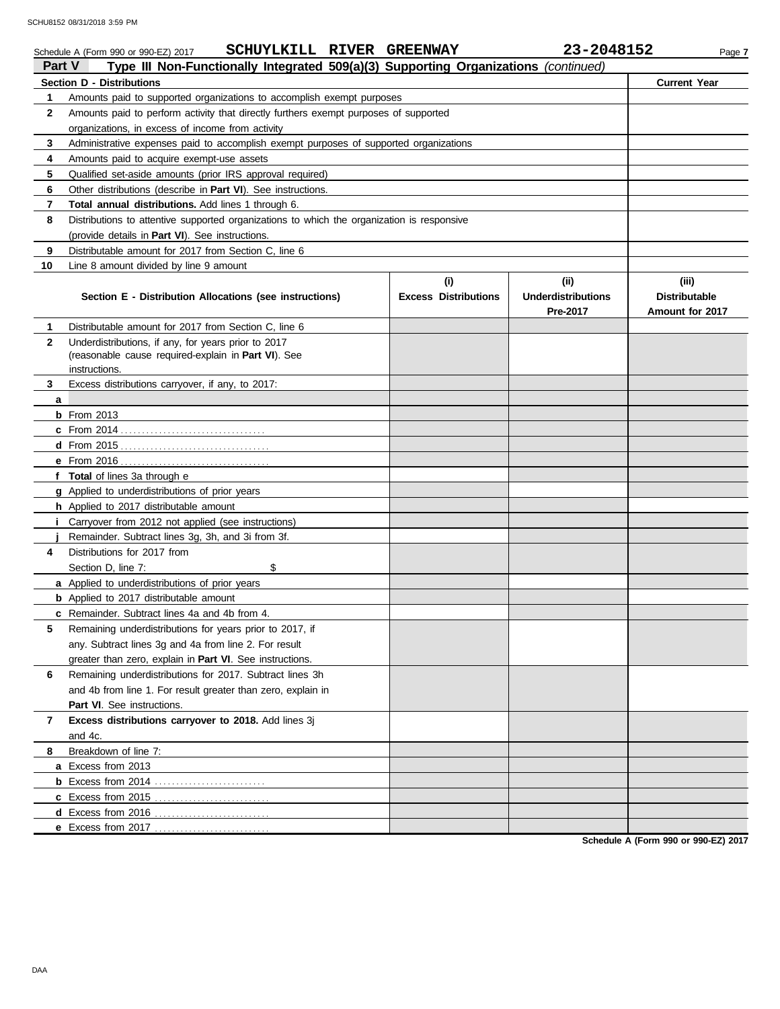| Part V         | SCHUYLKILL RIVER GREENWAY<br>Schedule A (Form 990 or 990-EZ) 2017<br>Type III Non-Functionally Integrated 509(a)(3) Supporting Organizations (continued) |                             | 23-2048152                | Page 7               |
|----------------|----------------------------------------------------------------------------------------------------------------------------------------------------------|-----------------------------|---------------------------|----------------------|
|                | <b>Section D - Distributions</b>                                                                                                                         |                             |                           | <b>Current Year</b>  |
| 1              | Amounts paid to supported organizations to accomplish exempt purposes                                                                                    |                             |                           |                      |
| $\mathbf{2}$   | Amounts paid to perform activity that directly furthers exempt purposes of supported                                                                     |                             |                           |                      |
|                | organizations, in excess of income from activity                                                                                                         |                             |                           |                      |
| 3              | Administrative expenses paid to accomplish exempt purposes of supported organizations                                                                    |                             |                           |                      |
| 4              | Amounts paid to acquire exempt-use assets                                                                                                                |                             |                           |                      |
| 5              | Qualified set-aside amounts (prior IRS approval required)                                                                                                |                             |                           |                      |
| 6              | Other distributions (describe in Part VI). See instructions.                                                                                             |                             |                           |                      |
| $\overline{7}$ | Total annual distributions. Add lines 1 through 6.                                                                                                       |                             |                           |                      |
| 8              | Distributions to attentive supported organizations to which the organization is responsive                                                               |                             |                           |                      |
|                | (provide details in Part VI). See instructions.                                                                                                          |                             |                           |                      |
| 9              | Distributable amount for 2017 from Section C, line 6                                                                                                     |                             |                           |                      |
| 10             | Line 8 amount divided by line 9 amount                                                                                                                   |                             |                           |                      |
|                |                                                                                                                                                          | (i)                         | (ii)                      | (iii)                |
|                | Section E - Distribution Allocations (see instructions)                                                                                                  | <b>Excess Distributions</b> | <b>Underdistributions</b> | <b>Distributable</b> |
|                |                                                                                                                                                          |                             | Pre-2017                  | Amount for 2017      |
| 1              | Distributable amount for 2017 from Section C, line 6                                                                                                     |                             |                           |                      |
| $\mathbf{2}$   | Underdistributions, if any, for years prior to 2017                                                                                                      |                             |                           |                      |
|                | (reasonable cause required-explain in Part VI). See                                                                                                      |                             |                           |                      |
|                | instructions.                                                                                                                                            |                             |                           |                      |
| 3              | Excess distributions carryover, if any, to 2017:                                                                                                         |                             |                           |                      |
| a              |                                                                                                                                                          |                             |                           |                      |
|                | $b$ From 2013                                                                                                                                            |                             |                           |                      |
|                |                                                                                                                                                          |                             |                           |                      |
|                |                                                                                                                                                          |                             |                           |                      |
|                |                                                                                                                                                          |                             |                           |                      |
|                | f Total of lines 3a through e                                                                                                                            |                             |                           |                      |
|                | g Applied to underdistributions of prior years                                                                                                           |                             |                           |                      |
|                | h Applied to 2017 distributable amount                                                                                                                   |                             |                           |                      |
|                | Carryover from 2012 not applied (see instructions)                                                                                                       |                             |                           |                      |
|                | Remainder. Subtract lines 3g, 3h, and 3i from 3f.                                                                                                        |                             |                           |                      |
| 4              | Distributions for 2017 from                                                                                                                              |                             |                           |                      |
|                | \$<br>Section D, line 7:                                                                                                                                 |                             |                           |                      |
|                | a Applied to underdistributions of prior years                                                                                                           |                             |                           |                      |
|                | <b>b</b> Applied to 2017 distributable amount                                                                                                            |                             |                           |                      |
|                | c Remainder. Subtract lines 4a and 4b from 4.                                                                                                            |                             |                           |                      |
| 5              | Remaining underdistributions for years prior to 2017, if                                                                                                 |                             |                           |                      |
|                | any. Subtract lines 3g and 4a from line 2. For result                                                                                                    |                             |                           |                      |
|                | greater than zero, explain in Part VI. See instructions.                                                                                                 |                             |                           |                      |
| 6              | Remaining underdistributions for 2017. Subtract lines 3h                                                                                                 |                             |                           |                      |
|                | and 4b from line 1. For result greater than zero, explain in                                                                                             |                             |                           |                      |
|                | <b>Part VI.</b> See instructions.                                                                                                                        |                             |                           |                      |
| 7              | Excess distributions carryover to 2018. Add lines 3j                                                                                                     |                             |                           |                      |
|                | and 4c.                                                                                                                                                  |                             |                           |                      |
| 8              | Breakdown of line 7:                                                                                                                                     |                             |                           |                      |
|                | a Excess from 2013                                                                                                                                       |                             |                           |                      |
|                |                                                                                                                                                          |                             |                           |                      |
|                | c Excess from 2015                                                                                                                                       |                             |                           |                      |
|                | d Excess from 2016                                                                                                                                       |                             |                           |                      |
|                | e Excess from 2017                                                                                                                                       |                             |                           |                      |

**Schedule A (Form 990 or 990-EZ) 2017**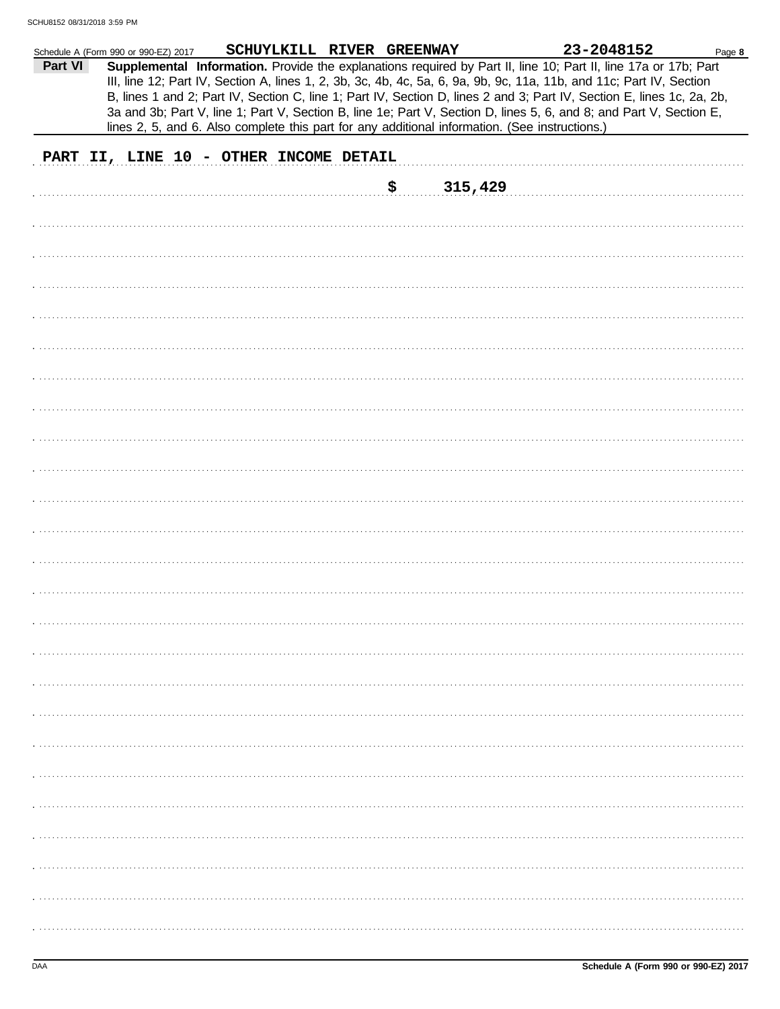|         | Schedule A (Form 990 or 990-EZ) 2017 |                                        | SCHUYLKILL RIVER GREENWAY |                                                                                                | 23-2048152                                                                                                                                                                                                                                                                                                                                                                                                                                                                               | Page 8 |
|---------|--------------------------------------|----------------------------------------|---------------------------|------------------------------------------------------------------------------------------------|------------------------------------------------------------------------------------------------------------------------------------------------------------------------------------------------------------------------------------------------------------------------------------------------------------------------------------------------------------------------------------------------------------------------------------------------------------------------------------------|--------|
| Part VI |                                      |                                        |                           | lines 2, 5, and 6. Also complete this part for any additional information. (See instructions.) | Supplemental Information. Provide the explanations required by Part II, line 10; Part II, line 17a or 17b; Part<br>III, line 12; Part IV, Section A, lines 1, 2, 3b, 3c, 4b, 4c, 5a, 6, 9a, 9b, 9c, 11a, 11b, and 11c; Part IV, Section<br>B, lines 1 and 2; Part IV, Section C, line 1; Part IV, Section D, lines 2 and 3; Part IV, Section E, lines 1c, 2a, 2b,<br>3a and 3b; Part V, line 1; Part V, Section B, line 1e; Part V, Section D, lines 5, 6, and 8; and Part V, Section E, |        |
|         |                                      | PART II, LINE 10 - OTHER INCOME DETAIL |                           |                                                                                                |                                                                                                                                                                                                                                                                                                                                                                                                                                                                                          |        |
|         |                                      |                                        |                           |                                                                                                |                                                                                                                                                                                                                                                                                                                                                                                                                                                                                          |        |
|         |                                      |                                        |                           | \$<br>315,429                                                                                  |                                                                                                                                                                                                                                                                                                                                                                                                                                                                                          |        |
|         |                                      |                                        |                           |                                                                                                |                                                                                                                                                                                                                                                                                                                                                                                                                                                                                          |        |
|         |                                      |                                        |                           |                                                                                                |                                                                                                                                                                                                                                                                                                                                                                                                                                                                                          |        |
|         |                                      |                                        |                           |                                                                                                |                                                                                                                                                                                                                                                                                                                                                                                                                                                                                          |        |
|         |                                      |                                        |                           |                                                                                                |                                                                                                                                                                                                                                                                                                                                                                                                                                                                                          |        |
|         |                                      |                                        |                           |                                                                                                |                                                                                                                                                                                                                                                                                                                                                                                                                                                                                          |        |
|         |                                      |                                        |                           |                                                                                                |                                                                                                                                                                                                                                                                                                                                                                                                                                                                                          |        |
|         |                                      |                                        |                           |                                                                                                |                                                                                                                                                                                                                                                                                                                                                                                                                                                                                          |        |
|         |                                      |                                        |                           |                                                                                                |                                                                                                                                                                                                                                                                                                                                                                                                                                                                                          |        |
|         |                                      |                                        |                           |                                                                                                |                                                                                                                                                                                                                                                                                                                                                                                                                                                                                          |        |
|         |                                      |                                        |                           |                                                                                                |                                                                                                                                                                                                                                                                                                                                                                                                                                                                                          |        |
|         |                                      |                                        |                           |                                                                                                |                                                                                                                                                                                                                                                                                                                                                                                                                                                                                          |        |
|         |                                      |                                        |                           |                                                                                                |                                                                                                                                                                                                                                                                                                                                                                                                                                                                                          |        |
|         |                                      |                                        |                           |                                                                                                |                                                                                                                                                                                                                                                                                                                                                                                                                                                                                          |        |
|         |                                      |                                        |                           |                                                                                                |                                                                                                                                                                                                                                                                                                                                                                                                                                                                                          |        |
|         |                                      |                                        |                           |                                                                                                |                                                                                                                                                                                                                                                                                                                                                                                                                                                                                          |        |
|         |                                      |                                        |                           |                                                                                                |                                                                                                                                                                                                                                                                                                                                                                                                                                                                                          |        |
|         |                                      |                                        |                           |                                                                                                |                                                                                                                                                                                                                                                                                                                                                                                                                                                                                          |        |
|         |                                      |                                        |                           |                                                                                                |                                                                                                                                                                                                                                                                                                                                                                                                                                                                                          |        |
|         |                                      |                                        |                           |                                                                                                |                                                                                                                                                                                                                                                                                                                                                                                                                                                                                          |        |
|         |                                      |                                        |                           |                                                                                                |                                                                                                                                                                                                                                                                                                                                                                                                                                                                                          |        |
|         |                                      |                                        |                           |                                                                                                |                                                                                                                                                                                                                                                                                                                                                                                                                                                                                          |        |
|         |                                      |                                        |                           |                                                                                                |                                                                                                                                                                                                                                                                                                                                                                                                                                                                                          |        |
|         |                                      |                                        |                           |                                                                                                |                                                                                                                                                                                                                                                                                                                                                                                                                                                                                          |        |
|         |                                      |                                        |                           |                                                                                                |                                                                                                                                                                                                                                                                                                                                                                                                                                                                                          |        |
|         |                                      |                                        |                           |                                                                                                |                                                                                                                                                                                                                                                                                                                                                                                                                                                                                          |        |
|         |                                      |                                        |                           |                                                                                                |                                                                                                                                                                                                                                                                                                                                                                                                                                                                                          |        |
|         |                                      |                                        |                           |                                                                                                |                                                                                                                                                                                                                                                                                                                                                                                                                                                                                          |        |
|         |                                      |                                        |                           |                                                                                                |                                                                                                                                                                                                                                                                                                                                                                                                                                                                                          |        |
|         |                                      |                                        |                           |                                                                                                |                                                                                                                                                                                                                                                                                                                                                                                                                                                                                          |        |
|         |                                      |                                        |                           |                                                                                                |                                                                                                                                                                                                                                                                                                                                                                                                                                                                                          |        |
|         |                                      |                                        |                           |                                                                                                |                                                                                                                                                                                                                                                                                                                                                                                                                                                                                          |        |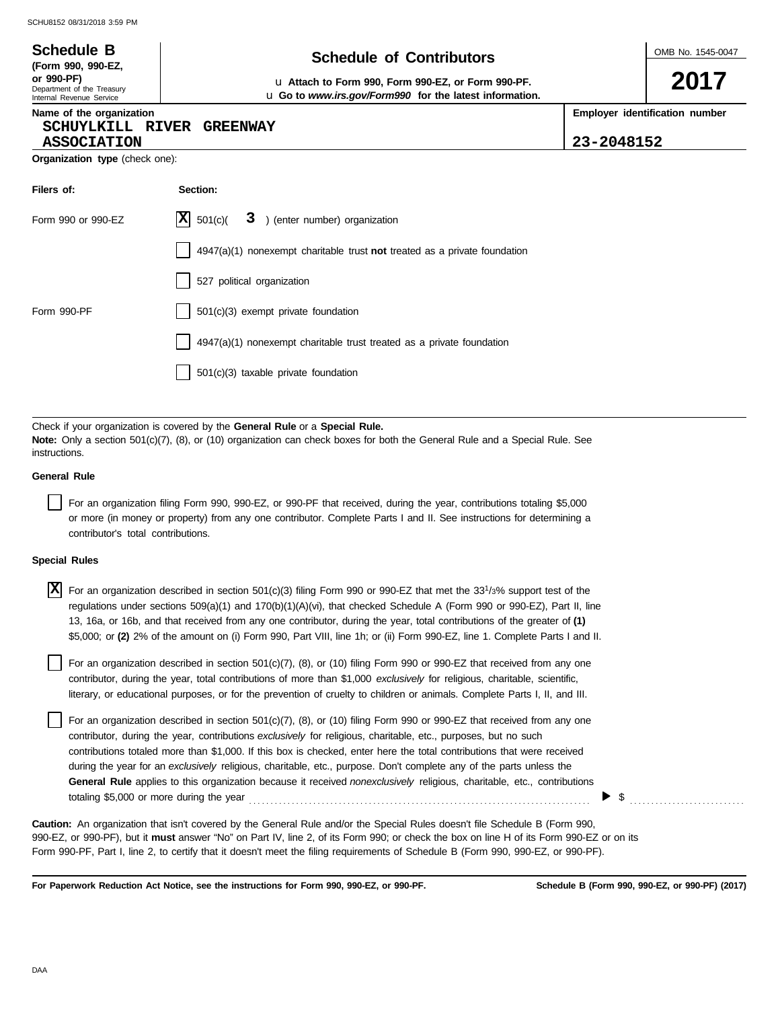Department of the Treasury Internal Revenue Service

**(Form 990, 990-EZ,**

## **Schedule of Contributors Schedule B**

**or 990-PF)** u **Attach to Form 990, Form 990-EZ, or Form 990-PF.** u **Go to** *www.irs.gov/Form990* **for the latest information.** OMB No. 1545-0047

**2017**

**Employer identification number**

| Name of the organization  |  |  |  |  |  |  |
|---------------------------|--|--|--|--|--|--|
| SCHUYLKILL RIVER GREENWAY |  |  |  |  |  |  |

### **ASSOCIATION 23-2048152**

**Organization type** (check one):

| Filers of:         | Section:                                                                    |
|--------------------|-----------------------------------------------------------------------------|
| Form 990 or 990-EZ | $ \mathbf{X} $ 501(c)(<br>3 ) (enter number) organization                   |
|                    | $4947(a)(1)$ nonexempt charitable trust not treated as a private foundation |
|                    | 527 political organization                                                  |
| Form 990-PF        | 501(c)(3) exempt private foundation                                         |
|                    | 4947(a)(1) nonexempt charitable trust treated as a private foundation       |
|                    | 501(c)(3) taxable private foundation                                        |

Check if your organization is covered by the **General Rule** or a **Special Rule. Note:** Only a section 501(c)(7), (8), or (10) organization can check boxes for both the General Rule and a Special Rule. See instructions.

#### **General Rule**

For an organization filing Form 990, 990-EZ, or 990-PF that received, during the year, contributions totaling \$5,000 or more (in money or property) from any one contributor. Complete Parts I and II. See instructions for determining a contributor's total contributions.

#### **Special Rules**

| <b>X</b> For an organization described in section 501(c)(3) filing Form 990 or 990-EZ that met the 33 <sup>1</sup> /3% support test of the |
|--------------------------------------------------------------------------------------------------------------------------------------------|
| regulations under sections 509(a)(1) and 170(b)(1)(A)(vi), that checked Schedule A (Form 990 or 990-EZ), Part II, line                     |
| 13, 16a, or 16b, and that received from any one contributor, during the year, total contributions of the greater of (1)                    |
| \$5,000; or (2) 2% of the amount on (i) Form 990, Part VIII, line 1h; or (ii) Form 990-EZ, line 1. Complete Parts I and II.                |

literary, or educational purposes, or for the prevention of cruelty to children or animals. Complete Parts I, II, and III. For an organization described in section  $501(c)(7)$ ,  $(8)$ , or  $(10)$  filing Form 990 or 990-EZ that received from any one contributor, during the year, total contributions of more than \$1,000 *exclusively* for religious, charitable, scientific,

For an organization described in section 501(c)(7), (8), or (10) filing Form 990 or 990-EZ that received from any one contributor, during the year, contributions *exclusively* for religious, charitable, etc., purposes, but no such contributions totaled more than \$1,000. If this box is checked, enter here the total contributions that were received during the year for an *exclusively* religious, charitable, etc., purpose. Don't complete any of the parts unless the **General Rule** applies to this organization because it received *nonexclusively* religious, charitable, etc., contributions totaling \$5,000 or more during the year . . . . . . . . . . . . . . . . . . . . . . . . . . . . . . . . . . . . . . . . . . . . . . . . . . . . . . . . . . . . . . . . . . . . . . . . . . . . . . . .

990-EZ, or 990-PF), but it **must** answer "No" on Part IV, line 2, of its Form 990; or check the box on line H of its Form 990-EZ or on its Form 990-PF, Part I, line 2, to certify that it doesn't meet the filing requirements of Schedule B (Form 990, 990-EZ, or 990-PF). **Caution:** An organization that isn't covered by the General Rule and/or the Special Rules doesn't file Schedule B (Form 990,

**For Paperwork Reduction Act Notice, see the instructions for Form 990, 990-EZ, or 990-PF.**

 $\triangleright$  \$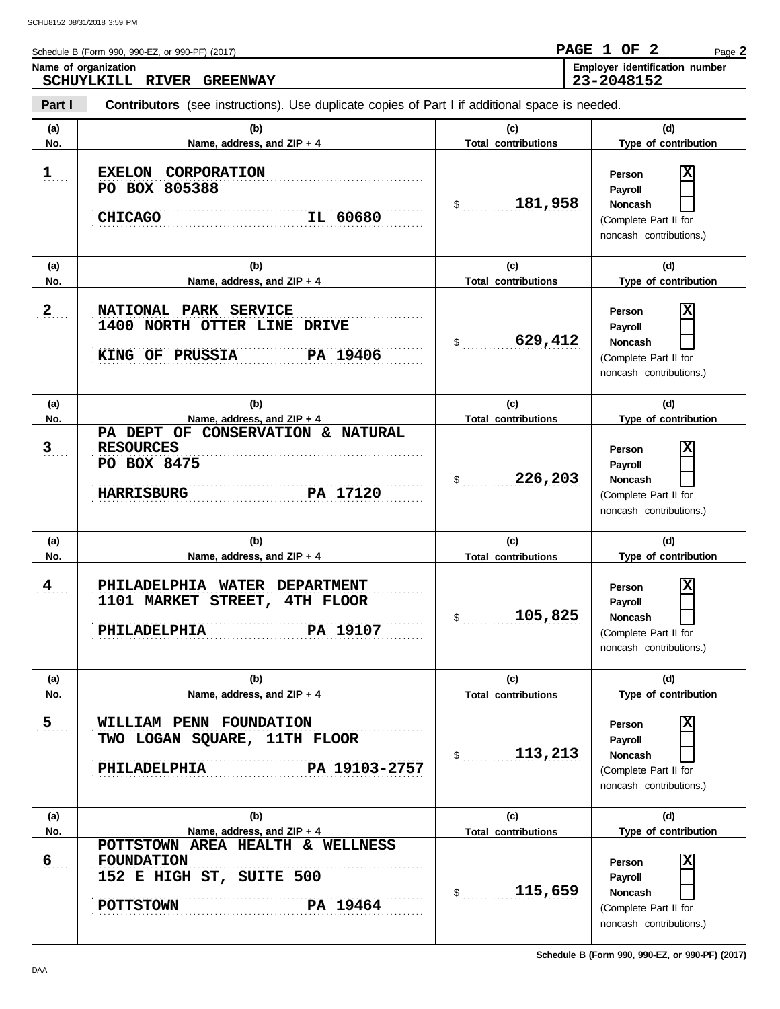| Schedule B (Form 990, 990-EZ, or 990-PF) (2017) | PAGE 1 OF  |  | Page 2                         |
|-------------------------------------------------|------------|--|--------------------------------|
| Name of organization                            |            |  | Employer identification number |
| SCHUYLKILL RIVER GREENWAY                       | 23-2048152 |  |                                |

| Part I         | <b>Contributors</b> (see instructions). Use duplicate copies of Part I if additional space is needed.                    |                                                        |                                                                                                                      |  |  |  |
|----------------|--------------------------------------------------------------------------------------------------------------------------|--------------------------------------------------------|----------------------------------------------------------------------------------------------------------------------|--|--|--|
| (a)<br>No.     | (b)<br>Name, address, and ZIP + 4                                                                                        | (c)<br><b>Total contributions</b>                      | (d)<br>Type of contribution                                                                                          |  |  |  |
| $1$            | EXELON CORPORATION<br>PO BOX 805388<br><b>CHICAGO</b><br>IL 60680                                                        | 181,958<br>$\mathsf{\$}$                               | X<br>Person<br>Payroll<br><b>Noncash</b><br>(Complete Part II for<br>noncash contributions.)                         |  |  |  |
| (a)<br>No.     | (b)<br>Name, address, and ZIP + 4                                                                                        | (c)<br><b>Total contributions</b>                      | (d)<br>Type of contribution                                                                                          |  |  |  |
| $\overline{2}$ | NATIONAL PARK SERVICE<br>1400 NORTH OTTER LINE DRIVE<br>KING OF PRUSSIA<br>PA 19406                                      | 629,412<br>$\$\$                                       | х<br>Person<br>Payroll<br><b>Noncash</b><br>(Complete Part II for<br>noncash contributions.)                         |  |  |  |
| (a)            | (b)                                                                                                                      | (c)                                                    | (d)                                                                                                                  |  |  |  |
| No.            | Name, address, and ZIP + 4<br>PA DEPT OF CONSERVATION & NATURAL                                                          | <b>Total contributions</b>                             | Type of contribution                                                                                                 |  |  |  |
| $\overline{3}$ | <b>RESOURCES</b><br>PO BOX 8475<br><b>HARRISBURG</b><br>PA 17120                                                         | 226,203<br>$\mathsf{\$}$                               | X<br>Person<br>Payroll<br><b>Noncash</b><br>(Complete Part II for<br>noncash contributions.)                         |  |  |  |
| (a)            | (b)                                                                                                                      | (c)                                                    | (d)                                                                                                                  |  |  |  |
| No.<br>4       | Name, address, and ZIP + 4<br>PHILADELPHIA WATER DEPARTMENT<br>1101 MARKET STREET, 4TH FLOOR<br>PHILADELPHIA<br>PA 19107 | <b>Total contributions</b><br>105,825<br>$\mathsf{\$}$ | Type of contribution<br>X<br>Person<br>Payroll<br><b>Noncash</b><br>(Complete Part II for<br>noncash contributions.) |  |  |  |
| (a)<br>No.     | (b)<br>Name, address, and ZIP + 4                                                                                        | (c)<br><b>Total contributions</b>                      | (d)<br>Type of contribution                                                                                          |  |  |  |
| $\overline{5}$ | WILLIAM PENN FOUNDATION<br>TWO LOGAN SQUARE, 11TH FLOOR<br>PA 19103-2757<br>PHILADELPHIA                                 | 113,213<br>$\mathsf{\$}$                               | Person<br>Payroll<br><b>Noncash</b><br>(Complete Part II for<br>noncash contributions.)                              |  |  |  |
| (a)<br>No.     | (b)<br>Name, address, and ZIP + 4                                                                                        | (c)<br><b>Total contributions</b>                      | (d)<br>Type of contribution                                                                                          |  |  |  |
| 6              | POTTSTOWN AREA HEALTH & WELLNESS<br><b>FOUNDATION</b><br>152 E HIGH ST, SUITE 500<br>PA 19464<br><b>POTTSTOWN</b>        | 115,659<br>\$                                          | Person<br>Payroll<br>Noncash<br>(Complete Part II for<br>noncash contributions.)                                     |  |  |  |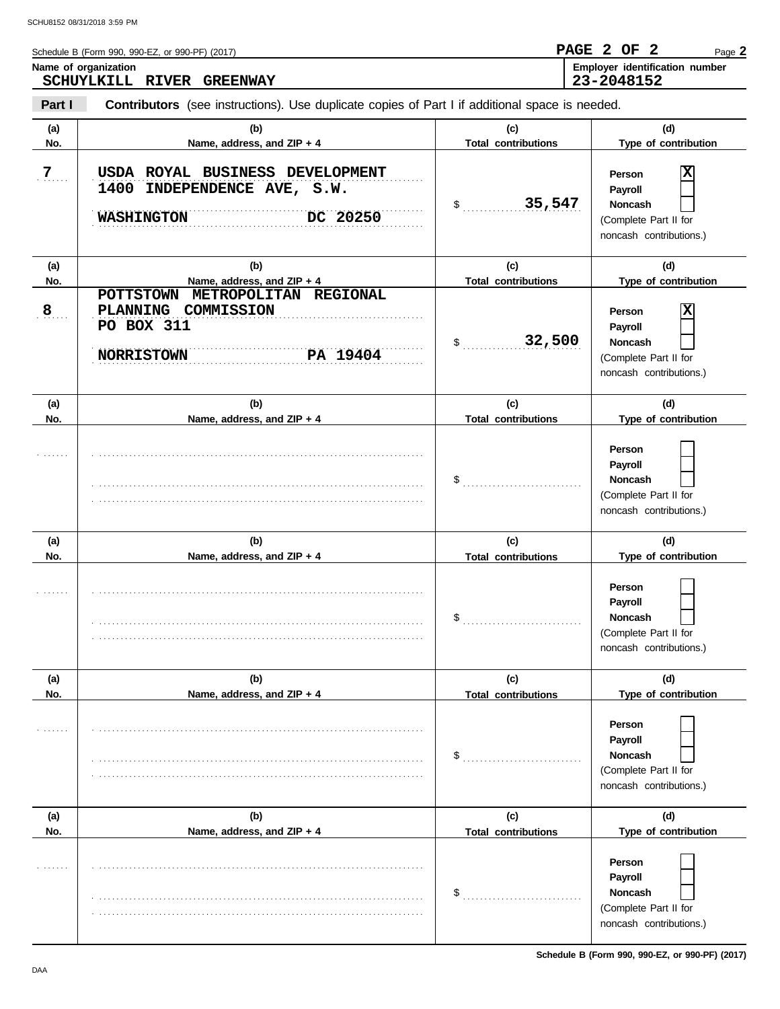|              | Schedule B (Form 990, 990-EZ, or 990-PF) (2017)                                                              |                                   | PAGE 2 OF 2<br>Page 2                                                                                           |
|--------------|--------------------------------------------------------------------------------------------------------------|-----------------------------------|-----------------------------------------------------------------------------------------------------------------|
|              | Name of organization<br>SCHUYLKILL RIVER<br><b>GREENWAY</b>                                                  |                                   | Employer identification number<br>23-2048152                                                                    |
| Part I       | Contributors (see instructions). Use duplicate copies of Part I if additional space is needed.               |                                   |                                                                                                                 |
| (a)<br>No.   | (b)<br>Name, address, and ZIP + 4                                                                            | (c)<br><b>Total contributions</b> | (d)<br>Type of contribution                                                                                     |
| $7_{\ldots}$ | USDA ROYAL BUSINESS DEVELOPMENT<br>1400<br>INDEPENDENCE AVE, S.W.<br>DC 20250<br><b>WASHINGTON</b>           | 35,547<br>\$                      | Person<br>Payroll<br>Noncash<br>(Complete Part II for<br>noncash contributions.)                                |
| (a)<br>No.   | (b)<br>Name, address, and ZIP + 4                                                                            | (c)<br><b>Total contributions</b> | (d)<br>Type of contribution                                                                                     |
| 8            | POTTSTOWN METROPOLITAN REGIONAL<br>PLANNING COMMISSION<br><b>PO BOX 311</b><br>PA 19404<br><b>NORRISTOWN</b> | 32,500<br>\$                      | Person<br>Payroll<br><b>Noncash</b><br>(Complete Part II for<br>noncash contributions.)                         |
| (a)<br>No.   | (b)<br>Name, address, and ZIP + 4                                                                            | (c)<br><b>Total contributions</b> | (d)<br>Type of contribution                                                                                     |
|              |                                                                                                              | \$                                | Person<br>Payroll<br><b>Noncash</b><br>(Complete Part II for<br>noncash contributions.)                         |
| (a)<br>No.   | (b)<br>Name, address, and ZIP + 4                                                                            | (c)<br><b>Total contributions</b> | (d)<br>Type of contribution                                                                                     |
|              |                                                                                                              | $\mathfrak{F}$                    | Person<br>Payroll<br><b>Noncash</b><br>(Complete Part II for<br>noncash contributions.)                         |
| (a)<br>No.   | (b)<br>Name, address, and ZIP + 4                                                                            | (c)<br><b>Total contributions</b> | (d)<br>Type of contribution                                                                                     |
|              |                                                                                                              | \$                                | Person<br>Payroll<br><b>Noncash</b><br>(Complete Part II for<br>noncash contributions.)                         |
| (a)          | (b)                                                                                                          | (c)                               | (d)                                                                                                             |
| No.          | Name, address, and ZIP + 4                                                                                   | <b>Total contributions</b><br>\$  | Type of contribution<br>Person<br>Payroll<br><b>Noncash</b><br>(Complete Part II for<br>noncash contributions.) |

**Schedule B (Form 990, 990-EZ, or 990-PF) (2017)**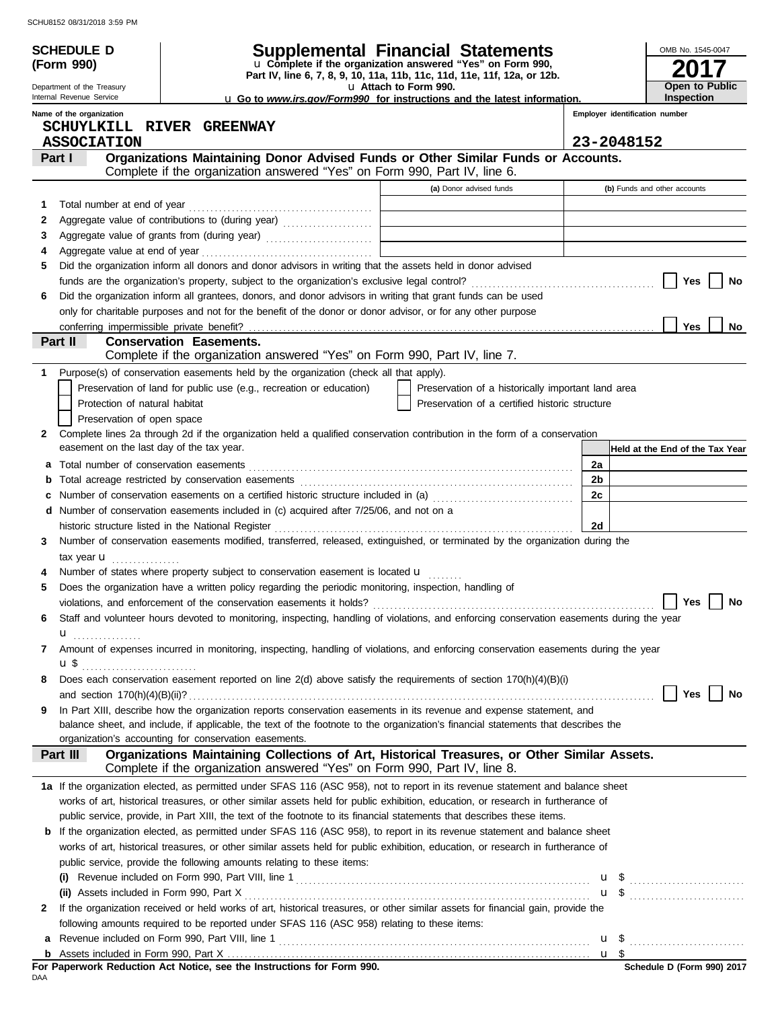| <b>SCHEDULE D</b>                                    |                                                                                                                                                                                                            | <b>Supplemental Financial Statements</b>                                                                                               |                                | OMB No. 1545-0047               |  |  |
|------------------------------------------------------|------------------------------------------------------------------------------------------------------------------------------------------------------------------------------------------------------------|----------------------------------------------------------------------------------------------------------------------------------------|--------------------------------|---------------------------------|--|--|
| (Form 990)                                           |                                                                                                                                                                                                            | u Complete if the organization answered "Yes" on Form 990,<br>Part IV, line 6, 7, 8, 9, 10, 11a, 11b, 11c, 11d, 11e, 11f, 12a, or 12b. |                                |                                 |  |  |
| Department of the Treasury                           |                                                                                                                                                                                                            | u Attach to Form 990.                                                                                                                  |                                | <b>Open to Public</b>           |  |  |
| Internal Revenue Service<br>Name of the organization |                                                                                                                                                                                                            | <b>u</b> Go to www.irs.gov/Form990 for instructions and the latest information.                                                        | Employer identification number | Inspection                      |  |  |
|                                                      | SCHUYLKILL RIVER GREENWAY                                                                                                                                                                                  |                                                                                                                                        |                                |                                 |  |  |
| <b>ASSOCIATION</b>                                   |                                                                                                                                                                                                            |                                                                                                                                        | 23-2048152                     |                                 |  |  |
| Part I                                               | Organizations Maintaining Donor Advised Funds or Other Similar Funds or Accounts.                                                                                                                          |                                                                                                                                        |                                |                                 |  |  |
|                                                      | Complete if the organization answered "Yes" on Form 990, Part IV, line 6.                                                                                                                                  |                                                                                                                                        |                                |                                 |  |  |
|                                                      |                                                                                                                                                                                                            | (a) Donor advised funds                                                                                                                |                                | (b) Funds and other accounts    |  |  |
| 1                                                    |                                                                                                                                                                                                            |                                                                                                                                        |                                |                                 |  |  |
| 2<br>3                                               | Aggregate value of contributions to (during year)                                                                                                                                                          | the control of the control of the control of the control of the control of                                                             |                                |                                 |  |  |
| 4                                                    |                                                                                                                                                                                                            |                                                                                                                                        |                                |                                 |  |  |
| 5                                                    | Did the organization inform all donors and donor advisors in writing that the assets held in donor advised                                                                                                 |                                                                                                                                        |                                |                                 |  |  |
|                                                      | funds are the organization's property, subject to the organization's exclusive legal control?<br>[                                                                                                         |                                                                                                                                        |                                | Yes<br>No                       |  |  |
| 6                                                    | Did the organization inform all grantees, donors, and donor advisors in writing that grant funds can be used                                                                                               |                                                                                                                                        |                                |                                 |  |  |
|                                                      | only for charitable purposes and not for the benefit of the donor or donor advisor, or for any other purpose                                                                                               |                                                                                                                                        |                                |                                 |  |  |
|                                                      |                                                                                                                                                                                                            |                                                                                                                                        |                                | <b>Yes</b><br>No                |  |  |
| Part II                                              | <b>Conservation Easements.</b>                                                                                                                                                                             |                                                                                                                                        |                                |                                 |  |  |
|                                                      | Complete if the organization answered "Yes" on Form 990, Part IV, line 7.                                                                                                                                  |                                                                                                                                        |                                |                                 |  |  |
| 1                                                    | Purpose(s) of conservation easements held by the organization (check all that apply).<br>Preservation of land for public use (e.g., recreation or education)                                               |                                                                                                                                        |                                |                                 |  |  |
| Protection of natural habitat                        |                                                                                                                                                                                                            | Preservation of a historically important land area<br>Preservation of a certified historic structure                                   |                                |                                 |  |  |
| Preservation of open space                           |                                                                                                                                                                                                            |                                                                                                                                        |                                |                                 |  |  |
| $\mathbf{2}$                                         | Complete lines 2a through 2d if the organization held a qualified conservation contribution in the form of a conservation                                                                                  |                                                                                                                                        |                                |                                 |  |  |
|                                                      | easement on the last day of the tax year.                                                                                                                                                                  |                                                                                                                                        |                                | Held at the End of the Tax Year |  |  |
|                                                      |                                                                                                                                                                                                            |                                                                                                                                        | 2a                             |                                 |  |  |
| b                                                    |                                                                                                                                                                                                            |                                                                                                                                        | 2b                             |                                 |  |  |
| c                                                    |                                                                                                                                                                                                            |                                                                                                                                        | 2c                             |                                 |  |  |
|                                                      | d Number of conservation easements included in (c) acquired after 7/25/06, and not on a                                                                                                                    |                                                                                                                                        |                                |                                 |  |  |
|                                                      |                                                                                                                                                                                                            |                                                                                                                                        | 2d                             |                                 |  |  |
| 3<br>tax year $\mathbf{u}$                           | Number of conservation easements modified, transferred, released, extinguished, or terminated by the organization during the                                                                               |                                                                                                                                        |                                |                                 |  |  |
|                                                      | Number of states where property subject to conservation easement is located <b>u</b>                                                                                                                       |                                                                                                                                        |                                |                                 |  |  |
|                                                      | Does the organization have a written policy regarding the periodic monitoring, inspection, handling of                                                                                                     |                                                                                                                                        |                                |                                 |  |  |
|                                                      |                                                                                                                                                                                                            |                                                                                                                                        |                                | Yes<br>No                       |  |  |
| 6                                                    | Staff and volunteer hours devoted to monitoring, inspecting, handling of violations, and enforcing conservation easements during the year                                                                  |                                                                                                                                        |                                |                                 |  |  |
| $\mathbf{u}$                                         |                                                                                                                                                                                                            |                                                                                                                                        |                                |                                 |  |  |
| 7                                                    | Amount of expenses incurred in monitoring, inspecting, handling of violations, and enforcing conservation easements during the year                                                                        |                                                                                                                                        |                                |                                 |  |  |
|                                                      |                                                                                                                                                                                                            |                                                                                                                                        |                                |                                 |  |  |
| 8                                                    | Does each conservation easement reported on line 2(d) above satisfy the requirements of section 170(h)(4)(B)(i)                                                                                            |                                                                                                                                        |                                | Yes<br>No                       |  |  |
| 9                                                    | In Part XIII, describe how the organization reports conservation easements in its revenue and expense statement, and                                                                                       |                                                                                                                                        |                                |                                 |  |  |
|                                                      | balance sheet, and include, if applicable, the text of the footnote to the organization's financial statements that describes the                                                                          |                                                                                                                                        |                                |                                 |  |  |
|                                                      | organization's accounting for conservation easements.                                                                                                                                                      |                                                                                                                                        |                                |                                 |  |  |
| Part III                                             | Organizations Maintaining Collections of Art, Historical Treasures, or Other Similar Assets.                                                                                                               |                                                                                                                                        |                                |                                 |  |  |
|                                                      | Complete if the organization answered "Yes" on Form 990, Part IV, line 8.                                                                                                                                  |                                                                                                                                        |                                |                                 |  |  |
|                                                      | 1a If the organization elected, as permitted under SFAS 116 (ASC 958), not to report in its revenue statement and balance sheet                                                                            |                                                                                                                                        |                                |                                 |  |  |
|                                                      | works of art, historical treasures, or other similar assets held for public exhibition, education, or research in furtherance of                                                                           |                                                                                                                                        |                                |                                 |  |  |
|                                                      | public service, provide, in Part XIII, the text of the footnote to its financial statements that describes these items.                                                                                    |                                                                                                                                        |                                |                                 |  |  |
|                                                      | <b>b</b> If the organization elected, as permitted under SFAS 116 (ASC 958), to report in its revenue statement and balance sheet                                                                          |                                                                                                                                        |                                |                                 |  |  |
|                                                      | works of art, historical treasures, or other similar assets held for public exhibition, education, or research in furtherance of<br>public service, provide the following amounts relating to these items: |                                                                                                                                        |                                |                                 |  |  |
|                                                      |                                                                                                                                                                                                            |                                                                                                                                        |                                |                                 |  |  |
|                                                      |                                                                                                                                                                                                            |                                                                                                                                        |                                | $\mathbf{u}$ \$ $\ldots$        |  |  |
| 2                                                    | If the organization received or held works of art, historical treasures, or other similar assets for financial gain, provide the                                                                           |                                                                                                                                        |                                |                                 |  |  |
|                                                      | following amounts required to be reported under SFAS 116 (ASC 958) relating to these items:                                                                                                                |                                                                                                                                        |                                |                                 |  |  |
|                                                      |                                                                                                                                                                                                            |                                                                                                                                        |                                |                                 |  |  |
|                                                      |                                                                                                                                                                                                            |                                                                                                                                        |                                |                                 |  |  |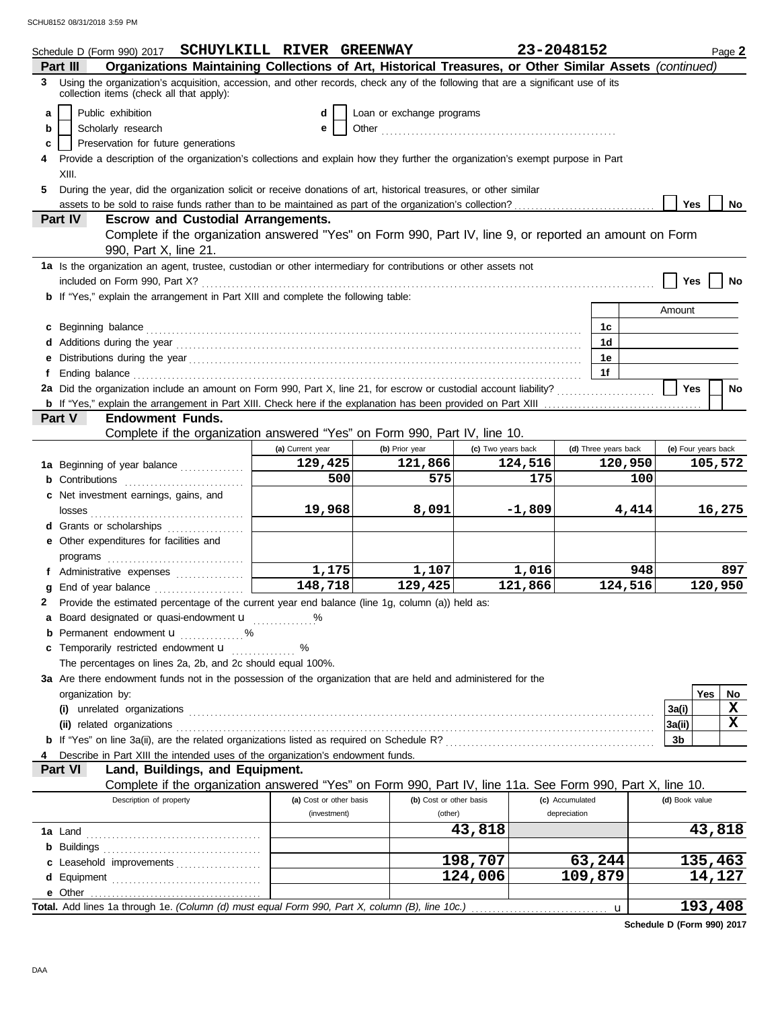|   | Schedule D (Form 990) 2017 SCHUYLKILL RIVER GREENWAY                                                                                                                                                                           |                         |                           |                    | 23-2048152                                               |                      |                | Page 2              |
|---|--------------------------------------------------------------------------------------------------------------------------------------------------------------------------------------------------------------------------------|-------------------------|---------------------------|--------------------|----------------------------------------------------------|----------------------|----------------|---------------------|
|   | Organizations Maintaining Collections of Art, Historical Treasures, or Other Similar Assets (continued)<br>Part III                                                                                                            |                         |                           |                    |                                                          |                      |                |                     |
|   | 3 Using the organization's acquisition, accession, and other records, check any of the following that are a significant use of its<br>collection items (check all that apply):                                                 |                         |                           |                    |                                                          |                      |                |                     |
| a | Public exhibition                                                                                                                                                                                                              | d                       | Loan or exchange programs |                    |                                                          |                      |                |                     |
| b | Scholarly research                                                                                                                                                                                                             | е                       |                           |                    |                                                          |                      |                |                     |
| c | Preservation for future generations                                                                                                                                                                                            |                         |                           |                    |                                                          |                      |                |                     |
| 4 | Provide a description of the organization's collections and explain how they further the organization's exempt purpose in Part                                                                                                 |                         |                           |                    |                                                          |                      |                |                     |
|   | XIII.                                                                                                                                                                                                                          |                         |                           |                    |                                                          |                      |                |                     |
| 5 | During the year, did the organization solicit or receive donations of art, historical treasures, or other similar                                                                                                              |                         |                           |                    |                                                          |                      |                |                     |
|   |                                                                                                                                                                                                                                |                         |                           |                    |                                                          |                      | <b>Yes</b>     | No                  |
|   | Part IV<br><b>Escrow and Custodial Arrangements.</b>                                                                                                                                                                           |                         |                           |                    |                                                          |                      |                |                     |
|   | Complete if the organization answered "Yes" on Form 990, Part IV, line 9, or reported an amount on Form                                                                                                                        |                         |                           |                    |                                                          |                      |                |                     |
|   | 990, Part X, line 21.                                                                                                                                                                                                          |                         |                           |                    |                                                          |                      |                |                     |
|   | 1a Is the organization an agent, trustee, custodian or other intermediary for contributions or other assets not                                                                                                                |                         |                           |                    |                                                          |                      |                |                     |
|   |                                                                                                                                                                                                                                |                         |                           |                    |                                                          |                      | Yes            | No                  |
|   | <b>b</b> If "Yes," explain the arrangement in Part XIII and complete the following table:                                                                                                                                      |                         |                           |                    |                                                          |                      |                |                     |
|   |                                                                                                                                                                                                                                |                         |                           |                    |                                                          |                      | Amount         |                     |
|   | c Beginning balance contract and the contract of the balance of the contract of the contract of the contract of the contract of the contract of the contract of the contract of the contract of the contract of the contract o |                         |                           |                    |                                                          | 1c                   |                |                     |
|   |                                                                                                                                                                                                                                |                         |                           |                    |                                                          | 1d                   |                |                     |
|   |                                                                                                                                                                                                                                |                         |                           |                    |                                                          | 1е                   |                |                     |
| f |                                                                                                                                                                                                                                |                         |                           |                    |                                                          | 1f                   |                |                     |
|   | 2a Did the organization include an amount on Form 990, Part X, line 21, for escrow or custodial account liability?                                                                                                             |                         |                           |                    |                                                          |                      | Yes            | No                  |
|   |                                                                                                                                                                                                                                |                         |                           |                    |                                                          |                      |                |                     |
|   | <b>Endowment Funds.</b><br><b>Part V</b>                                                                                                                                                                                       |                         |                           |                    |                                                          |                      |                |                     |
|   | Complete if the organization answered "Yes" on Form 990, Part IV, line 10.                                                                                                                                                     |                         |                           |                    |                                                          |                      |                |                     |
|   |                                                                                                                                                                                                                                | (a) Current year        | (b) Prior year            | (c) Two years back |                                                          | (d) Three years back |                | (e) Four years back |
|   | 1a Beginning of year balance                                                                                                                                                                                                   | 129,425                 | 121,866                   |                    | 124,516                                                  | 120,950              |                | 105,572             |
|   | <b>b</b> Contributions <b>contributions</b>                                                                                                                                                                                    | 500                     | 575                       |                    | 175                                                      | 100                  |                |                     |
|   | c Net investment earnings, gains, and                                                                                                                                                                                          |                         |                           |                    |                                                          |                      |                |                     |
|   |                                                                                                                                                                                                                                | 19,968                  | 8,091                     |                    | $-1,809$                                                 | 4,414                |                | 16,275              |
|   | d Grants or scholarships                                                                                                                                                                                                       |                         |                           |                    |                                                          |                      |                |                     |
|   | e Other expenditures for facilities and                                                                                                                                                                                        |                         |                           |                    |                                                          |                      |                |                     |
|   |                                                                                                                                                                                                                                |                         |                           |                    |                                                          |                      |                |                     |
|   | f Administrative expenses                                                                                                                                                                                                      | 1,175                   | 1,107                     |                    | 1,016                                                    | 948                  |                | 897                 |
|   | <b>g</b> End of year balance $\ldots$                                                                                                                                                                                          | 148,718                 | 129,425                   |                    | 121,866                                                  | 124,516              |                | 120,950             |
|   | 2 Provide the estimated percentage of the current year end balance (line 1g, column (a)) held as:                                                                                                                              |                         |                           |                    |                                                          |                      |                |                     |
|   | a Board designated or quasi-endowment u %                                                                                                                                                                                      |                         |                           |                    |                                                          |                      |                |                     |
|   | <b>b</b> Permanent endowment <b>u</b> %                                                                                                                                                                                        |                         |                           |                    |                                                          |                      |                |                     |
|   | c Temporarily restricted endowment <b>u</b>                                                                                                                                                                                    | %                       |                           |                    |                                                          |                      |                |                     |
|   | The percentages on lines 2a, 2b, and 2c should equal 100%.                                                                                                                                                                     |                         |                           |                    |                                                          |                      |                |                     |
|   | 3a Are there endowment funds not in the possession of the organization that are held and administered for the                                                                                                                  |                         |                           |                    |                                                          |                      |                |                     |
|   | organization by:                                                                                                                                                                                                               |                         |                           |                    |                                                          |                      |                | Yes<br>No           |
|   |                                                                                                                                                                                                                                |                         |                           |                    |                                                          |                      | 3a(i)          | X                   |
|   |                                                                                                                                                                                                                                |                         |                           |                    |                                                          |                      | 3a(ii)         | X                   |
|   |                                                                                                                                                                                                                                |                         |                           |                    |                                                          |                      | 3b             |                     |
| 4 | Describe in Part XIII the intended uses of the organization's endowment funds.                                                                                                                                                 |                         |                           |                    |                                                          |                      |                |                     |
|   | Part VI<br>Land, Buildings, and Equipment.                                                                                                                                                                                     |                         |                           |                    |                                                          |                      |                |                     |
|   | Complete if the organization answered "Yes" on Form 990, Part IV, line 11a. See Form 990, Part X, line 10.                                                                                                                     |                         |                           |                    |                                                          |                      |                |                     |
|   | Description of property                                                                                                                                                                                                        | (a) Cost or other basis | (b) Cost or other basis   |                    | (c) Accumulated                                          |                      | (d) Book value |                     |
|   |                                                                                                                                                                                                                                | (investment)            | (other)                   |                    | depreciation                                             |                      |                |                     |
|   |                                                                                                                                                                                                                                |                         |                           | 43,818             |                                                          |                      |                | 43,818              |
|   |                                                                                                                                                                                                                                |                         |                           |                    |                                                          |                      |                |                     |
|   | c Leasehold improvements                                                                                                                                                                                                       |                         |                           | 198,707            |                                                          | 63,244               |                | 135,463             |
|   |                                                                                                                                                                                                                                |                         |                           | 124,006            |                                                          | 109,879              |                | 14,127              |
|   | e Other                                                                                                                                                                                                                        |                         |                           |                    |                                                          |                      |                |                     |
|   | Total. Add lines 1a through 1e. (Column (d) must equal Form 990, Part X, column (B), line 10c.)                                                                                                                                |                         |                           |                    | <u> 1986 - Johann Stoff, martin Amerikaansk kanton (</u> | u                    |                | 193,408             |

**Schedule D (Form 990) 2017**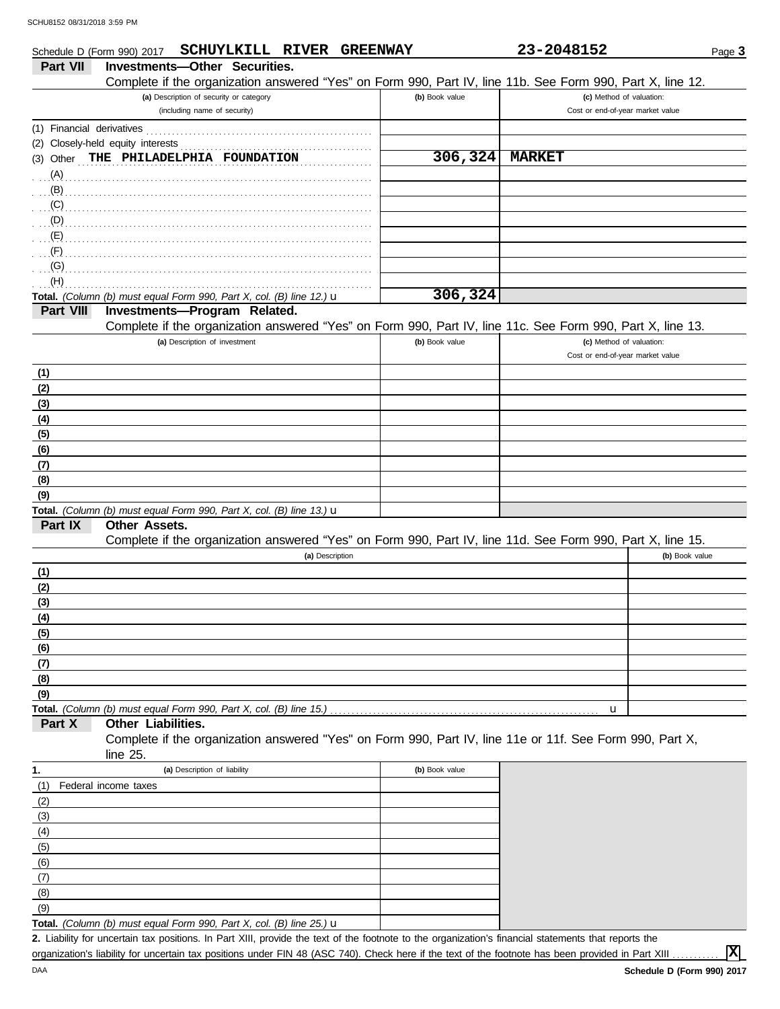|                           | <b>SCHUYLKILL RIVER</b><br><b>GREENWAY</b><br>Schedule D (Form 990) 2017                                   |                | 23-2048152                       | Page 3         |
|---------------------------|------------------------------------------------------------------------------------------------------------|----------------|----------------------------------|----------------|
| <b>Part VII</b>           | <b>Investments-Other Securities.</b>                                                                       |                |                                  |                |
|                           | Complete if the organization answered "Yes" on Form 990, Part IV, line 11b. See Form 990, Part X, line 12. |                |                                  |                |
|                           | (a) Description of security or category                                                                    | (b) Book value | (c) Method of valuation:         |                |
|                           | (including name of security)                                                                               |                | Cost or end-of-year market value |                |
| (1) Financial derivatives |                                                                                                            |                |                                  |                |
|                           | (2) Closely-held equity interests                                                                          |                |                                  |                |
|                           | (3) Other THE PHILADELPHIA FOUNDATION                                                                      | 306, 324       | <b>MARKET</b>                    |                |
| (A)                       |                                                                                                            |                |                                  |                |
| (B)                       |                                                                                                            |                |                                  |                |
| (C)                       |                                                                                                            |                |                                  |                |
| (D)                       |                                                                                                            |                |                                  |                |
| (E)                       |                                                                                                            |                |                                  |                |
| (F)                       |                                                                                                            |                |                                  |                |
| (G)                       |                                                                                                            |                |                                  |                |
| (H)                       |                                                                                                            |                |                                  |                |
|                           | Total. (Column (b) must equal Form 990, Part X, col. (B) line 12.) u                                       | 306, 324       |                                  |                |
| Part VIII                 | Investments-Program Related.                                                                               |                |                                  |                |
|                           | Complete if the organization answered "Yes" on Form 990, Part IV, line 11c. See Form 990, Part X, line 13. |                |                                  |                |
|                           | (a) Description of investment                                                                              | (b) Book value | (c) Method of valuation:         |                |
|                           |                                                                                                            |                | Cost or end-of-year market value |                |
| (1)                       |                                                                                                            |                |                                  |                |
| (2)                       |                                                                                                            |                |                                  |                |
| (3)                       |                                                                                                            |                |                                  |                |
| (4)                       |                                                                                                            |                |                                  |                |
| (5)                       |                                                                                                            |                |                                  |                |
| (6)                       |                                                                                                            |                |                                  |                |
| (7)                       |                                                                                                            |                |                                  |                |
| (8)                       |                                                                                                            |                |                                  |                |
| (9)                       |                                                                                                            |                |                                  |                |
|                           | Total. (Column (b) must equal Form 990, Part X, col. (B) line 13.) $\mathbf u$                             |                |                                  |                |
| Part IX                   | Other Assets.                                                                                              |                |                                  |                |
|                           | Complete if the organization answered "Yes" on Form 990, Part IV, line 11d. See Form 990, Part X, line 15. |                |                                  |                |
|                           | (a) Description                                                                                            |                |                                  | (b) Book value |
| (1)                       |                                                                                                            |                |                                  |                |
| (2)                       |                                                                                                            |                |                                  |                |
| (3)                       |                                                                                                            |                |                                  |                |
| (4)                       |                                                                                                            |                |                                  |                |
| (5)                       |                                                                                                            |                |                                  |                |
| (6)                       |                                                                                                            |                |                                  |                |
| (7)                       |                                                                                                            |                |                                  |                |
| (8)                       |                                                                                                            |                |                                  |                |
| (9)                       |                                                                                                            |                |                                  |                |
| Part X                    | Total. (Column (b) must equal Form 990, Part X, col. (B) line 15.)<br>Other Liabilities.                   |                | u                                |                |
|                           | Complete if the organization answered "Yes" on Form 990, Part IV, line 11e or 11f. See Form 990, Part X,   |                |                                  |                |
|                           | line 25.                                                                                                   |                |                                  |                |
|                           | (a) Description of liability                                                                               | (b) Book value |                                  |                |
| 1.                        |                                                                                                            |                |                                  |                |
| (1)                       | Federal income taxes                                                                                       |                |                                  |                |
| (2)                       |                                                                                                            |                |                                  |                |
| (3)                       |                                                                                                            |                |                                  |                |
| (4)                       |                                                                                                            |                |                                  |                |
| (5)                       |                                                                                                            |                |                                  |                |
| (6)                       |                                                                                                            |                |                                  |                |
| (7)                       |                                                                                                            |                |                                  |                |
| (8)                       |                                                                                                            |                |                                  |                |
| (9)                       |                                                                                                            |                |                                  |                |

**Total.** *(Column (b) must equal Form 990, Part X, col. (B) line 25.)* u

Liability for uncertain tax positions. In Part XIII, provide the text of the footnote to the organization's financial statements that reports the **2.** organization's liability for uncertain tax positions under FIN 48 (ASC 740). Check here if the text of the footnote has been provided in Part XIII

**X**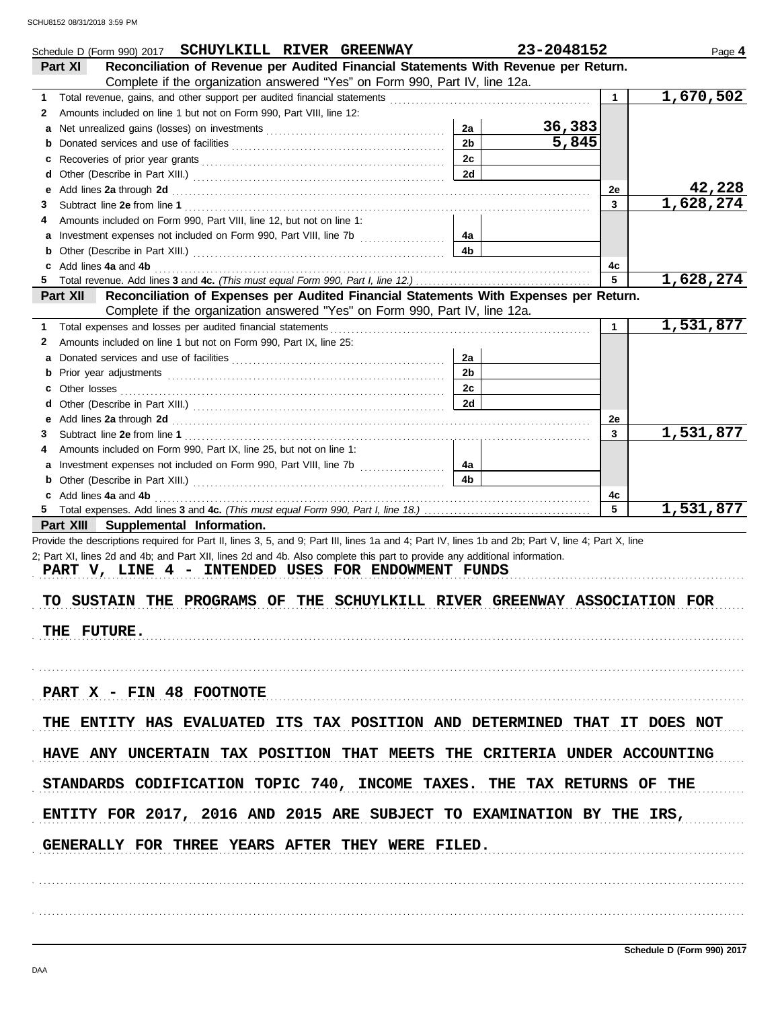| Schedule D (Form 990) 2017 SCHUYLKILL RIVER GREENWAY                                                                                                                                                                           |                | 23-2048152 |             | Page 4                 |
|--------------------------------------------------------------------------------------------------------------------------------------------------------------------------------------------------------------------------------|----------------|------------|-------------|------------------------|
| Reconciliation of Revenue per Audited Financial Statements With Revenue per Return.<br>Part XI                                                                                                                                 |                |            |             |                        |
| Complete if the organization answered "Yes" on Form 990, Part IV, line 12a.                                                                                                                                                    |                |            |             |                        |
| 1                                                                                                                                                                                                                              |                |            | $\mathbf 1$ | $\overline{1,670,502}$ |
| Amounts included on line 1 but not on Form 990, Part VIII, line 12:<br>2                                                                                                                                                       |                |            |             |                        |
| а                                                                                                                                                                                                                              | 2a             | 36,383     |             |                        |
|                                                                                                                                                                                                                                | 2 <sub>b</sub> | 5,845      |             |                        |
|                                                                                                                                                                                                                                | 2c             |            |             |                        |
|                                                                                                                                                                                                                                | 2d             |            |             |                        |
| е                                                                                                                                                                                                                              |                |            | 2e          | 42,228                 |
| 3                                                                                                                                                                                                                              |                |            | 3           | 1,628,274              |
| Amounts included on Form 990, Part VIII, line 12, but not on line 1:                                                                                                                                                           |                |            |             |                        |
|                                                                                                                                                                                                                                | 4a             |            |             |                        |
|                                                                                                                                                                                                                                | 4b             |            |             |                        |
| c Add lines 4a and 4b (a) and the contract of the contract of the contract of the contract of the contract of the contract of the contract of the contract of the contract of the contract of the contract of the contract of  |                |            | 4с          |                        |
|                                                                                                                                                                                                                                |                |            | 5           | 1,628,274              |
| Reconciliation of Expenses per Audited Financial Statements With Expenses per Return.<br>Part XII                                                                                                                              |                |            |             |                        |
| Complete if the organization answered "Yes" on Form 990, Part IV, line 12a.                                                                                                                                                    |                |            |             |                        |
| 1                                                                                                                                                                                                                              |                |            | $\mathbf 1$ | 1,531,877              |
| Amounts included on line 1 but not on Form 990, Part IX, line 25:<br>2                                                                                                                                                         |                |            |             |                        |
| а                                                                                                                                                                                                                              | 2a             |            |             |                        |
|                                                                                                                                                                                                                                | 2 <sub>b</sub> |            |             |                        |
|                                                                                                                                                                                                                                | 2c             |            |             |                        |
|                                                                                                                                                                                                                                | 2d             |            |             |                        |
| e Add lines 2a through 2d (a) and the contract of the contract of the contract of the contract of the contract of the contract of the contract of the contract of the contract of the contract of the contract of the contract |                |            | 2e          | 1,531,877              |
| 3                                                                                                                                                                                                                              |                |            | 3           |                        |
| Amounts included on Form 990, Part IX, line 25, but not on line 1:                                                                                                                                                             |                |            |             |                        |
|                                                                                                                                                                                                                                | 4a<br>4b       |            |             |                        |
|                                                                                                                                                                                                                                |                |            |             |                        |
| c Add lines 4a and 4b (a) and all the contract of the contract of the contract of the contract of the contract of the contract of the contract of the contract of the contract of the contract of the contract of the contract |                |            | 4c<br>5     | 1,531,877              |
| Part XIII Supplemental Information.                                                                                                                                                                                            |                |            |             |                        |
| Provide the descriptions required for Part II, lines 3, 5, and 9; Part III, lines 1a and 4; Part IV, lines 1b and 2b; Part V, line 4; Part X, line                                                                             |                |            |             |                        |
| 2; Part XI, lines 2d and 4b; and Part XII, lines 2d and 4b. Also complete this part to provide any additional information.                                                                                                     |                |            |             |                        |
| PART V, LINE 4 - INTENDED USES FOR ENDOWMENT FUNDS                                                                                                                                                                             |                |            |             |                        |
|                                                                                                                                                                                                                                |                |            |             |                        |
| TO SUSTAIN THE PROGRAMS OF THE SCHUYLKILL RIVER GREENWAY ASSOCIATION FOR                                                                                                                                                       |                |            |             |                        |
|                                                                                                                                                                                                                                |                |            |             |                        |
| THE FUTURE.                                                                                                                                                                                                                    |                |            |             |                        |
|                                                                                                                                                                                                                                |                |            |             |                        |
|                                                                                                                                                                                                                                |                |            |             |                        |
|                                                                                                                                                                                                                                |                |            |             |                        |
| PART X - FIN 48 FOOTNOTE                                                                                                                                                                                                       |                |            |             |                        |
|                                                                                                                                                                                                                                |                |            |             |                        |
| THE ENTITY HAS EVALUATED ITS TAX POSITION AND DETERMINED THAT IT DOES NOT                                                                                                                                                      |                |            |             |                        |
|                                                                                                                                                                                                                                |                |            |             |                        |
| HAVE ANY UNCERTAIN TAX POSITION THAT MEETS THE CRITERIA UNDER ACCOUNTING                                                                                                                                                       |                |            |             |                        |
|                                                                                                                                                                                                                                |                |            |             |                        |
| STANDARDS CODIFICATION TOPIC 740, INCOME TAXES. THE TAX RETURNS OF THE                                                                                                                                                         |                |            |             |                        |
|                                                                                                                                                                                                                                |                |            |             |                        |
| ENTITY FOR 2017, 2016 AND 2015 ARE SUBJECT TO EXAMINATION BY THE IRS,                                                                                                                                                          |                |            |             |                        |
|                                                                                                                                                                                                                                |                |            |             |                        |
| GENERALLY FOR THREE YEARS AFTER THEY WERE FILED.                                                                                                                                                                               |                |            |             |                        |
|                                                                                                                                                                                                                                |                |            |             |                        |
|                                                                                                                                                                                                                                |                |            |             |                        |
|                                                                                                                                                                                                                                |                |            |             |                        |
|                                                                                                                                                                                                                                |                |            |             |                        |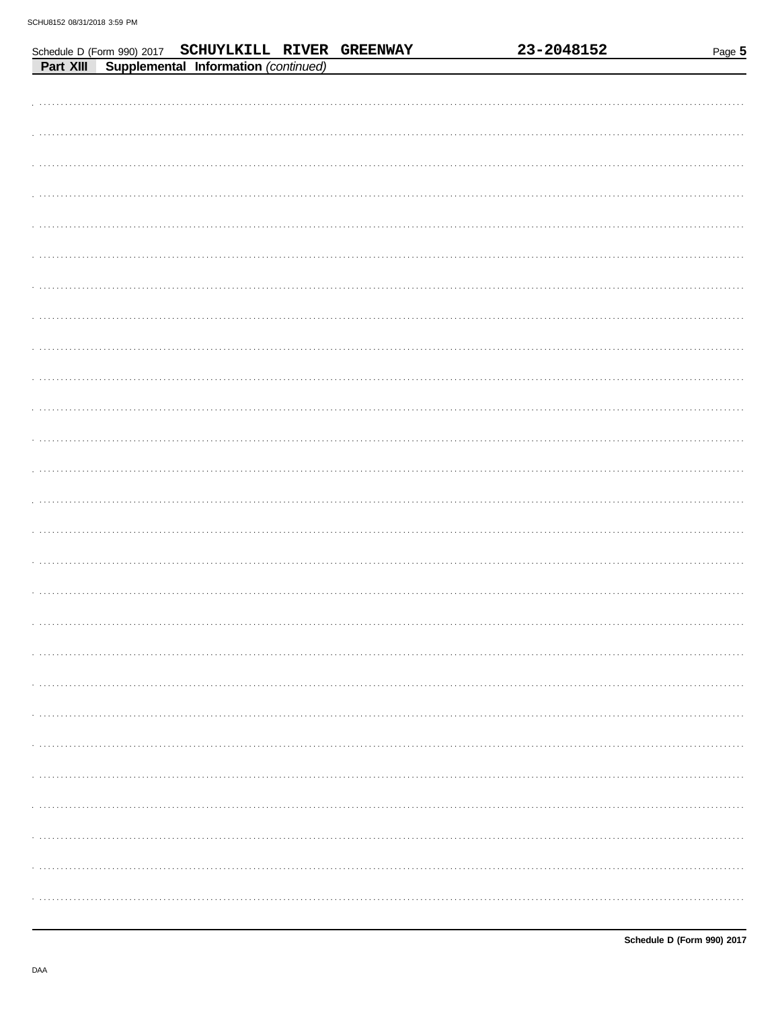Schedule D (Form 990) 2017 SCHUYLKILL RIVER GREENWAY

| <b>Part XIII Supplemental Information (continued)</b> |  |  |
|-------------------------------------------------------|--|--|
|                                                       |  |  |
|                                                       |  |  |
|                                                       |  |  |
|                                                       |  |  |
|                                                       |  |  |
|                                                       |  |  |
|                                                       |  |  |
|                                                       |  |  |
|                                                       |  |  |
|                                                       |  |  |
|                                                       |  |  |
|                                                       |  |  |
|                                                       |  |  |
|                                                       |  |  |
|                                                       |  |  |
|                                                       |  |  |
|                                                       |  |  |
|                                                       |  |  |
|                                                       |  |  |
|                                                       |  |  |
|                                                       |  |  |
|                                                       |  |  |
|                                                       |  |  |
|                                                       |  |  |
|                                                       |  |  |
|                                                       |  |  |
|                                                       |  |  |
|                                                       |  |  |
|                                                       |  |  |
|                                                       |  |  |
|                                                       |  |  |
|                                                       |  |  |
|                                                       |  |  |
|                                                       |  |  |
|                                                       |  |  |
|                                                       |  |  |

23-2048152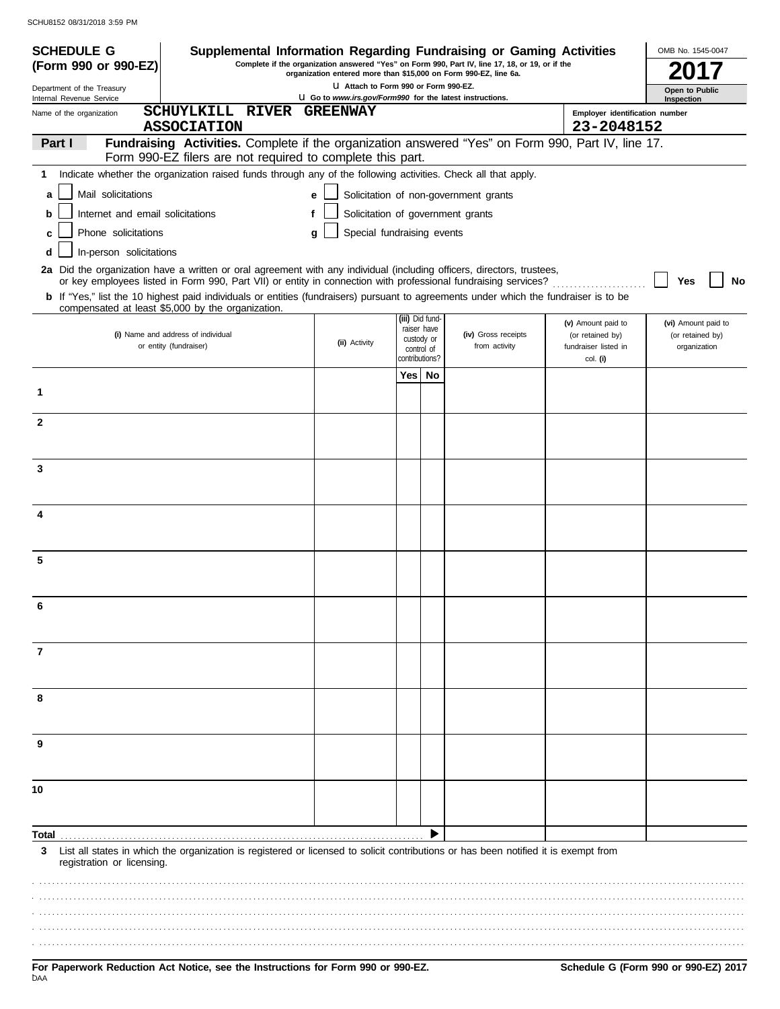| <b>SCHEDULE G</b>                                      | Supplemental Information Regarding Fundraising or Gaming Activities                                                                                                                        |                                                                                                          |                                                                                                                                                                     |                            |                              |                                              |                                       |                                              | OMB No. 1545-0047                       |  |  |
|--------------------------------------------------------|--------------------------------------------------------------------------------------------------------------------------------------------------------------------------------------------|----------------------------------------------------------------------------------------------------------|---------------------------------------------------------------------------------------------------------------------------------------------------------------------|----------------------------|------------------------------|----------------------------------------------|---------------------------------------|----------------------------------------------|-----------------------------------------|--|--|
| (Form 990 or 990-EZ)                                   |                                                                                                                                                                                            |                                                                                                          | Complete if the organization answered "Yes" on Form 990, Part IV, line 17, 18, or 19, or if the<br>organization entered more than \$15,000 on Form 990-EZ, line 6a. |                            |                              |                                              |                                       |                                              |                                         |  |  |
| Department of the Treasury<br>Internal Revenue Service |                                                                                                                                                                                            | LI Attach to Form 990 or Form 990-EZ.<br><b>U Go to www.irs.gov/Form990 for the latest instructions.</b> |                                                                                                                                                                     |                            |                              |                                              |                                       | <b>Open to Public</b><br>Inspection          |                                         |  |  |
| Name of the organization                               | SCHUYLKILL RIVER<br><b>ASSOCIATION</b>                                                                                                                                                     |                                                                                                          |                                                                                                                                                                     | <b>GREENWAY</b>            |                              |                                              |                                       | Employer identification number<br>23-2048152 |                                         |  |  |
| Part I                                                 | Fundraising Activities. Complete if the organization answered "Yes" on Form 990, Part IV, line 17.<br>Form 990-EZ filers are not required to complete this part.                           |                                                                                                          |                                                                                                                                                                     |                            |                              |                                              |                                       |                                              |                                         |  |  |
| 1                                                      | Indicate whether the organization raised funds through any of the following activities. Check all that apply.                                                                              |                                                                                                          |                                                                                                                                                                     |                            |                              |                                              |                                       |                                              |                                         |  |  |
| Mail solicitations<br>a                                |                                                                                                                                                                                            | e                                                                                                        |                                                                                                                                                                     |                            |                              |                                              | Solicitation of non-government grants |                                              |                                         |  |  |
| Internet and email solicitations<br>b                  |                                                                                                                                                                                            | f                                                                                                        |                                                                                                                                                                     |                            |                              |                                              | Solicitation of government grants     |                                              |                                         |  |  |
| Phone solicitations<br>C                               |                                                                                                                                                                                            | a                                                                                                        |                                                                                                                                                                     | Special fundraising events |                              |                                              |                                       |                                              |                                         |  |  |
| In-person solicitations<br>d                           |                                                                                                                                                                                            |                                                                                                          |                                                                                                                                                                     |                            |                              |                                              |                                       |                                              |                                         |  |  |
|                                                        | 2a Did the organization have a written or oral agreement with any individual (including officers, directors, trustees,                                                                     |                                                                                                          |                                                                                                                                                                     |                            |                              |                                              |                                       |                                              |                                         |  |  |
|                                                        | or key employees listed in Form 990, Part VII) or entity in connection with professional fundraising services?                                                                             |                                                                                                          |                                                                                                                                                                     |                            |                              |                                              |                                       |                                              | <b>No</b><br>Yes                        |  |  |
|                                                        | b If "Yes," list the 10 highest paid individuals or entities (fundraisers) pursuant to agreements under which the fundraiser is to be<br>compensated at least \$5,000 by the organization. |                                                                                                          |                                                                                                                                                                     |                            |                              |                                              |                                       |                                              |                                         |  |  |
|                                                        | (i) Name and address of individual                                                                                                                                                         |                                                                                                          |                                                                                                                                                                     | (ii) Activity              |                              | (iii) Did fund-<br>raiser have<br>custody or | (iv) Gross receipts<br>from activity  | (v) Amount paid to<br>(or retained by)       | (vi) Amount paid to<br>(or retained by) |  |  |
|                                                        | or entity (fundraiser)                                                                                                                                                                     |                                                                                                          |                                                                                                                                                                     |                            | control of<br>contributions? |                                              |                                       | fundraiser listed in<br>col. (i)             | organization                            |  |  |
| 1                                                      |                                                                                                                                                                                            |                                                                                                          |                                                                                                                                                                     |                            | Yes <sub>1</sub>             | No                                           |                                       |                                              |                                         |  |  |
|                                                        |                                                                                                                                                                                            |                                                                                                          |                                                                                                                                                                     |                            |                              |                                              |                                       |                                              |                                         |  |  |
| $\overline{2}$                                         |                                                                                                                                                                                            |                                                                                                          |                                                                                                                                                                     |                            |                              |                                              |                                       |                                              |                                         |  |  |
| 3                                                      |                                                                                                                                                                                            |                                                                                                          |                                                                                                                                                                     |                            |                              |                                              |                                       |                                              |                                         |  |  |
|                                                        |                                                                                                                                                                                            |                                                                                                          |                                                                                                                                                                     |                            |                              |                                              |                                       |                                              |                                         |  |  |
| 4                                                      |                                                                                                                                                                                            |                                                                                                          |                                                                                                                                                                     |                            |                              |                                              |                                       |                                              |                                         |  |  |
| 5                                                      |                                                                                                                                                                                            |                                                                                                          |                                                                                                                                                                     |                            |                              |                                              |                                       |                                              |                                         |  |  |
|                                                        |                                                                                                                                                                                            |                                                                                                          |                                                                                                                                                                     |                            |                              |                                              |                                       |                                              |                                         |  |  |
|                                                        |                                                                                                                                                                                            |                                                                                                          |                                                                                                                                                                     |                            |                              |                                              |                                       |                                              |                                         |  |  |
|                                                        |                                                                                                                                                                                            |                                                                                                          |                                                                                                                                                                     |                            |                              |                                              |                                       |                                              |                                         |  |  |
| 7                                                      |                                                                                                                                                                                            |                                                                                                          |                                                                                                                                                                     |                            |                              |                                              |                                       |                                              |                                         |  |  |
| 8                                                      |                                                                                                                                                                                            |                                                                                                          |                                                                                                                                                                     |                            |                              |                                              |                                       |                                              |                                         |  |  |
|                                                        |                                                                                                                                                                                            |                                                                                                          |                                                                                                                                                                     |                            |                              |                                              |                                       |                                              |                                         |  |  |
| 9                                                      |                                                                                                                                                                                            |                                                                                                          |                                                                                                                                                                     |                            |                              |                                              |                                       |                                              |                                         |  |  |
|                                                        |                                                                                                                                                                                            |                                                                                                          |                                                                                                                                                                     |                            |                              |                                              |                                       |                                              |                                         |  |  |
| 10                                                     |                                                                                                                                                                                            |                                                                                                          |                                                                                                                                                                     |                            |                              |                                              |                                       |                                              |                                         |  |  |
| Total                                                  |                                                                                                                                                                                            |                                                                                                          |                                                                                                                                                                     |                            |                              |                                              |                                       |                                              |                                         |  |  |
| 3<br>registration or licensing.                        | List all states in which the organization is registered or licensed to solicit contributions or has been notified it is exempt from                                                        |                                                                                                          |                                                                                                                                                                     |                            |                              |                                              |                                       |                                              |                                         |  |  |
|                                                        |                                                                                                                                                                                            |                                                                                                          |                                                                                                                                                                     |                            |                              |                                              |                                       |                                              |                                         |  |  |
|                                                        |                                                                                                                                                                                            |                                                                                                          |                                                                                                                                                                     |                            |                              |                                              |                                       |                                              |                                         |  |  |
|                                                        |                                                                                                                                                                                            |                                                                                                          |                                                                                                                                                                     |                            |                              |                                              |                                       |                                              |                                         |  |  |
|                                                        |                                                                                                                                                                                            |                                                                                                          |                                                                                                                                                                     |                            |                              |                                              |                                       |                                              |                                         |  |  |
|                                                        |                                                                                                                                                                                            |                                                                                                          |                                                                                                                                                                     |                            |                              |                                              |                                       |                                              |                                         |  |  |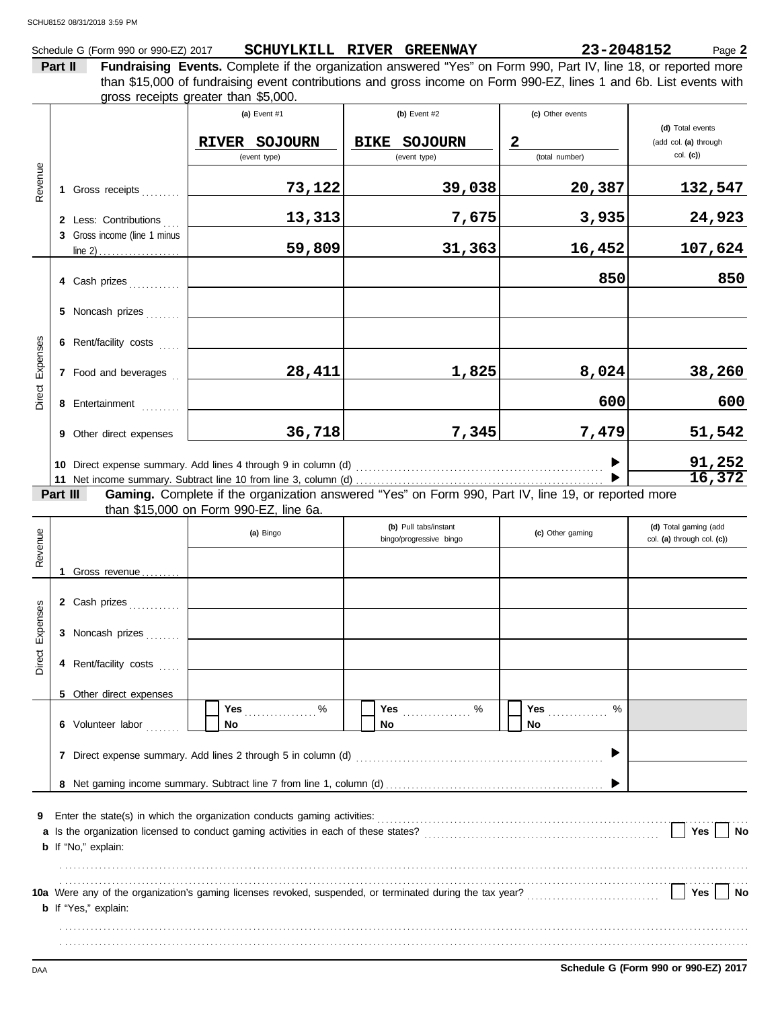#### Schedule G (Form 990 or 990-EZ) 2017 SCHUYLKILL RIVER GREENWAY 23-2048152 Page 2

**Part II Fundraising Events.** Complete if the organization answered "Yes" on Form 990, Part IV, line 18, or reported more gross receipts greater than \$5,000. than \$15,000 of fundraising event contributions and gross income on Form 990-EZ, lines 1 and 6b. List events with

|                 |                                                                                                                          |                                                                                           | (a) Event $#1$                                                                                                                                | (b) Event $#2$                | (c) Other events  |                                           |  |  |
|-----------------|--------------------------------------------------------------------------------------------------------------------------|-------------------------------------------------------------------------------------------|-----------------------------------------------------------------------------------------------------------------------------------------------|-------------------------------|-------------------|-------------------------------------------|--|--|
|                 |                                                                                                                          |                                                                                           | RIVER SOJOURN                                                                                                                                 | <b>SOJOURN</b><br><b>BIKE</b> | $\mathbf{2}$      | (d) Total events<br>(add col. (a) through |  |  |
|                 |                                                                                                                          |                                                                                           | (event type)                                                                                                                                  | (event type)                  | (total number)    | $col.$ (c))                               |  |  |
| Revenue         |                                                                                                                          | 1 Gross receipts                                                                          | 73,122                                                                                                                                        | 39,038                        | 20,387            | 132,547                                   |  |  |
|                 |                                                                                                                          | 2 Less: Contributions                                                                     | 13,313                                                                                                                                        | 7,675                         | 3,935             | 24,923                                    |  |  |
|                 |                                                                                                                          | 3 Gross income (line 1 minus<br>line 2) . $\dots$ . $\dots$ . $\dots$ . $\dots$ . $\dots$ | 59,809                                                                                                                                        | 31,363                        | 16,452            | 107,624                                   |  |  |
|                 |                                                                                                                          | 4 Cash prizes                                                                             |                                                                                                                                               |                               | 850               | 850                                       |  |  |
|                 |                                                                                                                          | 5 Noncash prizes                                                                          |                                                                                                                                               |                               |                   |                                           |  |  |
|                 |                                                                                                                          | 6 Rent/facility costs                                                                     |                                                                                                                                               |                               |                   |                                           |  |  |
| Direct Expenses |                                                                                                                          | 7 Food and beverages                                                                      | 28,411                                                                                                                                        | 1,825                         | 8,024             | 38,260                                    |  |  |
|                 |                                                                                                                          | 8 Entertainment                                                                           |                                                                                                                                               |                               | 600               | 600                                       |  |  |
|                 |                                                                                                                          | 9 Other direct expenses                                                                   | 36,718                                                                                                                                        | 7,345                         | 7,479             | 51,542                                    |  |  |
|                 |                                                                                                                          |                                                                                           |                                                                                                                                               |                               |                   | $\frac{91,252}{16,372}$                   |  |  |
|                 |                                                                                                                          |                                                                                           |                                                                                                                                               |                               |                   |                                           |  |  |
|                 | Part III                                                                                                                 |                                                                                           | Gaming. Complete if the organization answered "Yes" on Form 990, Part IV, line 19, or reported more<br>than \$15,000 on Form 990-EZ, line 6a. |                               |                   |                                           |  |  |
|                 |                                                                                                                          |                                                                                           |                                                                                                                                               | (b) Pull tabs/instant         |                   | (d) Total gaming (add                     |  |  |
| Revenue         |                                                                                                                          |                                                                                           | (a) Bingo                                                                                                                                     | bingo/progressive bingo       | (c) Other gaming  | col. (a) through col. (c))                |  |  |
|                 |                                                                                                                          | 1 Gross revenue                                                                           |                                                                                                                                               |                               |                   |                                           |  |  |
|                 |                                                                                                                          |                                                                                           |                                                                                                                                               |                               |                   |                                           |  |  |
| Expenses        |                                                                                                                          | 2 Cash prizes                                                                             |                                                                                                                                               |                               |                   |                                           |  |  |
|                 |                                                                                                                          | 3 Noncash prizes                                                                          |                                                                                                                                               |                               |                   |                                           |  |  |
| Direct          |                                                                                                                          | 4 Rent/facility costs                                                                     |                                                                                                                                               |                               |                   |                                           |  |  |
|                 |                                                                                                                          | 5 Other direct expenses                                                                   |                                                                                                                                               |                               |                   |                                           |  |  |
|                 |                                                                                                                          | 6 Volunteer labor                                                                         | Yes<br>$\%$<br>.<br>No                                                                                                                        | Yes<br>$\%$<br>.<br>No        | Yes<br>$\%$<br>No |                                           |  |  |
|                 |                                                                                                                          |                                                                                           | 7 Direct expense summary. Add lines 2 through 5 in column (d)                                                                                 |                               |                   |                                           |  |  |
|                 |                                                                                                                          |                                                                                           |                                                                                                                                               |                               |                   |                                           |  |  |
| 9               |                                                                                                                          |                                                                                           | Enter the state(s) in which the organization conducts gaming activities:                                                                      |                               |                   |                                           |  |  |
|                 | Yes<br>a Is the organization licensed to conduct gaming activities in each of these states?<br>No<br>b If "No," explain: |                                                                                           |                                                                                                                                               |                               |                   |                                           |  |  |
|                 |                                                                                                                          |                                                                                           |                                                                                                                                               |                               |                   | Yes                                       |  |  |
|                 |                                                                                                                          | <b>b</b> If "Yes," explain:                                                               | 10a Were any of the organization's gaming licenses revoked, suspended, or terminated during the tax year?                                     |                               |                   | No                                        |  |  |
|                 |                                                                                                                          |                                                                                           |                                                                                                                                               |                               |                   |                                           |  |  |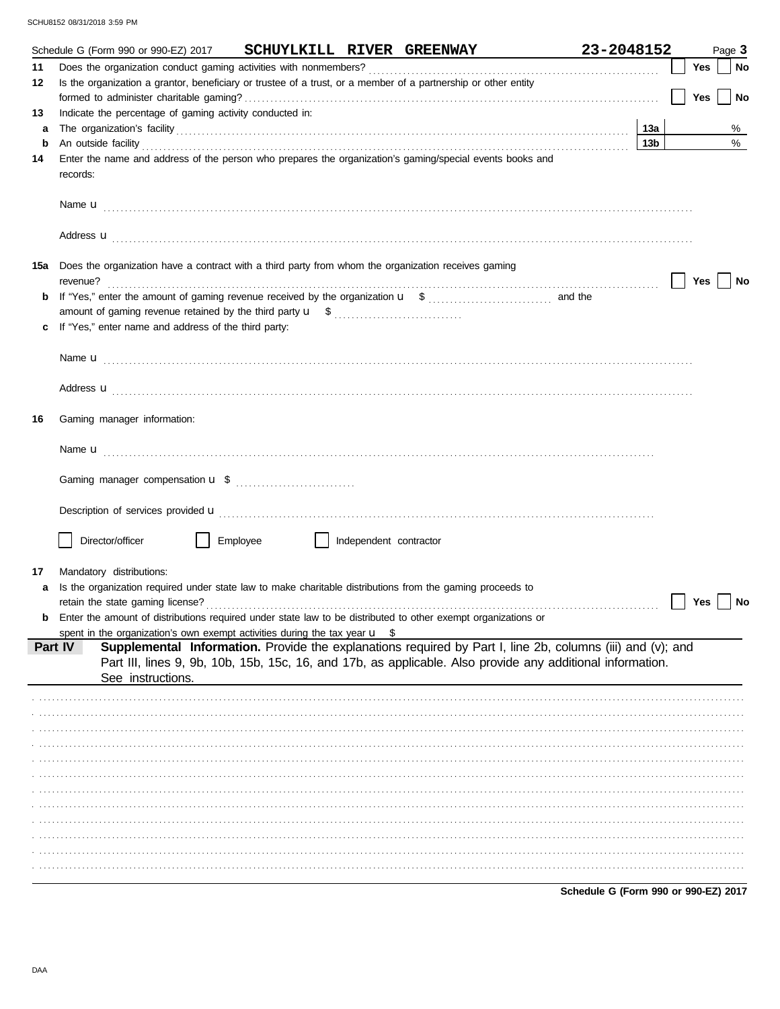|     | Schedule G (Form 990 or 990-EZ) 2017                                                                                                                                                                                                 | SCHUYLKILL RIVER GREENWAY |                        | 23-2048152                                                                                                 |     | Page 3 |
|-----|--------------------------------------------------------------------------------------------------------------------------------------------------------------------------------------------------------------------------------------|---------------------------|------------------------|------------------------------------------------------------------------------------------------------------|-----|--------|
| 11  |                                                                                                                                                                                                                                      |                           |                        |                                                                                                            | Yes | No     |
| 12  | Is the organization a grantor, beneficiary or trustee of a trust, or a member of a partnership or other entity                                                                                                                       |                           |                        |                                                                                                            | Yes | No     |
| 13  | Indicate the percentage of gaming activity conducted in:                                                                                                                                                                             |                           |                        |                                                                                                            |     |        |
| a   | The organization's facility with a series and contact the organization's facility with the contact of the contact of the contact of the contact of the contact of the contact of the contact of the contact of the contact of        |                           |                        | 13a                                                                                                        |     | %      |
| b   | An outside facility <b>contained a set of the contract of the contract of the contract of the contract of the contract of the contract of the contract of the contract of the contract of the contract of the contract of the co</b> |                           |                        | 13 <sub>b</sub>                                                                                            |     | $\%$   |
| 14  | Enter the name and address of the person who prepares the organization's gaming/special events books and<br>records:                                                                                                                 |                           |                        |                                                                                                            |     |        |
|     |                                                                                                                                                                                                                                      |                           |                        |                                                                                                            |     |        |
|     | Address <b>u</b>                                                                                                                                                                                                                     |                           |                        |                                                                                                            |     |        |
| 15а | Does the organization have a contract with a third party from whom the organization receives gaming<br>revenue?                                                                                                                      |                           |                        |                                                                                                            | Yes | No     |
| b   |                                                                                                                                                                                                                                      |                           |                        |                                                                                                            |     |        |
|     |                                                                                                                                                                                                                                      |                           |                        |                                                                                                            |     |        |
| c   | If "Yes," enter name and address of the third party:                                                                                                                                                                                 |                           |                        |                                                                                                            |     |        |
|     |                                                                                                                                                                                                                                      |                           |                        |                                                                                                            |     |        |
|     |                                                                                                                                                                                                                                      |                           |                        |                                                                                                            |     |        |
|     | Address <b>u</b>                                                                                                                                                                                                                     |                           |                        |                                                                                                            |     |        |
| 16  | Gaming manager information:                                                                                                                                                                                                          |                           |                        |                                                                                                            |     |        |
|     |                                                                                                                                                                                                                                      |                           |                        |                                                                                                            |     |        |
|     |                                                                                                                                                                                                                                      |                           |                        |                                                                                                            |     |        |
|     | Description of services provided <b>u</b> electron contract the contract of the contract of the contract of the contract of the contract of the contract of the contract of the contract of the contract of the contract of the con  |                           |                        |                                                                                                            |     |        |
|     | Director/officer                                                                                                                                                                                                                     | Employee                  | Independent contractor |                                                                                                            |     |        |
| 17  | Mandatory distributions:                                                                                                                                                                                                             |                           |                        |                                                                                                            |     |        |
| a   | Is the organization required under state law to make charitable distributions from the gaming proceeds to                                                                                                                            |                           |                        |                                                                                                            |     |        |
|     |                                                                                                                                                                                                                                      |                           |                        |                                                                                                            | Yes | No     |
| b   | Enter the amount of distributions required under state law to be distributed to other exempt organizations or                                                                                                                        |                           |                        |                                                                                                            |     |        |
|     | spent in the organization's own exempt activities during the tax year $\mathbf{u}$ \$                                                                                                                                                |                           |                        |                                                                                                            |     |        |
|     | Part IV                                                                                                                                                                                                                              |                           |                        | Supplemental Information. Provide the explanations required by Part I, line 2b, columns (iii) and (v); and |     |        |
|     | See instructions.                                                                                                                                                                                                                    |                           |                        | Part III, lines 9, 9b, 10b, 15b, 15c, 16, and 17b, as applicable. Also provide any additional information. |     |        |
|     |                                                                                                                                                                                                                                      |                           |                        |                                                                                                            |     |        |
|     |                                                                                                                                                                                                                                      |                           |                        |                                                                                                            |     |        |
|     |                                                                                                                                                                                                                                      |                           |                        |                                                                                                            |     |        |
|     |                                                                                                                                                                                                                                      |                           |                        |                                                                                                            |     |        |
|     |                                                                                                                                                                                                                                      |                           |                        |                                                                                                            |     |        |
|     |                                                                                                                                                                                                                                      |                           |                        |                                                                                                            |     |        |
|     |                                                                                                                                                                                                                                      |                           |                        |                                                                                                            |     |        |
|     |                                                                                                                                                                                                                                      |                           |                        |                                                                                                            |     |        |
|     |                                                                                                                                                                                                                                      |                           |                        |                                                                                                            |     |        |
|     |                                                                                                                                                                                                                                      |                           |                        |                                                                                                            |     |        |
|     |                                                                                                                                                                                                                                      |                           |                        |                                                                                                            |     |        |
|     |                                                                                                                                                                                                                                      |                           |                        |                                                                                                            |     |        |

Schedule G (Form 990 or 990-EZ) 2017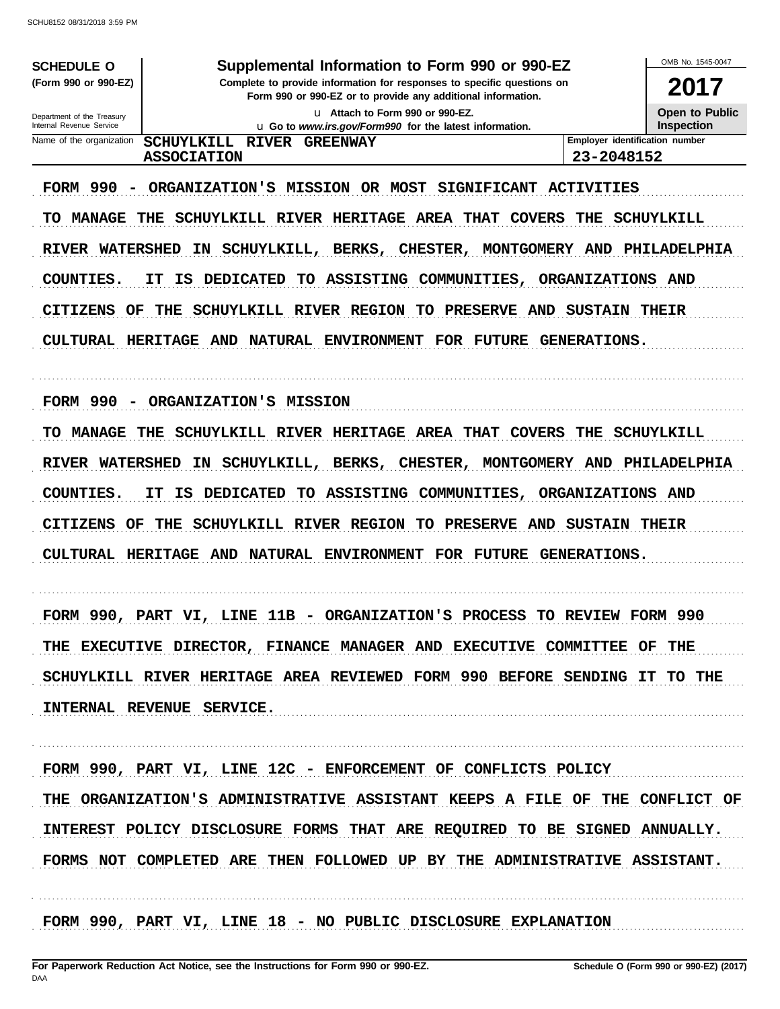| <b>SCHEDULE O</b><br>(Form 990 or 990-EZ)<br>Department of the Treasury<br>Internal Revenue Service                                           | Supplemental Information to Form 990 or 990-EZ<br>Complete to provide information for responses to specific questions on<br>Form 990 or 990-EZ or to provide any additional information.<br>La Attach to Form 990 or 990-EZ.<br>u Go to www.irs.gov/Form990 for the latest information.                                                             |                                                                       |                   |  |
|-----------------------------------------------------------------------------------------------------------------------------------------------|-----------------------------------------------------------------------------------------------------------------------------------------------------------------------------------------------------------------------------------------------------------------------------------------------------------------------------------------------------|-----------------------------------------------------------------------|-------------------|--|
| Name of the organization                                                                                                                      | SCHUYLKILL RIVER GREENWAY<br><b>ASSOCIATION</b>                                                                                                                                                                                                                                                                                                     | Employer identification number<br>23-2048152                          | <b>Inspection</b> |  |
| FORM 990<br>$\overline{\phantom{m}}$<br><b>MANAGE</b><br>THE<br>TO<br><b>RIVER WATERSHED</b><br>COUNTIES.<br>IT<br>CITIZENS<br>OF<br>CULTURAL | <b>ORGANIZATION'S</b><br>MISSION OR MOST SIGNIFICANT ACTIVITIES<br>SCHUYLKILL RIVER HERITAGE AREA THAT COVERS<br>SCHUYLKILL, BERKS, CHESTER,<br>IN<br>IS<br><b>DEDICATED</b><br>TO ASSISTING COMMUNITIES, ORGANIZATIONS AND<br>SCHUYLKILL RIVER REGION TO PRESERVE AND<br>THE<br><b>HERITAGE AND NATURAL</b><br>ENVIRONMENT FOR FUTURE GENERATIONS. | <b>THE SCHUYLKILL</b><br>MONTGOMERY AND PHILADELPHIA<br>SUSTAIN THEIR |                   |  |
| FORM 990<br>TO<br><b>MANAGE</b><br><b>RIVER WATERSHED</b><br>COUNTIES.<br>TT.<br>CITIZENS<br>OF                                               | - ORGANIZATION'S MISSION<br>THE SCHUYLKILL RIVER HERITAGE AREA THAT COVERS THE SCHUYLKILL<br>SCHUYLKILL, BERKS, CHESTER,<br>IN<br>IS<br><b>DEDICATED</b><br>TO ASSISTING COMMUNITIES, ORGANIZATIONS AND<br>SCHUYLKILL RIVER REGION TO PRESERVE AND<br>THE<br>CULTURAL HERITAGE AND NATURAL ENVIRONMENT FOR FUTURE GENERATIONS.                      | MONTGOMERY AND PHILADELPHIA<br>SUSTAIN THEIR                          |                   |  |
|                                                                                                                                               | FORM 990, PART VI, LINE 11B - ORGANIZATION'S PROCESS TO REVIEW FORM 990                                                                                                                                                                                                                                                                             |                                                                       |                   |  |
| INTERNAL REVENUE SERVICE.                                                                                                                     | THE EXECUTIVE DIRECTOR, FINANCE MANAGER AND EXECUTIVE COMMITTEE OF THE<br>SCHUYLKILL RIVER HERITAGE AREA REVIEWED FORM 990 BEFORE SENDING IT TO THE                                                                                                                                                                                                 |                                                                       |                   |  |
|                                                                                                                                               | FORM 990, PART VI, LINE 12C - ENFORCEMENT OF CONFLICTS POLICY<br>THE ORGANIZATION'S ADMINISTRATIVE ASSISTANT KEEPS A FILE OF THE CONFLICT OF<br>INTEREST POLICY DISCLOSURE FORMS THAT ARE REQUIRED TO BE SIGNED ANNUALLY.<br>FORMS NOT COMPLETED ARE THEN FOLLOWED UP BY THE ADMINISTRATIVE ASSISTANT.                                              |                                                                       |                   |  |
|                                                                                                                                               | FORM 990, PART VI, LINE 18 - NO PUBLIC DISCLOSURE EXPLANATION                                                                                                                                                                                                                                                                                       |                                                                       |                   |  |